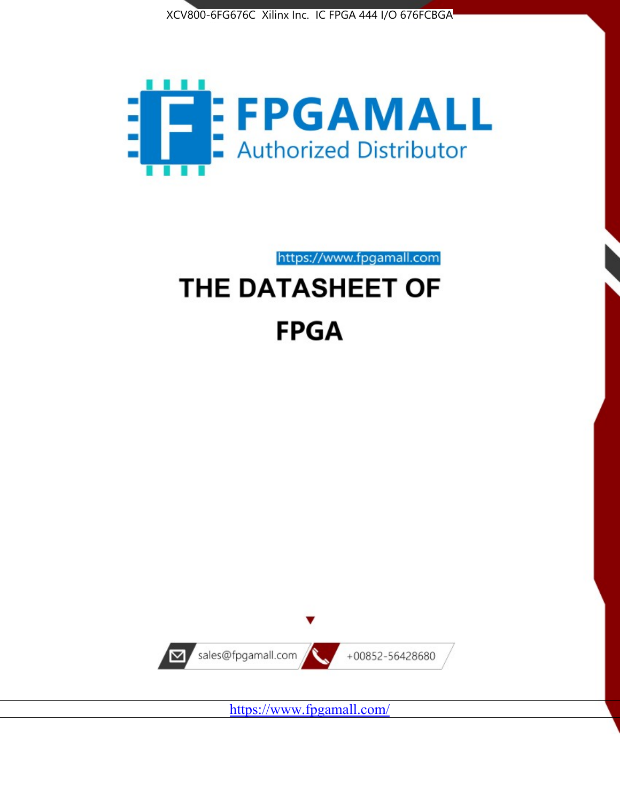



https://www.fpgamall.com THE DATASHEET OF

# **FPGA**



<https://www.fpgamall.com/>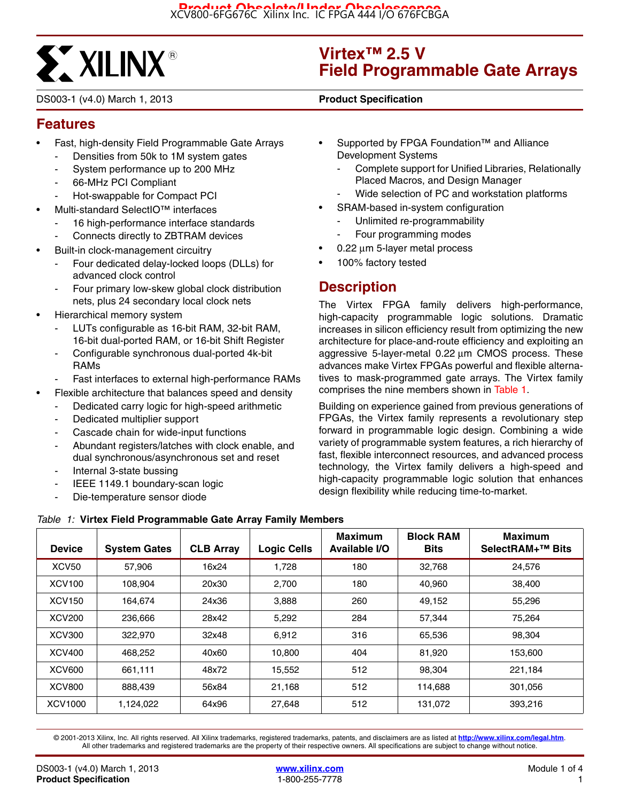

DS003-1 (v4.0) March 1, 2013 **0 0 Product Specification**

# **Virtex™ 2.5 V Field Programmable Gate Arrays**

# **Features**

- Fast, high-density Field Programmable Gate Arrays
	- Densities from 50k to 1M system gates
	- System performance up to 200 MHz
	- 66-MHz PCI Compliant
	- Hot-swappable for Compact PCI
- Multi-standard SelectIO™ interfaces
	- 16 high-performance interface standards
	- Connects directly to ZBTRAM devices
- Built-in clock-management circuitry
	- Four dedicated delay-locked loops (DLLs) for advanced clock control
	- Four primary low-skew global clock distribution nets, plus 24 secondary local clock nets
- Hierarchical memory system
	- LUTs configurable as 16-bit RAM, 32-bit RAM, 16-bit dual-ported RAM, or 16-bit Shift Register
	- Configurable synchronous dual-ported 4k-bit RAMs
	- Fast interfaces to external high-performance RAMs
	- Flexible architecture that balances speed and density
		- Dedicated carry logic for high-speed arithmetic
		- Dedicated multiplier support
		- Cascade chain for wide-input functions
		- Abundant registers/latches with clock enable, and dual synchronous/asynchronous set and reset
		- Internal 3-state bussing
		- IEEE 1149.1 boundary-scan logic
		- Die-temperature sensor diode
- Supported by FPGA Foundation™ and Alliance Development Systems
	- Complete support for Unified Libraries, Relationally Placed Macros, and Design Manager
	- Wide selection of PC and workstation platforms
- SRAM-based in-system configuration
	- Unlimited re-programmability
	- Four programming modes
- 0.22 μm 5-layer metal process
- 100% factory tested

# **Description**

The Virtex FPGA family delivers high-performance, high-capacity programmable logic solutions. Dramatic increases in silicon efficiency result from optimizing the new architecture for place-and-route efficiency and exploiting an aggressive 5-layer-metal 0.22 μm CMOS process. These advances make Virtex FPGAs powerful and flexible alternatives to mask-programmed gate arrays. The Virtex family comprises the nine members shown in Table 1.

Building on experience gained from previous generations of FPGAs, the Virtex family represents a revolutionary step forward in programmable logic design. Combining a wide variety of programmable system features, a rich hierarchy of fast, flexible interconnect resources, and advanced process technology, the Virtex family delivers a high-speed and high-capacity programmable logic solution that enhances design flexibility while reducing time-to-market.

| <b>Device</b>     | <b>System Gates</b> | <b>CLB Array</b> | <b>Logic Cells</b> | <b>Maximum</b><br>Available I/O | <b>Block RAM</b><br><b>Bits</b> | <b>Maximum</b><br>SelectRAM+ <sup>™</sup> Bits |
|-------------------|---------------------|------------------|--------------------|---------------------------------|---------------------------------|------------------------------------------------|
| XCV <sub>50</sub> | 57.906              | 16x24            | 1,728              | 180                             | 32,768                          | 24.576                                         |
| <b>XCV100</b>     | 108,904             | 20x30            | 2,700              | 180                             | 40,960                          | 38,400                                         |
| <b>XCV150</b>     | 164.674             | 24x36            | 3,888              | 260                             | 49,152                          | 55,296                                         |
| <b>XCV200</b>     | 236,666             | 28x42            | 5,292              | 284                             | 57,344                          | 75,264                                         |
| XCV300            | 322,970             | 32x48            | 6.912              | 316                             | 65,536                          | 98.304                                         |
| <b>XCV400</b>     | 468,252             | 40x60            | 10,800             | 404                             | 81,920                          | 153,600                                        |
| <b>XCV600</b>     | 661.111             | 48x72            | 15,552             | 512                             | 98.304                          | 221,184                                        |
| <b>XCV800</b>     | 888,439             | 56x84            | 21,168             | 512                             | 114.688                         | 301.056                                        |
| XCV1000           | 1,124,022           | 64x96            | 27.648             | 512                             | 131.072                         | 393.216                                        |

*Table 1:* **Virtex Field Programmable Gate Array Family Members**

© 2001-2013 Xilinx, Inc. All rights reserved. All Xilinx trademarks, registered trademarks, patents, and disclaimers are as listed at **<http://www.xilinx.com/legal.htm>**. All other trademarks and registered trademarks are the property of their respective owners. All specifications are subject to change without notice.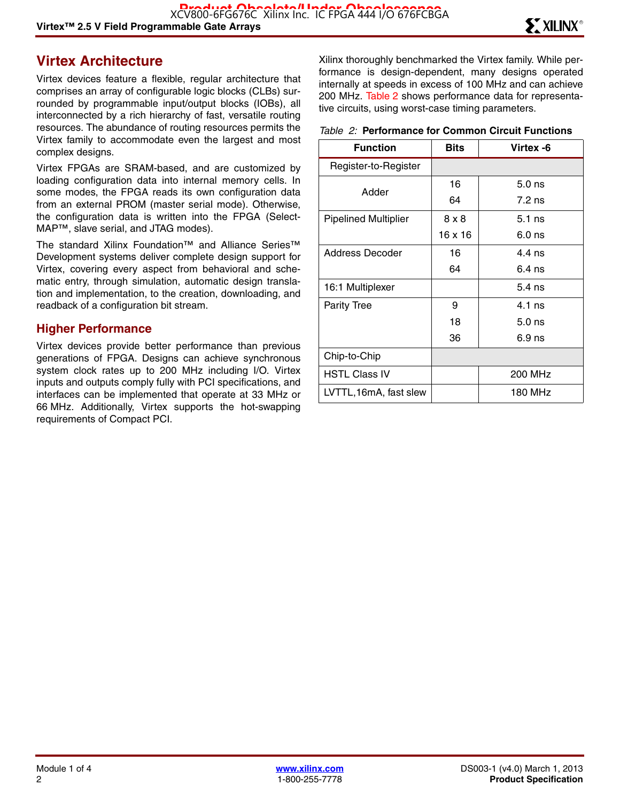# **Virtex Architecture**

Virtex devices feature a flexible, regular architecture that comprises an array of configurable logic blocks (CLBs) surrounded by programmable input/output blocks (IOBs), all interconnected by a rich hierarchy of fast, versatile routing resources. The abundance of routing resources permits the Virtex family to accommodate even the largest and most complex designs.

Virtex FPGAs are SRAM-based, and are customized by loading configuration data into internal memory cells. In some modes, the FPGA reads its own configuration data from an external PROM (master serial mode). Otherwise, the configuration data is written into the FPGA (Select-MAP™, slave serial, and JTAG modes).

The standard Xilinx Foundation™ and Alliance Series™ Development systems deliver complete design support for Virtex, covering every aspect from behavioral and schematic entry, through simulation, automatic design translation and implementation, to the creation, downloading, and readback of a configuration bit stream.

#### **Higher Performance**

Virtex devices provide better performance than previous generations of FPGA. Designs can achieve synchronous system clock rates up to 200 MHz including I/O. Virtex inputs and outputs comply fully with PCI specifications, and interfaces can be implemented that operate at 33 MHz or 66 MHz. Additionally, Virtex supports the hot-swapping requirements of Compact PCI.

Xilinx thoroughly benchmarked the Virtex family. While performance is design-dependent, many designs operated internally at speeds in excess of 100 MHz and can achieve 200 MHz. Table 2 shows performance data for representative circuits, using worst-case timing parameters.

#### *Table 2:* **Performance for Common Circuit Functions**

| <b>Function</b>             | Bits    | Virtex -6 |
|-----------------------------|---------|-----------|
| Register-to-Register        |         |           |
| Adder                       | 16      | $5.0$ ns  |
|                             | 64      | $7.2$ ns  |
| <b>Pipelined Multiplier</b> | 8 x 8   | $5.1$ ns  |
|                             | 16 x 16 | $6.0$ ns  |
| Address Decoder             | 16      | $4.4$ ns  |
|                             | 64      | $6.4$ ns  |
| 16:1 Multiplexer            |         | $5.4$ ns  |
| Parity Tree                 | 9       | $4.1$ ns  |
|                             | 18      | $5.0$ ns  |
|                             | 36      | $6.9$ ns  |
| Chip-to-Chip                |         |           |
| <b>HSTL Class IV</b>        |         | 200 MHz   |
| LVTTL,16mA, fast slew       |         | 180 MHz   |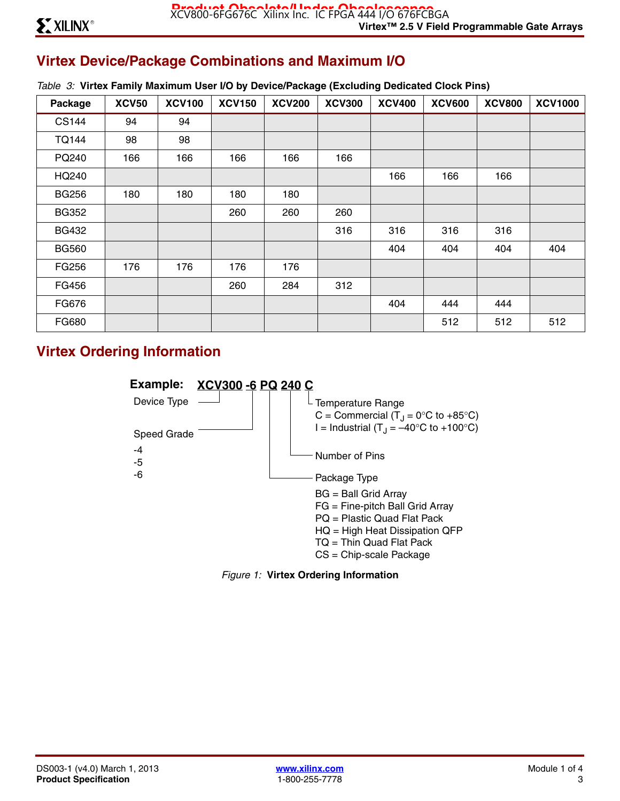# **Virtex Device/Package Combinations and Maximum I/O**

| Package      | <b>XCV50</b> | <b>XCV100</b> | <b>XCV150</b> | <b>XCV200</b> | <b>XCV300</b> | <b>XCV400</b> | <b>XCV600</b> | <b>XCV800</b> | <b>XCV1000</b> |
|--------------|--------------|---------------|---------------|---------------|---------------|---------------|---------------|---------------|----------------|
| <b>CS144</b> | 94           | 94            |               |               |               |               |               |               |                |
| <b>TQ144</b> | 98           | 98            |               |               |               |               |               |               |                |
| PQ240        | 166          | 166           | 166           | 166           | 166           |               |               |               |                |
| HQ240        |              |               |               |               |               | 166           | 166           | 166           |                |
| <b>BG256</b> | 180          | 180           | 180           | 180           |               |               |               |               |                |
| <b>BG352</b> |              |               | 260           | 260           | 260           |               |               |               |                |
| <b>BG432</b> |              |               |               |               | 316           | 316           | 316           | 316           |                |
| <b>BG560</b> |              |               |               |               |               | 404           | 404           | 404           | 404            |
| FG256        | 176          | 176           | 176           | 176           |               |               |               |               |                |
| FG456        |              |               | 260           | 284           | 312           |               |               |               |                |
| FG676        |              |               |               |               |               | 404           | 444           | 444           |                |
| FG680        |              |               |               |               |               |               | 512           | 512           | 512            |

# **Virtex Ordering Information**



*Figure 1:* **Virtex Ordering Information**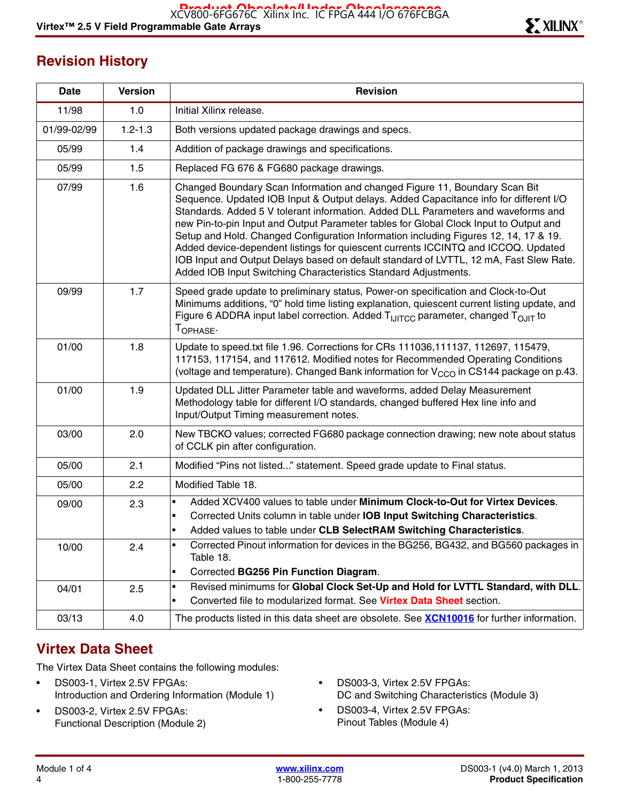# **Revision History**

| <b>Date</b> | <b>Version</b> | <b>Revision</b>                                                                                                                                                                                                                                                                                                                                                                                                                                                                                                                                                                                                                                                                             |
|-------------|----------------|---------------------------------------------------------------------------------------------------------------------------------------------------------------------------------------------------------------------------------------------------------------------------------------------------------------------------------------------------------------------------------------------------------------------------------------------------------------------------------------------------------------------------------------------------------------------------------------------------------------------------------------------------------------------------------------------|
| 11/98       | 1.0            | Initial Xilinx release.                                                                                                                                                                                                                                                                                                                                                                                                                                                                                                                                                                                                                                                                     |
| 01/99-02/99 | $1.2 - 1.3$    | Both versions updated package drawings and specs.                                                                                                                                                                                                                                                                                                                                                                                                                                                                                                                                                                                                                                           |
| 05/99       | 1.4            | Addition of package drawings and specifications.                                                                                                                                                                                                                                                                                                                                                                                                                                                                                                                                                                                                                                            |
| 05/99       | 1.5            | Replaced FG 676 & FG680 package drawings.                                                                                                                                                                                                                                                                                                                                                                                                                                                                                                                                                                                                                                                   |
| 07/99       | 1.6            | Changed Boundary Scan Information and changed Figure 11, Boundary Scan Bit<br>Sequence. Updated IOB Input & Output delays. Added Capacitance info for different I/O<br>Standards. Added 5 V tolerant information. Added DLL Parameters and waveforms and<br>new Pin-to-pin Input and Output Parameter tables for Global Clock Input to Output and<br>Setup and Hold. Changed Configuration Information including Figures 12, 14, 17 & 19.<br>Added device-dependent listings for quiescent currents ICCINTQ and ICCOQ. Updated<br>IOB Input and Output Delays based on default standard of LVTTL, 12 mA, Fast Slew Rate.<br>Added IOB Input Switching Characteristics Standard Adjustments. |
| 09/99       | 1.7            | Speed grade update to preliminary status, Power-on specification and Clock-to-Out<br>Minimums additions, "0" hold time listing explanation, quiescent current listing update, and<br>Figure 6 ADDRA input label correction. Added T <sub>IJITCC</sub> parameter, changed T <sub>OJIT</sub> to<br>TOPHASE.                                                                                                                                                                                                                                                                                                                                                                                   |
| 01/00       | 1.8            | Update to speed.txt file 1.96. Corrections for CRs 111036,111137, 112697, 115479,<br>117153, 117154, and 117612. Modified notes for Recommended Operating Conditions<br>(voltage and temperature). Changed Bank information for V <sub>CCO</sub> in CS144 package on p.43.                                                                                                                                                                                                                                                                                                                                                                                                                  |
| 01/00       | 1.9            | Updated DLL Jitter Parameter table and waveforms, added Delay Measurement<br>Methodology table for different I/O standards, changed buffered Hex line info and<br>Input/Output Timing measurement notes.                                                                                                                                                                                                                                                                                                                                                                                                                                                                                    |
| 03/00       | 2.0            | New TBCKO values; corrected FG680 package connection drawing; new note about status<br>of CCLK pin after configuration.                                                                                                                                                                                                                                                                                                                                                                                                                                                                                                                                                                     |
| 05/00       | 2.1            | Modified "Pins not listed" statement. Speed grade update to Final status.                                                                                                                                                                                                                                                                                                                                                                                                                                                                                                                                                                                                                   |
| 05/00       | 2.2            | Modified Table 18.                                                                                                                                                                                                                                                                                                                                                                                                                                                                                                                                                                                                                                                                          |
| 09/00       | 2.3            | Added XCV400 values to table under Minimum Clock-to-Out for Virtex Devices.<br>$\bullet$<br>Corrected Units column in table under IOB Input Switching Characteristics.<br>Added values to table under CLB SelectRAM Switching Characteristics.                                                                                                                                                                                                                                                                                                                                                                                                                                              |
| 10/00       | 2.4            | Corrected Pinout information for devices in the BG256, BG432, and BG560 packages in<br>Table 18.<br>Corrected BG256 Pin Function Diagram.<br>$\bullet$                                                                                                                                                                                                                                                                                                                                                                                                                                                                                                                                      |
| 04/01       | 2.5            | Revised minimums for Global Clock Set-Up and Hold for LVTTL Standard, with DLL.<br>$\bullet$<br>Converted file to modularized format. See Virtex Data Sheet section.<br>$\bullet$                                                                                                                                                                                                                                                                                                                                                                                                                                                                                                           |
| 03/13       | 4.0            | The products listed in this data sheet are obsolete. See <b>XCN10016</b> for further information.                                                                                                                                                                                                                                                                                                                                                                                                                                                                                                                                                                                           |

# **Virtex Data Sheet**

The Virtex Data Sheet contains the following modules:

- DS003-1, Virtex 2.5V FPGAs: Introduction and Ordering Information (Module 1)
- DS003-2, Virtex 2.5V FPGAs: Functional Description (Module 2)
- DS003-3, Virtex 2.5V FPGAs: DC and Switching Characteristics (Module 3)
- DS003-4, Virtex 2.5V FPGAs: Pinout Tables (Module 4)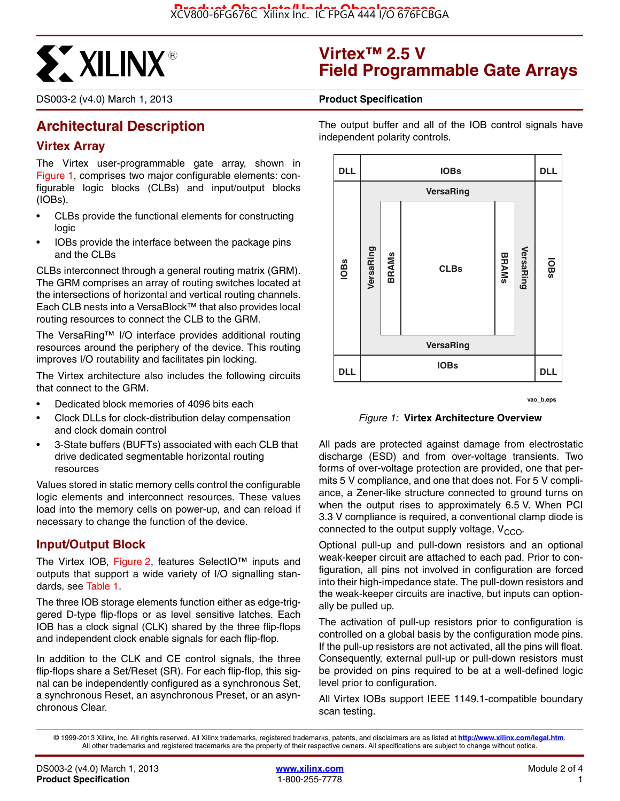

#### DS003-2 (v4.0) March 1, 2013 **0 0 Product Specification**

# **Architectural Description**

#### **Virtex Array**

The Virtex user-programmable gate array, shown in Figure 1, comprises two major configurable elements: configurable logic blocks (CLBs) and input/output blocks (IOBs).

- CLBs provide the functional elements for constructing logic
- IOBs provide the interface between the package pins and the CLBs

CLBs interconnect through a general routing matrix (GRM). The GRM comprises an array of routing switches located at the intersections of horizontal and vertical routing channels. Each CLB nests into a VersaBlock™ that also provides local routing resources to connect the CLB to the GRM.

The VersaRing™ I/O interface provides additional routing resources around the periphery of the device. This routing improves I/O routability and facilitates pin locking.

The Virtex architecture also includes the following circuits that connect to the GRM.

- Dedicated block memories of 4096 bits each
- Clock DLLs for clock-distribution delay compensation and clock domain control
- 3-State buffers (BUFTs) associated with each CLB that drive dedicated segmentable horizontal routing resources

Values stored in static memory cells control the configurable logic elements and interconnect resources. These values load into the memory cells on power-up, and can reload if necessary to change the function of the device.

#### **Input/Output Block**

The Virtex IOB, Figure 2, features SelectIO™ inputs and outputs that support a wide variety of I/O signalling standards, see Table 1.

The three IOB storage elements function either as edge-triggered D-type flip-flops or as level sensitive latches. Each IOB has a clock signal (CLK) shared by the three flip-flops and independent clock enable signals for each flip-flop.

In addition to the CLK and CE control signals, the three flip-flops share a Set/Reset (SR). For each flip-flop, this signal can be independently configured as a synchronous Set, a synchronous Reset, an asynchronous Preset, or an asynchronous Clear.

# **Virtex™ 2.5 V Field Programmable Gate Arrays**

The output buffer and all of the IOB control signals have independent polarity controls.



**vao\_b.eps**

*Figure 1:* **Virtex Architecture Overview**

All pads are protected against damage from electrostatic discharge (ESD) and from over-voltage transients. Two forms of over-voltage protection are provided, one that permits 5 V compliance, and one that does not. For 5 V compliance, a Zener-like structure connected to ground turns on when the output rises to approximately 6.5 V. When PCI 3.3 V compliance is required, a conventional clamp diode is connected to the output supply voltage,  $V_{CCO}$ .

Optional pull-up and pull-down resistors and an optional weak-keeper circuit are attached to each pad. Prior to configuration, all pins not involved in configuration are forced into their high-impedance state. The pull-down resistors and the weak-keeper circuits are inactive, but inputs can optionally be pulled up.

The activation of pull-up resistors prior to configuration is controlled on a global basis by the configuration mode pins. If the pull-up resistors are not activated, all the pins will float. Consequently, external pull-up or pull-down resistors must be provided on pins required to be at a well-defined logic level prior to configuration.

All Virtex IOBs support IEEE 1149.1-compatible boundary scan testing.

<sup>© 1999-2013</sup> Xilinx, Inc. All rights reserved. All Xilinx trademarks, registered trademarks, patents, and disclaimers are as listed at **<http://www.xilinx.com/legal.htm>**. All other trademarks and registered trademarks are the property of their respective owners. All specifications are subject to change without notice.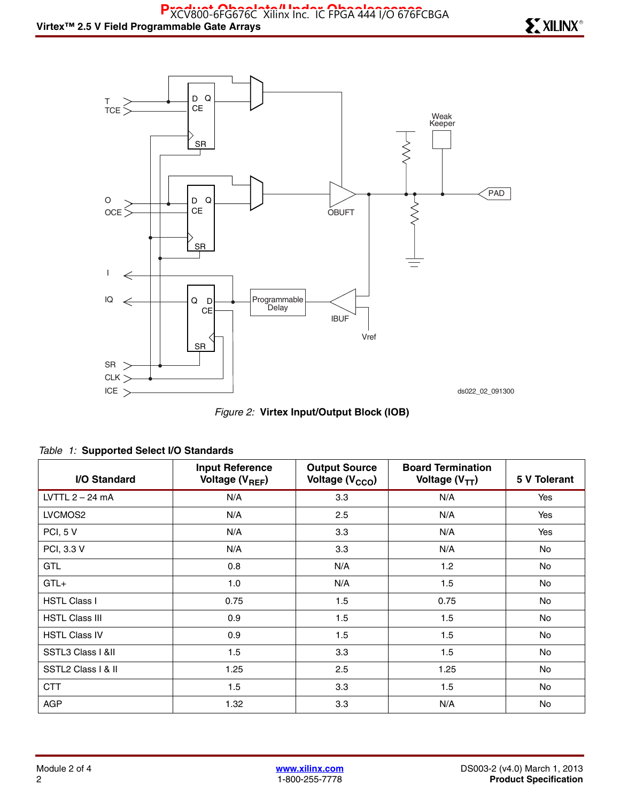

*Figure 2:* **Virtex Input/Output Block (IOB)**

| I/O Standard          | <b>Input Reference</b><br>Voltage (V <sub>REF</sub> ) | <b>Output Source</b><br>Voltage (V <sub>CCO</sub> ) | <b>Board Termination</b><br>Voltage $(V_{TT})$ | 5 V Tolerant |
|-----------------------|-------------------------------------------------------|-----------------------------------------------------|------------------------------------------------|--------------|
| LVTTL $2 - 24$ mA     | N/A                                                   | 3.3                                                 | N/A                                            | Yes          |
| LVCMOS2               | N/A                                                   | 2.5                                                 | N/A                                            | Yes          |
| PCI, 5 V              | N/A                                                   | 3.3                                                 | N/A                                            | Yes          |
| PCI, 3.3 V            | N/A                                                   | 3.3                                                 | N/A                                            | No           |
| <b>GTL</b>            | 0.8                                                   | N/A                                                 | 1.2                                            | No           |
| $GTL+$                | 1.0                                                   | N/A                                                 | 1.5                                            | No           |
| <b>HSTL Class I</b>   | 0.75                                                  | 1.5                                                 | 0.75                                           | No           |
| <b>HSTL Class III</b> | 0.9                                                   | 1.5                                                 | 1.5                                            | No           |
| <b>HSTL Class IV</b>  | 0.9                                                   | 1.5                                                 | 1.5                                            | No           |
| SSTL3 Class I &II     | 1.5                                                   | 3.3                                                 | 1.5                                            | No           |
| SSTL2 Class I & II    | 1.25                                                  | 2.5                                                 | 1.25                                           | No           |
| <b>CTT</b>            | 1.5                                                   | 3.3                                                 | 1.5                                            | No           |
| <b>AGP</b>            | 1.32                                                  | 3.3                                                 | N/A                                            | <b>No</b>    |

#### *Table 1:* **Supported Select I/O Standards**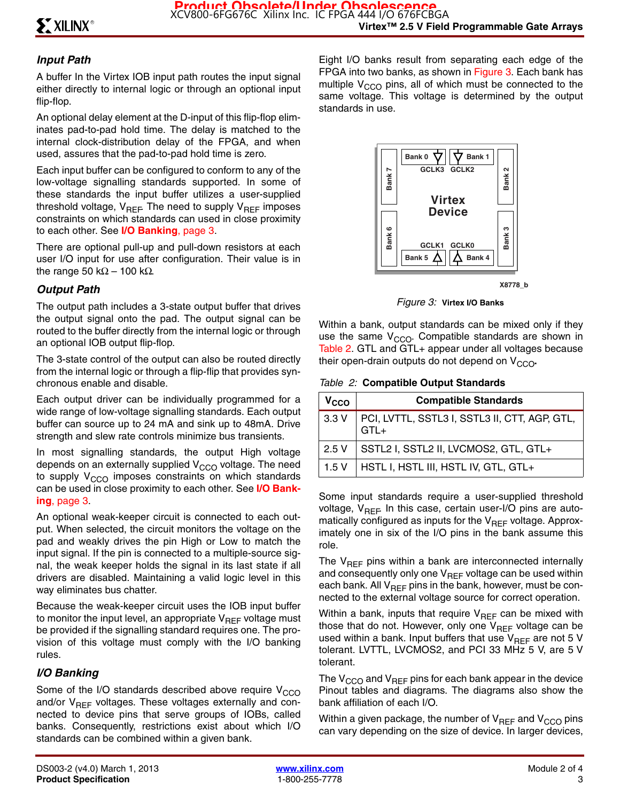# *Input Path*

A buffer In the Virtex IOB input path routes the input signal either directly to internal logic or through an optional input flip-flop.

An optional delay element at the D-input of this flip-flop eliminates pad-to-pad hold time. The delay is matched to the internal clock-distribution delay of the FPGA, and when used, assures that the pad-to-pad hold time is zero.

Each input buffer can be configured to conform to any of the low-voltage signalling standards supported. In some of these standards the input buffer utilizes a user-supplied threshold voltage,  $V_{\text{RFE}}$  The need to supply  $V_{\text{RFE}}$  imposes constraints on which standards can used in close proximity to each other. See **I/O Banking**, page 3.

There are optional pull-up and pull-down resistors at each user I/O input for use after configuration. Their value is in the range 50 kΩ – 100 kΩ.

# *Output Path*

The output path includes a 3-state output buffer that drives the output signal onto the pad. The output signal can be routed to the buffer directly from the internal logic or through an optional IOB output flip-flop.

The 3-state control of the output can also be routed directly from the internal logic or through a flip-flip that provides synchronous enable and disable.

Each output driver can be individually programmed for a wide range of low-voltage signalling standards. Each output buffer can source up to 24 mA and sink up to 48mA. Drive strength and slew rate controls minimize bus transients.

In most signalling standards, the output High voltage depends on an externally supplied  $V_{CCO}$  voltage. The need to supply  $V_{CCO}$  imposes constraints on which standards can be used in close proximity to each other. See **I/O Banking**, page 3.

An optional weak-keeper circuit is connected to each output. When selected, the circuit monitors the voltage on the pad and weakly drives the pin High or Low to match the input signal. If the pin is connected to a multiple-source signal, the weak keeper holds the signal in its last state if all drivers are disabled. Maintaining a valid logic level in this way eliminates bus chatter.

Because the weak-keeper circuit uses the IOB input buffer to monitor the input level, an appropriate  $V_{\text{RFF}}$  voltage must be provided if the signalling standard requires one. The provision of this voltage must comply with the I/O banking rules.

### *I/O Banking*

Some of the I/O standards described above require  $V<sub>CCO</sub>$ and/or  $V_{REF}$  voltages. These voltages externally and connected to device pins that serve groups of IOBs, called banks. Consequently, restrictions exist about which I/O standards can be combined within a given bank.

Eight I/O banks result from separating each edge of the FPGA into two banks, as shown in Figure 3. Each bank has multiple  $V_{CCO}$  pins, all of which must be connected to the same voltage. This voltage is determined by the output standards in use.



**X8778\_b**

*Figure 3:* **Virtex I/O Banks**

Within a bank, output standards can be mixed only if they use the same  $V_{CCO}$ . Compatible standards are shown in Table 2. GTL and GTL+ appear under all voltages because their open-drain outputs do not depend on V<sub>CCO</sub>.

*Table 2:* **Compatible Output Standards**

| V <sub>CCO</sub> | <b>Compatible Standards</b>                             |
|------------------|---------------------------------------------------------|
| 3.3V             | PCI, LVTTL, SSTL3 I, SSTL3 II, CTT, AGP, GTL,<br>$GTL+$ |
| 2.5V             | SSTL2 I, SSTL2 II, LVCMOS2, GTL, GTL+                   |
| 1.5V             | HSTL I, HSTL III, HSTL IV, GTL, GTL+                    |

Some input standards require a user-supplied threshold voltage,  $V_{BFF}$  In this case, certain user-I/O pins are automatically configured as inputs for the  $V_{REF}$  voltage. Approximately one in six of the I/O pins in the bank assume this role.

The  $V_{REF}$  pins within a bank are interconnected internally and consequently only one  $V_{REF}$  voltage can be used within each bank. All  $V_{REF}$  pins in the bank, however, must be connected to the external voltage source for correct operation.

Within a bank, inputs that require  $V_{REF}$  can be mixed with those that do not. However, only one  $V_{REF}$  voltage can be used within a bank. Input buffers that use  $V_{REF}$  are not 5 V tolerant. LVTTL, LVCMOS2, and PCI 33 MHz 5 V, are 5 V tolerant.

The  $V_{CCO}$  and  $V_{REF}$  pins for each bank appear in the device Pinout tables and diagrams. The diagrams also show the bank affiliation of each I/O.

Within a given package, the number of  $V_{REF}$  and  $V_{CCO}$  pins can vary depending on the size of device. In larger devices,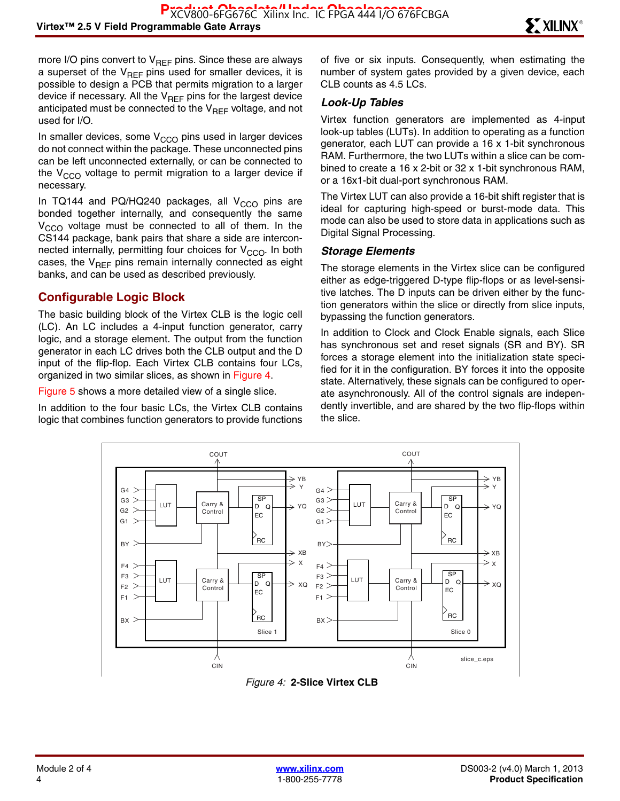more I/O pins convert to  $V_{REF}$  pins. Since these are always a superset of the  $V_{REF}$  pins used for smaller devices, it is possible to design a PCB that permits migration to a larger device if necessary. All the  $V_{REF}$  pins for the largest device anticipated must be connected to the  $V_{\text{RFF}}$  voltage, and not used for I/O.

In smaller devices, some  $V<sub>CCO</sub>$  pins used in larger devices do not connect within the package. These unconnected pins can be left unconnected externally, or can be connected to the  $V_{CCO}$  voltage to permit migration to a larger device if necessary.

In TQ144 and PQ/HQ240 packages, all  $V_{CCO}$  pins are bonded together internally, and consequently the same  $V_{\text{CCO}}$  voltage must be connected to all of them. In the CS144 package, bank pairs that share a side are interconnected internally, permitting four choices for  $V_{CCO}$ . In both cases, the  $V_{REF}$  pins remain internally connected as eight banks, and can be used as described previously.

#### **Configurable Logic Block**

The basic building block of the Virtex CLB is the logic cell (LC). An LC includes a 4-input function generator, carry logic, and a storage element. The output from the function generator in each LC drives both the CLB output and the D input of the flip-flop. Each Virtex CLB contains four LCs, organized in two similar slices, as shown in Figure 4.

Figure 5 shows a more detailed view of a single slice.

In addition to the four basic LCs, the Virtex CLB contains logic that combines function generators to provide functions of five or six inputs. Consequently, when estimating the number of system gates provided by a given device, each CLB counts as 4.5 LCs.

#### *Look-Up Tables*

Virtex function generators are implemented as 4-input look-up tables (LUTs). In addition to operating as a function generator, each LUT can provide a 16 x 1-bit synchronous RAM. Furthermore, the two LUTs within a slice can be combined to create a 16 x 2-bit or 32 x 1-bit synchronous RAM, or a 16x1-bit dual-port synchronous RAM.

The Virtex LUT can also provide a 16-bit shift register that is ideal for capturing high-speed or burst-mode data. This mode can also be used to store data in applications such as Digital Signal Processing.

#### *Storage Elements*

The storage elements in the Virtex slice can be configured either as edge-triggered D-type flip-flops or as level-sensitive latches. The D inputs can be driven either by the function generators within the slice or directly from slice inputs, bypassing the function generators.

In addition to Clock and Clock Enable signals, each Slice has synchronous set and reset signals (SR and BY). SR forces a storage element into the initialization state specified for it in the configuration. BY forces it into the opposite state. Alternatively, these signals can be configured to operate asynchronously. All of the control signals are independently invertible, and are shared by the two flip-flops within the slice.



*Figure 4:* **2-Slice Virtex CLB**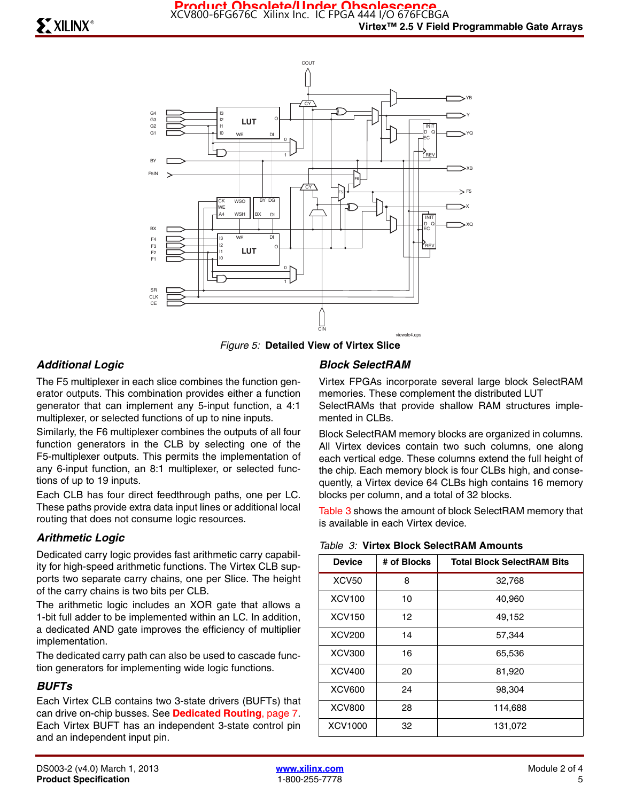

*Figure 5:* **Detailed View of Virtex Slice**

#### *Additional Logic*

The F5 multiplexer in each slice combines the function generator outputs. This combination provides either a function generator that can implement any 5-input function, a 4:1 multiplexer, or selected functions of up to nine inputs.

Similarly, the F6 multiplexer combines the outputs of all four function generators in the CLB by selecting one of the F5-multiplexer outputs. This permits the implementation of any 6-input function, an 8:1 multiplexer, or selected functions of up to 19 inputs.

Each CLB has four direct feedthrough paths, one per LC. These paths provide extra data input lines or additional local routing that does not consume logic resources.

#### *Arithmetic Logic*

Dedicated carry logic provides fast arithmetic carry capability for high-speed arithmetic functions. The Virtex CLB supports two separate carry chains, one per Slice. The height of the carry chains is two bits per CLB.

The arithmetic logic includes an XOR gate that allows a 1-bit full adder to be implemented within an LC. In addition, a dedicated AND gate improves the efficiency of multiplier implementation.

The dedicated carry path can also be used to cascade function generators for implementing wide logic functions.

#### *BUFTs*

Each Virtex CLB contains two 3-state drivers (BUFTs) that can drive on-chip busses. See **Dedicated Routing**, page 7. Each Virtex BUFT has an independent 3-state control pin and an independent input pin.

#### *Block SelectRAM*

Virtex FPGAs incorporate several large block SelectRAM memories. These complement the distributed LUT SelectRAMs that provide shallow RAM structures implemented in CLBs.

Block SelectRAM memory blocks are organized in columns. All Virtex devices contain two such columns, one along each vertical edge. These columns extend the full height of the chip. Each memory block is four CLBs high, and consequently, a Virtex device 64 CLBs high contains 16 memory blocks per column, and a total of 32 blocks.

Table 3 shows the amount of block SelectRAM memory that is available in each Virtex device.

| Table 3: Virtex Block SelectRAM Amounts |  |
|-----------------------------------------|--|
|-----------------------------------------|--|

| <b>Device</b> | # of Blocks | <b>Total Block SelectRAM Bits</b> |
|---------------|-------------|-----------------------------------|
| <b>XCV50</b>  | 8           | 32,768                            |
| <b>XCV100</b> | 10          | 40,960                            |
| <b>XCV150</b> | 12          | 49,152                            |
| <b>XCV200</b> | 14          | 57,344                            |
| <b>XCV300</b> | 16          | 65,536                            |
| <b>XCV400</b> | 20          | 81,920                            |
| <b>XCV600</b> | 24          | 98,304                            |
| <b>XCV800</b> | 28          | 114,688                           |
| XCV1000<br>32 |             | 131,072                           |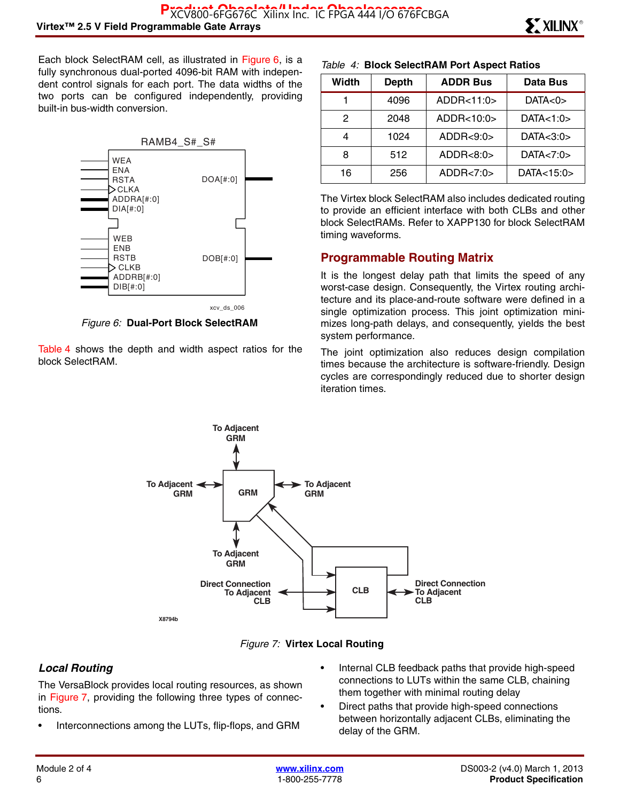Each block SelectRAM cell, as illustrated in Figure 6, is a fully synchronous dual-ported 4096-bit RAM with independent control signals for each port. The data widths of the two ports can be configured independently, providing built-in bus-width conversion.



*Figure 6:* **Dual-Port Block SelectRAM**

Table 4 shows the depth and width aspect ratios for the block SelectRAM.

#### *Table 4:* **Block SelectRAM Port Aspect Ratios**

| Width | <b>Depth</b> | <b>ADDR Bus</b> | Data Bus    |
|-------|--------------|-----------------|-------------|
|       | 4096         | ADDR<11:0>      | DATA<0>     |
| 2     | 2048         | ADDR<10:0>      | DATA<1:0>   |
| 4     | 1024         | ADDR < 9:0>     | DATA<3:0>   |
| 8     | 512          | ADDR < 8:0>     | DATA < 7:0> |
| 16    | 256          | ADDR < 7:0>     | DATA<15:0>  |

The Virtex block SelectRAM also includes dedicated routing to provide an efficient interface with both CLBs and other block SelectRAMs. Refer to XAPP130 for block SelectRAM timing waveforms.

#### **Programmable Routing Matrix**

It is the longest delay path that limits the speed of any worst-case design. Consequently, the Virtex routing architecture and its place-and-route software were defined in a single optimization process. This joint optimization minimizes long-path delays, and consequently, yields the best system performance.

The joint optimization also reduces design compilation times because the architecture is software-friendly. Design cycles are correspondingly reduced due to shorter design iteration times.





#### *Local Routing*

The VersaBlock provides local routing resources, as shown in Figure 7, providing the following three types of connections.

- Interconnections among the LUTs, flip-flops, and GRM
- Internal CLB feedback paths that provide high-speed connections to LUTs within the same CLB, chaining them together with minimal routing delay
- Direct paths that provide high-speed connections between horizontally adjacent CLBs, eliminating the delay of the GRM.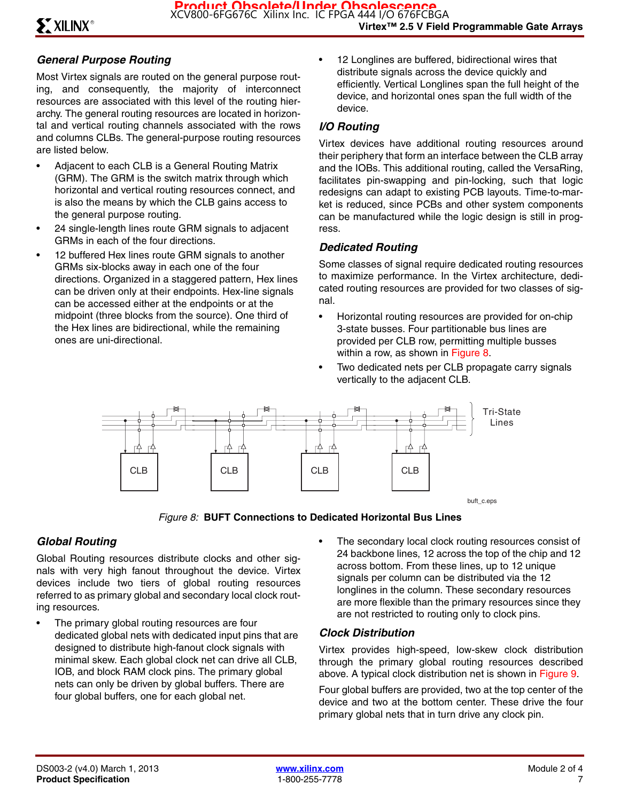#### *General Purpose Routing*

Most Virtex signals are routed on the general purpose routing, and consequently, the majority of interconnect resources are associated with this level of the routing hierarchy. The general routing resources are located in horizontal and vertical routing channels associated with the rows and columns CLBs. The general-purpose routing resources are listed below.

- Adjacent to each CLB is a General Routing Matrix (GRM). The GRM is the switch matrix through which horizontal and vertical routing resources connect, and is also the means by which the CLB gains access to the general purpose routing.
- 24 single-length lines route GRM signals to adjacent GRMs in each of the four directions.
- 12 buffered Hex lines route GRM signals to another GRMs six-blocks away in each one of the four directions. Organized in a staggered pattern, Hex lines can be driven only at their endpoints. Hex-line signals can be accessed either at the endpoints or at the midpoint (three blocks from the source). One third of the Hex lines are bidirectional, while the remaining ones are uni-directional.

• 12 Longlines are buffered, bidirectional wires that distribute signals across the device quickly and efficiently. Vertical Longlines span the full height of the device, and horizontal ones span the full width of the device.

#### *I/O Routing*

Virtex devices have additional routing resources around their periphery that form an interface between the CLB array and the IOBs. This additional routing, called the VersaRing, facilitates pin-swapping and pin-locking, such that logic redesigns can adapt to existing PCB layouts. Time-to-market is reduced, since PCBs and other system components can be manufactured while the logic design is still in progress.

#### *Dedicated Routing*

Some classes of signal require dedicated routing resources to maximize performance. In the Virtex architecture, dedicated routing resources are provided for two classes of signal.

- Horizontal routing resources are provided for on-chip 3-state busses. Four partitionable bus lines are provided per CLB row, permitting multiple busses within a row, as shown in Figure 8.
- Two dedicated nets per CLB propagate carry signals vertically to the adjacent CLB.



*Figure 8:* **BUFT Connections to Dedicated Horizontal Bus Lines**

#### *Global Routing*

Global Routing resources distribute clocks and other signals with very high fanout throughout the device. Virtex devices include two tiers of global routing resources referred to as primary global and secondary local clock routing resources.

- The primary global routing resources are four dedicated global nets with dedicated input pins that are designed to distribute high-fanout clock signals with minimal skew. Each global clock net can drive all CLB, IOB, and block RAM clock pins. The primary global nets can only be driven by global buffers. There are four global buffers, one for each global net.
- The secondary local clock routing resources consist of 24 backbone lines, 12 across the top of the chip and 12 across bottom. From these lines, up to 12 unique signals per column can be distributed via the 12 longlines in the column. These secondary resources are more flexible than the primary resources since they are not restricted to routing only to clock pins.

#### *Clock Distribution*

Virtex provides high-speed, low-skew clock distribution through the primary global routing resources described above. A typical clock distribution net is shown in Figure 9.

Four global buffers are provided, two at the top center of the device and two at the bottom center. These drive the four primary global nets that in turn drive any clock pin.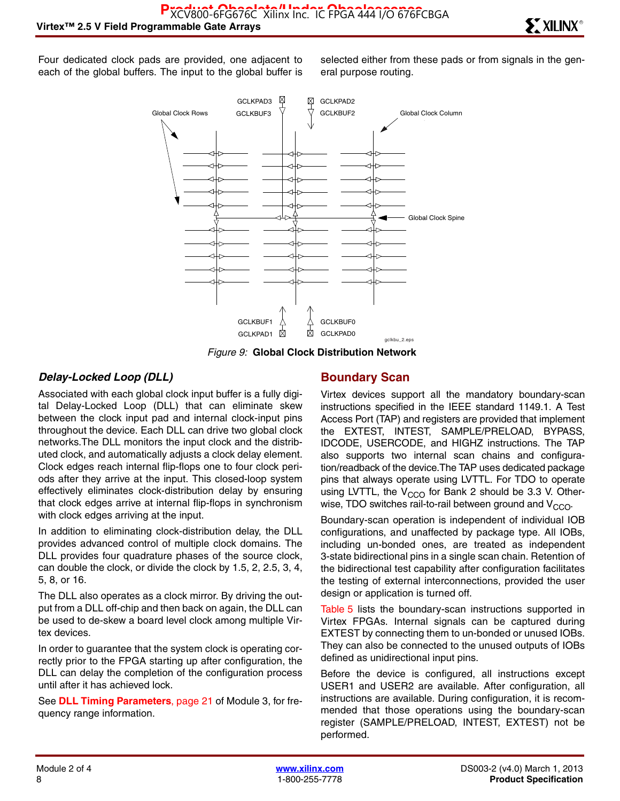Four dedicated clock pads are provided, one adjacent to each of the global buffers. The input to the global buffer is selected either from these pads or from signals in the general purpose routing.



*Figure 9:* **Global Clock Distribution Network**

#### *Delay-Locked Loop (DLL)*

Associated with each global clock input buffer is a fully digital Delay-Locked Loop (DLL) that can eliminate skew between the clock input pad and internal clock-input pins throughout the device. Each DLL can drive two global clock networks.The DLL monitors the input clock and the distributed clock, and automatically adjusts a clock delay element. Clock edges reach internal flip-flops one to four clock periods after they arrive at the input. This closed-loop system effectively eliminates clock-distribution delay by ensuring that clock edges arrive at internal flip-flops in synchronism with clock edges arriving at the input.

In addition to eliminating clock-distribution delay, the DLL provides advanced control of multiple clock domains. The DLL provides four quadrature phases of the source clock, can double the clock, or divide the clock by 1.5, 2, 2.5, 3, 4, 5, 8, or 16.

The DLL also operates as a clock mirror. By driving the output from a DLL off-chip and then back on again, the DLL can be used to de-skew a board level clock among multiple Virtex devices.

In order to guarantee that the system clock is operating correctly prior to the FPGA starting up after configuration, the DLL can delay the completion of the configuration process until after it has achieved lock.

See **DLL Timing Parameters**, page 21 of Module 3, for frequency range information.

#### **Boundary Scan**

Virtex devices support all the mandatory boundary-scan instructions specified in the IEEE standard 1149.1. A Test Access Port (TAP) and registers are provided that implement the EXTEST, INTEST, SAMPLE/PRELOAD, BYPASS, IDCODE, USERCODE, and HIGHZ instructions. The TAP also supports two internal scan chains and configuration/readback of the device.The TAP uses dedicated package pins that always operate using LVTTL. For TDO to operate using LVTTL, the  $V_{CCO}$  for Bank 2 should be 3.3 V. Otherwise, TDO switches rail-to-rail between ground and  $V_{CCO}$ .

Boundary-scan operation is independent of individual IOB configurations, and unaffected by package type. All IOBs, including un-bonded ones, are treated as independent 3-state bidirectional pins in a single scan chain. Retention of the bidirectional test capability after configuration facilitates the testing of external interconnections, provided the user design or application is turned off.

Table 5 lists the boundary-scan instructions supported in Virtex FPGAs. Internal signals can be captured during EXTEST by connecting them to un-bonded or unused IOBs. They can also be connected to the unused outputs of IOBs defined as unidirectional input pins.

Before the device is configured, all instructions except USER1 and USER2 are available. After configuration, all instructions are available. During configuration, it is recommended that those operations using the boundary-scan register (SAMPLE/PRELOAD, INTEST, EXTEST) not be performed.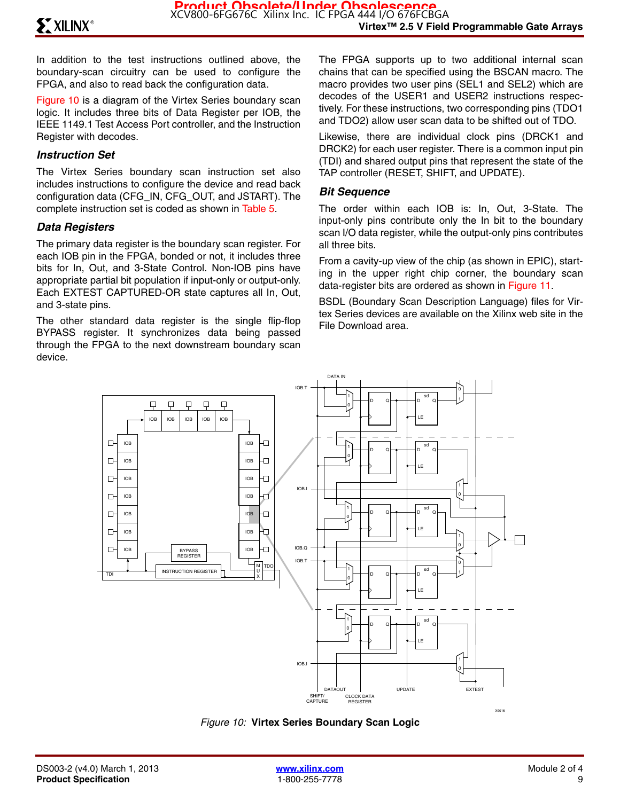In addition to the test instructions outlined above, the boundary-scan circuitry can be used to configure the FPGA, and also to read back the configuration data.

Figure 10 is a diagram of the Virtex Series boundary scan logic. It includes three bits of Data Register per IOB, the IEEE 1149.1 Test Access Port controller, and the Instruction Register with decodes.

#### *Instruction Set*

The Virtex Series boundary scan instruction set also includes instructions to configure the device and read back configuration data (CFG\_IN, CFG\_OUT, and JSTART). The complete instruction set is coded as shown in Table 5.

#### *Data Registers*

The primary data register is the boundary scan register. For each IOB pin in the FPGA, bonded or not, it includes three bits for In, Out, and 3-State Control. Non-IOB pins have appropriate partial bit population if input-only or output-only. Each EXTEST CAPTURED-OR state captures all In, Out, and 3-state pins.

The other standard data register is the single flip-flop BYPASS register. It synchronizes data being passed through the FPGA to the next downstream boundary scan device.

The FPGA supports up to two additional internal scan chains that can be specified using the BSCAN macro. The macro provides two user pins (SEL1 and SEL2) which are decodes of the USER1 and USER2 instructions respectively. For these instructions, two corresponding pins (TDO1 and TDO2) allow user scan data to be shifted out of TDO.

Likewise, there are individual clock pins (DRCK1 and DRCK2) for each user register. There is a common input pin (TDI) and shared output pins that represent the state of the TAP controller (RESET, SHIFT, and UPDATE).

#### *Bit Sequence*

The order within each IOB is: In, Out, 3-State. The input-only pins contribute only the In bit to the boundary scan I/O data register, while the output-only pins contributes all three bits.

From a cavity-up view of the chip (as shown in EPIC), starting in the upper right chip corner, the boundary scan data-register bits are ordered as shown in Figure 11.

BSDL (Boundary Scan Description Language) files for Virtex Series devices are available on the Xilinx web site in the File Download area.



*Figure 10:* **Virtex Series Boundary Scan Logic**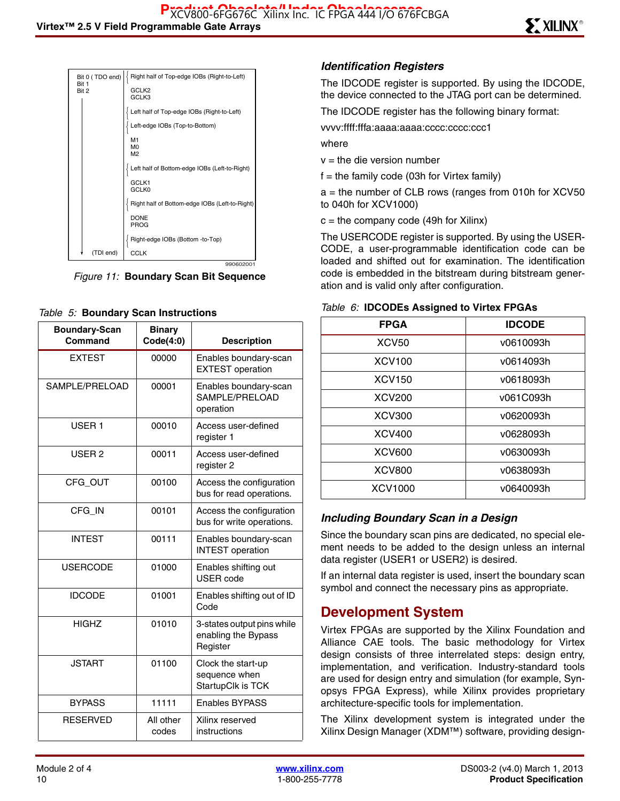| Bit 0 (TDO end)<br>Rit 1 | Right half of Top-edge IOBs (Right-to-Left)    |
|--------------------------|------------------------------------------------|
| Bit 2                    | GCLK <sub>2</sub><br>GCLK3                     |
|                          |                                                |
|                          | Left half of Top-edge IOBs (Right-to-Left)     |
|                          | Left-edge IOBs (Top-to-Bottom)                 |
|                          | M1<br>M <sub>0</sub>                           |
|                          | M <sub>2</sub>                                 |
|                          | Left half of Bottom-edge IOBs (Left-to-Right)  |
|                          | GCLK1<br><b>GCLK0</b>                          |
|                          | Right half of Bottom-edge IOBs (Left-to-Right) |
|                          | <b>DONE</b><br>PROG                            |
|                          | Right-edge IOBs (Bottom -to-Top)               |
| (TDI end)                | CCLK                                           |
|                          | 990602001                                      |

*Figure 11:* **Boundary Scan Bit Sequence**

#### *Table 5:* **Boundary Scan Instructions**

| <b>Boundary-Scan</b><br>Command | <b>Binary</b><br>Code(4:0) | <b>Description</b>                                            |
|---------------------------------|----------------------------|---------------------------------------------------------------|
| <b>EXTEST</b>                   | 00000                      | Enables boundary-scan<br><b>EXTEST</b> operation              |
| SAMPLE/PRELOAD                  | 00001                      | Enables boundary-scan<br>SAMPLE/PRELOAD<br>operation          |
| USER <sub>1</sub>               | 00010                      | Access user-defined<br>register 1                             |
| USER <sub>2</sub>               | 00011                      | Access user-defined<br>register 2                             |
| CFG_OUT                         | 00100                      | Access the configuration<br>bus for read operations.          |
| CFG_IN                          | 00101                      | Access the configuration<br>bus for write operations.         |
| <b>INTEST</b>                   | 00111                      | Enables boundary-scan<br><b>INTEST</b> operation              |
| <b>USERCODE</b>                 | 01000                      | Enables shifting out<br><b>USER</b> code                      |
| <b>IDCODE</b>                   | 01001                      | Enables shifting out of ID<br>Code                            |
| <b>HIGHZ</b>                    | 01010                      | 3-states output pins while<br>enabling the Bypass<br>Register |
| <b>JSTART</b>                   | 01100                      | Clock the start-up<br>sequence when<br>StartupClk is TCK      |
| <b>BYPASS</b>                   | 11111                      | <b>Enables BYPASS</b>                                         |
| <b>RESERVED</b>                 | All other<br>codes         | Xilinx reserved<br>instructions                               |

#### *Identification Registers*

The IDCODE register is supported. By using the IDCODE, the device connected to the JTAG port can be determined.

The IDCODE register has the following binary format:

vvvv:ffff:fffa:aaaa:aaaa:cccc:cccc:ccc1

where

 $v =$  the die version number

 $f =$  the family code (03h for Virtex family)

 $a =$  the number of CLB rows (ranges from 010h for XCV50 to 040h for XCV1000)

 $c =$  the company code (49h for Xilinx)

The USERCODE register is supported. By using the USER-CODE, a user-programmable identification code can be loaded and shifted out for examination. The identification code is embedded in the bitstream during bitstream generation and is valid only after configuration.

| <b>FPGA</b>   | <b>IDCODE</b> |
|---------------|---------------|
| <b>XCV50</b>  | v0610093h     |
| <b>XCV100</b> | v0614093h     |
| <b>XCV150</b> | v0618093h     |
| <b>XCV200</b> | v061C093h     |
| <b>XCV300</b> | v0620093h     |
| <b>XCV400</b> | v0628093h     |
| <b>XCV600</b> | v0630093h     |
| <b>XCV800</b> | v0638093h     |
| XCV1000       | v0640093h     |

#### *Table 6:* **IDCODEs Assigned to Virtex FPGAs**

#### *Including Boundary Scan in a Design*

Since the boundary scan pins are dedicated, no special element needs to be added to the design unless an internal data register (USER1 or USER2) is desired.

If an internal data register is used, insert the boundary scan symbol and connect the necessary pins as appropriate.

# **Development System**

Virtex FPGAs are supported by the Xilinx Foundation and Alliance CAE tools. The basic methodology for Virtex design consists of three interrelated steps: design entry, implementation, and verification. Industry-standard tools are used for design entry and simulation (for example, Synopsys FPGA Express), while Xilinx provides proprietary architecture-specific tools for implementation.

The Xilinx development system is integrated under the Xilinx Design Manager (XDM™) software, providing design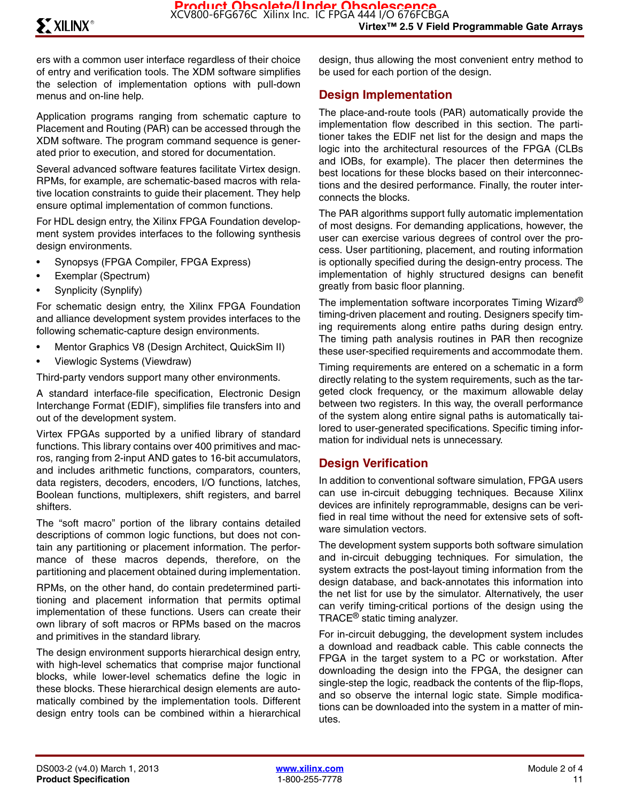ers with a common user interface regardless of their choice of entry and verification tools. The XDM software simplifies the selection of implementation options with pull-down menus and on-line help.

Application programs ranging from schematic capture to Placement and Routing (PAR) can be accessed through the XDM software. The program command sequence is generated prior to execution, and stored for documentation.

Several advanced software features facilitate Virtex design. RPMs, for example, are schematic-based macros with relative location constraints to guide their placement. They help ensure optimal implementation of common functions.

For HDL design entry, the Xilinx FPGA Foundation development system provides interfaces to the following synthesis design environments.

- Synopsys (FPGA Compiler, FPGA Express)
- Exemplar (Spectrum)
- Synplicity (Synplify)

For schematic design entry, the Xilinx FPGA Foundation and alliance development system provides interfaces to the following schematic-capture design environments.

- Mentor Graphics V8 (Design Architect, QuickSim II)
- Viewlogic Systems (Viewdraw)

Third-party vendors support many other environments.

A standard interface-file specification, Electronic Design Interchange Format (EDIF), simplifies file transfers into and out of the development system.

Virtex FPGAs supported by a unified library of standard functions. This library contains over 400 primitives and macros, ranging from 2-input AND gates to 16-bit accumulators, and includes arithmetic functions, comparators, counters, data registers, decoders, encoders, I/O functions, latches, Boolean functions, multiplexers, shift registers, and barrel shifters.

The "soft macro" portion of the library contains detailed descriptions of common logic functions, but does not contain any partitioning or placement information. The performance of these macros depends, therefore, on the partitioning and placement obtained during implementation.

RPMs, on the other hand, do contain predetermined partitioning and placement information that permits optimal implementation of these functions. Users can create their own library of soft macros or RPMs based on the macros and primitives in the standard library.

The design environment supports hierarchical design entry, with high-level schematics that comprise major functional blocks, while lower-level schematics define the logic in these blocks. These hierarchical design elements are automatically combined by the implementation tools. Different design entry tools can be combined within a hierarchical

design, thus allowing the most convenient entry method to be used for each portion of the design.

#### **Design Implementation**

The place-and-route tools (PAR) automatically provide the implementation flow described in this section. The partitioner takes the EDIF net list for the design and maps the logic into the architectural resources of the FPGA (CLBs and IOBs, for example). The placer then determines the best locations for these blocks based on their interconnections and the desired performance. Finally, the router interconnects the blocks.

The PAR algorithms support fully automatic implementation of most designs. For demanding applications, however, the user can exercise various degrees of control over the process. User partitioning, placement, and routing information is optionally specified during the design-entry process. The implementation of highly structured designs can benefit greatly from basic floor planning.

The implementation software incorporates Timing Wizard<sup>®</sup> timing-driven placement and routing. Designers specify timing requirements along entire paths during design entry. The timing path analysis routines in PAR then recognize these user-specified requirements and accommodate them.

Timing requirements are entered on a schematic in a form directly relating to the system requirements, such as the targeted clock frequency, or the maximum allowable delay between two registers. In this way, the overall performance of the system along entire signal paths is automatically tailored to user-generated specifications. Specific timing information for individual nets is unnecessary.

#### **Design Verification**

In addition to conventional software simulation, FPGA users can use in-circuit debugging techniques. Because Xilinx devices are infinitely reprogrammable, designs can be verified in real time without the need for extensive sets of software simulation vectors.

The development system supports both software simulation and in-circuit debugging techniques. For simulation, the system extracts the post-layout timing information from the design database, and back-annotates this information into the net list for use by the simulator. Alternatively, the user can verify timing-critical portions of the design using the TRACE® static timing analyzer.

For in-circuit debugging, the development system includes a download and readback cable. This cable connects the FPGA in the target system to a PC or workstation. After downloading the design into the FPGA, the designer can single-step the logic, readback the contents of the flip-flops, and so observe the internal logic state. Simple modifications can be downloaded into the system in a matter of minutes.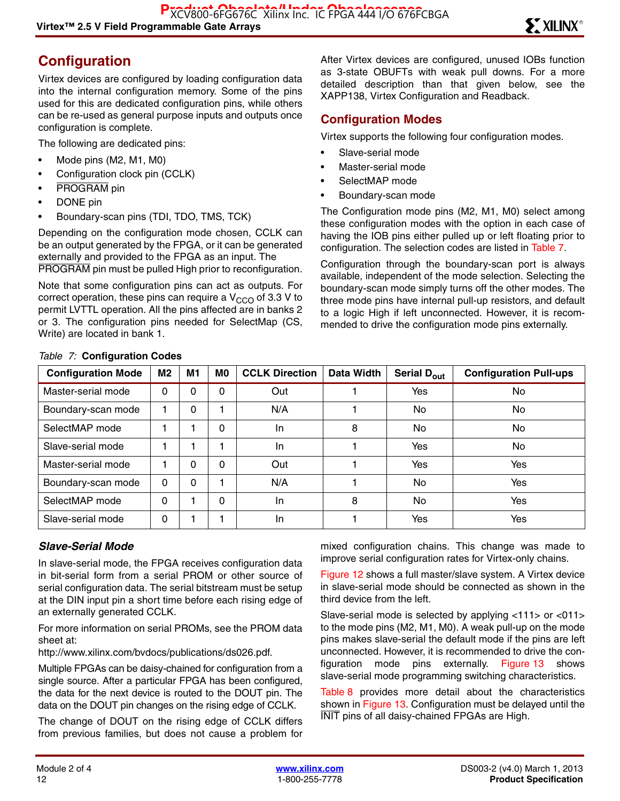# **Configuration**

Virtex devices are configured by loading configuration data into the internal configuration memory. Some of the pins used for this are dedicated configuration pins, while others can be re-used as general purpose inputs and outputs once configuration is complete.

The following are dedicated pins:

- Mode pins (M2, M1, M0)
- Configuration clock pin (CCLK)
- PROGRAM pin
- DONE pin
- Boundary-scan pins (TDI, TDO, TMS, TCK)

Depending on the configuration mode chosen, CCLK can be an output generated by the FPGA, or it can be generated externally and provided to the FPGA as an input. The PROGRAM pin must be pulled High prior to reconfiguration.

Note that some configuration pins can act as outputs. For correct operation, these pins can require a  $V_{CCO}$  of 3.3 V to permit LVTTL operation. All the pins affected are in banks 2 or 3. The configuration pins needed for SelectMap (CS, Write) are located in bank 1.

After Virtex devices are configured, unused IOBs function as 3-state OBUFTs with weak pull downs. For a more detailed description than that given below, see the XAPP138, Virtex Configuration and Readback.

#### **Configuration Modes**

Virtex supports the following four configuration modes.

- Slave-serial mode
- Master-serial mode
- SelectMAP mode
- Boundary-scan mode

The Configuration mode pins (M2, M1, M0) select among these configuration modes with the option in each case of having the IOB pins either pulled up or left floating prior to configuration. The selection codes are listed in Table 7.

Configuration through the boundary-scan port is always available, independent of the mode selection. Selecting the boundary-scan mode simply turns off the other modes. The three mode pins have internal pull-up resistors, and default to a logic High if left unconnected. However, it is recommended to drive the configuration mode pins externally.

| <b>Configuration Mode</b> | M2       | M1 | M <sub>0</sub> | <b>CCLK Direction</b> | Data Width | Serial D <sub>out</sub> | <b>Configuration Pull-ups</b> |
|---------------------------|----------|----|----------------|-----------------------|------------|-------------------------|-------------------------------|
| Master-serial mode        | 0        | 0  | 0              | Out                   |            | Yes                     | No.                           |
| Boundary-scan mode        |          | 0  |                | N/A                   |            | No.                     | <b>No</b>                     |
| SelectMAP mode            |          |    | $\Omega$       | In.                   | 8          | No                      | No                            |
| Slave-serial mode         |          |    |                | In.                   |            | Yes                     | No.                           |
| Master-serial mode        |          | 0  | $\Omega$       | Out                   |            | Yes                     | Yes                           |
| Boundary-scan mode        | $\Omega$ | 0  |                | N/A                   |            | No                      | Yes                           |
| SelectMAP mode            | 0        |    | 0              | In.                   | 8          | No.                     | Yes                           |
| Slave-serial mode         | 0        |    |                | In                    |            | Yes                     | Yes                           |

#### *Table 7:* **Configuration Codes**

#### *Slave-Serial Mode*

In slave-serial mode, the FPGA receives configuration data in bit-serial form from a serial PROM or other source of serial configuration data. The serial bitstream must be setup at the DIN input pin a short time before each rising edge of an externally generated CCLK.

For more information on serial PROMs, see the PROM data sheet at:

http://www.xilinx.com/bvdocs/publications/ds026.pdf.

Multiple FPGAs can be daisy-chained for configuration from a single source. After a particular FPGA has been configured, the data for the next device is routed to the DOUT pin. The data on the DOUT pin changes on the rising edge of CCLK.

The change of DOUT on the rising edge of CCLK differs from previous families, but does not cause a problem for

mixed configuration chains. This change was made to improve serial configuration rates for Virtex-only chains.

Figure 12 shows a full master/slave system. A Virtex device in slave-serial mode should be connected as shown in the third device from the left.

Slave-serial mode is selected by applying <111> or <011> to the mode pins (M2, M1, M0). A weak pull-up on the mode pins makes slave-serial the default mode if the pins are left unconnected. However, it is recommended to drive the configuration mode pins externally. Figure 13 shows slave-serial mode programming switching characteristics.

Table 8 provides more detail about the characteristics shown in Figure 13. Configuration must be delayed until the INIT pins of all daisy-chained FPGAs are High.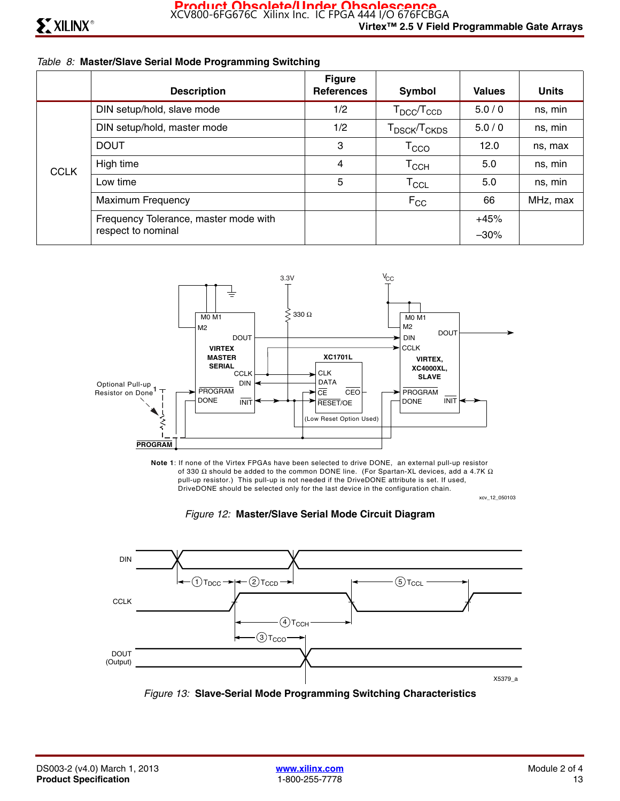#### *Table 8:* **Master/Slave Serial Mode Programming Switching**

|             | <b>Description</b>                    | <b>Figure</b><br><b>References</b> | Symbol                               | <b>Values</b> | <b>Units</b> |
|-------------|---------------------------------------|------------------------------------|--------------------------------------|---------------|--------------|
|             | DIN setup/hold, slave mode            | 1/2                                | $T_{\text{DCC}}/T_{\text{CCD}}$      | 5.0/0         | ns, min      |
| <b>CCLK</b> | DIN setup/hold, master mode           | 1/2                                | T <sub>DSCK</sub> /T <sub>CKDS</sub> | 5.0/0         | ns, min      |
|             | <b>DOUT</b>                           | 3                                  | $\mathsf{T}_{\text{CCO}}$            | 12.0          | ns, max      |
|             | High time                             | 4                                  | Тссн                                 | 5.0           | ns, min      |
|             | Low time                              | 5                                  | $\mathsf{T}_{\mathsf{CCL}}$          | 5.0           | ns, min      |
|             | <b>Maximum Frequency</b>              |                                    | $F_{CC}$                             | 66            | MHz, max     |
|             | Frequency Tolerance, master mode with |                                    |                                      | $+45%$        |              |
|             | respect to nominal                    |                                    |                                      | $-30%$        |              |



xcv\_12\_050103 **Note 1**: If none of the Virtex FPGAs have been selected to drive DONE, an external pull-up resistor of 330  $\Omega$  should be added to the common DONE line. (For Spartan-XL devices, add a 4.7K  $\Omega$  pull-up resistor.) This pull-up is not needed if the DriveDONE attribute is set. If used, DriveDONE should be selected only for the last device in the configuration chain.





*Figure 13:* **Slave-Serial Mode Programming Switching Characteristics**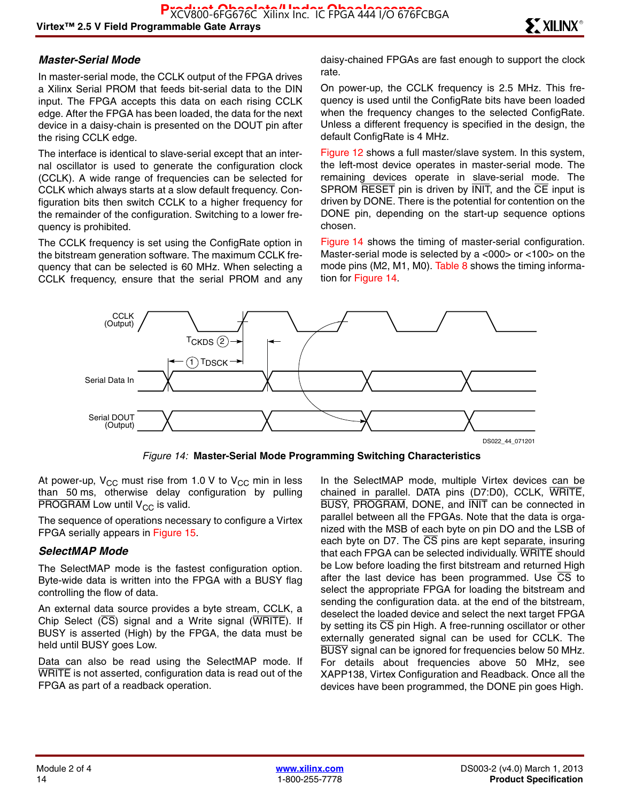#### *Master-Serial Mode*

In master-serial mode, the CCLK output of the FPGA drives a Xilinx Serial PROM that feeds bit-serial data to the DIN input. The FPGA accepts this data on each rising CCLK edge. After the FPGA has been loaded, the data for the next device in a daisy-chain is presented on the DOUT pin after the rising CCLK edge.

The interface is identical to slave-serial except that an internal oscillator is used to generate the configuration clock (CCLK). A wide range of frequencies can be selected for CCLK which always starts at a slow default frequency. Configuration bits then switch CCLK to a higher frequency for the remainder of the configuration. Switching to a lower frequency is prohibited.

The CCLK frequency is set using the ConfigRate option in the bitstream generation software. The maximum CCLK frequency that can be selected is 60 MHz. When selecting a CCLK frequency, ensure that the serial PROM and any daisy-chained FPGAs are fast enough to support the clock rate.

On power-up, the CCLK frequency is 2.5 MHz. This frequency is used until the ConfigRate bits have been loaded when the frequency changes to the selected ConfigRate. Unless a different frequency is specified in the design, the default ConfigRate is 4 MHz.

Figure 12 shows a full master/slave system. In this system, the left-most device operates in master-serial mode. The remaining devices operate in slave-serial mode. The SPROM RESET pin is driven by INIT, and the CE input is driven by DONE. There is the potential for contention on the DONE pin, depending on the start-up sequence options chosen.

Figure 14 shows the timing of master-serial configuration. Master-serial mode is selected by a <000> or <100> on the mode pins (M2, M1, M0). Table 8 shows the timing information for Figure 14.



*Figure 14:* **Master-Serial Mode Programming Switching Characteristics**

At power-up,  $V_{CC}$  must rise from 1.0 V to  $V_{CC}$  min in less than 50 ms, otherwise delay configuration by pulling PROGRAM Low until  $V_{CC}$  is valid.

The sequence of operations necessary to configure a Virtex FPGA serially appears in Figure 15.

#### *SelectMAP Mode*

The SelectMAP mode is the fastest configuration option. Byte-wide data is written into the FPGA with a BUSY flag controlling the flow of data.

An external data source provides a byte stream, CCLK, a Chip Select  $(\overline{CS})$  signal and a Write signal  $(\overline{WRITE})$ . If BUSY is asserted (High) by the FPGA, the data must be held until BUSY goes Low.

Data can also be read using the SelectMAP mode. If WRITE is not asserted, configuration data is read out of the FPGA as part of a readback operation.

In the SelectMAP mode, multiple Virtex devices can be chained in parallel. DATA pins (D7:D0), CCLK, WRITE, BUSY, PROGRAM, DONE, and INIT can be connected in parallel between all the FPGAs. Note that the data is organized with the MSB of each byte on pin DO and the LSB of each byte on D7. The  $\overline{\text{CS}}$  pins are kept separate, insuring that each FPGA can be selected individually. WRITE should be Low before loading the first bitstream and returned High after the last device has been programmed. Use  $\overline{CS}$  to select the appropriate FPGA for loading the bitstream and sending the configuration data. at the end of the bitstream, deselect the loaded device and select the next target FPGA by setting its  $\overline{CS}$  pin High. A free-running oscillator or other externally generated signal can be used for CCLK. The BUSY signal can be ignored for frequencies below 50 MHz. For details about frequencies above 50 MHz, see XAPP138, Virtex Configuration and Readback. Once all the devices have been programmed, the DONE pin goes High.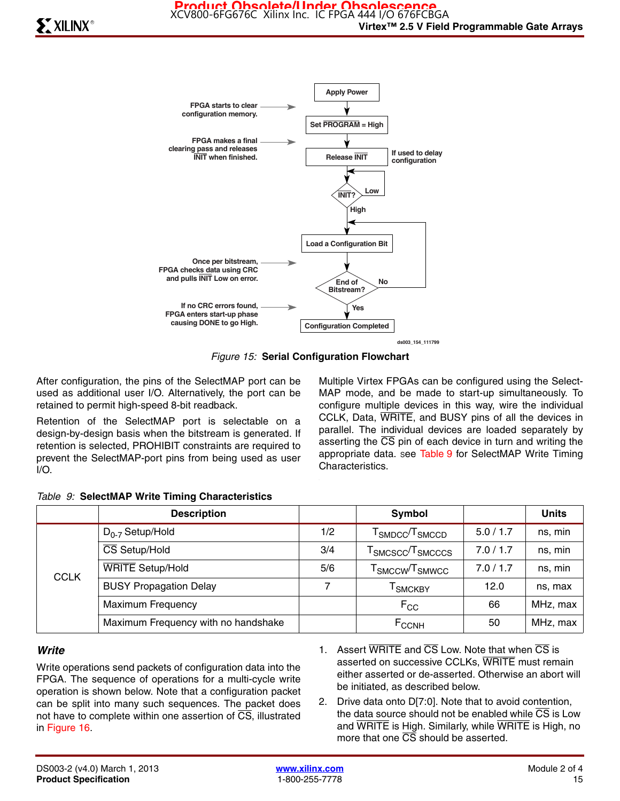

**ds003\_154\_111799**

*Figure 15:* **Serial Configuration Flowchart**

After configuration, the pins of the SelectMAP port can be used as additional user I/O. Alternatively, the port can be retained to permit high-speed 8-bit readback.

Retention of the SelectMAP port is selectable on a design-by-design basis when the bitstream is generated. If retention is selected, PROHIBIT constraints are required to prevent the SelectMAP-port pins from being used as user I/O.

Multiple Virtex FPGAs can be configured using the Select-MAP mode, and be made to start-up simultaneously. To configure multiple devices in this way, wire the individual CCLK, Data, WRITE, and BUSY pins of all the devices in parallel. The individual devices are loaded separately by asserting the  $\overline{CS}$  pin of each device in turn and writing the appropriate data. See Table 9 for SelectMAP Write Timing Characteristics.

|             | <b>Description</b>                  |     | Symbol                                                                |           | <b>Units</b> |
|-------------|-------------------------------------|-----|-----------------------------------------------------------------------|-----------|--------------|
| <b>CCLK</b> | $D_{0-7}$ Setup/Hold                | 1/2 | ${\sf T}_{\sf SMDCC}/{\sf T}_{\sf SMCCD}$                             | 5.0/1.7   | ns, min      |
|             | CS Setup/Hold                       | 3/4 | $\mathsf{\Gamma}_{\text{SMCSCC}}$ / $\mathsf{\Gamma}_{\text{SMCCCS}}$ | 7.0 / 1.7 | ns, min      |
|             | <b>WRITE Setup/Hold</b>             | 5/6 | $\sf{T}_{SMCCW}\!/\sf{T}_{SMWCC}$                                     | 7.0 / 1.7 | ns, min      |
|             | <b>BUSY Propagation Delay</b>       | 7   | <sup>I</sup> SMCKBY                                                   | 12.0      | ns, max      |
|             | <b>Maximum Frequency</b>            |     | $F_{CC}$                                                              | 66        | MHz, max     |
|             | Maximum Frequency with no handshake |     | $F_{CCNH}$                                                            | 50        | MHz, max     |

#### *Table 9:* **SelectMAP Write Timing Characteristics**

#### *Write*

Write operations send packets of configuration data into the FPGA. The sequence of operations for a multi-cycle write operation is shown below. Note that a configuration packet can be split into many such sequences. The packet does not have to complete within one assertion of CS, illustrated in Figure 16.

- 1. Assert  $\overline{WRITE}$  and  $\overline{CS}$  Low. Note that when  $\overline{CS}$  is asserted on successive CCLKs, WRITE must remain either asserted or de-asserted. Otherwise an abort will be initiated, as described below.
- 2. Drive data onto D[7:0]. Note that to avoid contention, the data source should not be enabled while  $\overline{CS}$  is Low and WRITE is High. Similarly, while WRITE is High, no more that one CS should be asserted.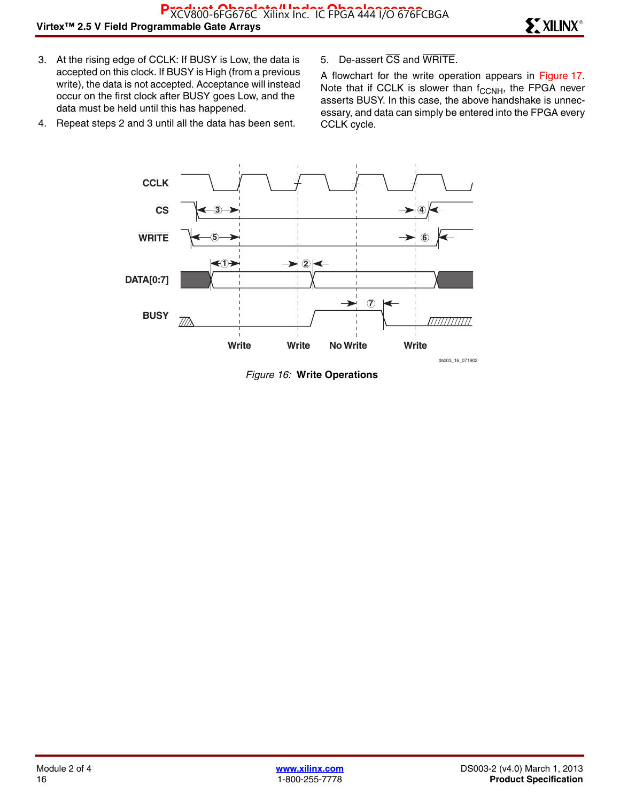- 3. At the rising edge of CCLK: If BUSY is Low, the data is accepted on this clock. If BUSY is High (from a previous write), the data is not accepted. Acceptance will instead occur on the first clock after BUSY goes Low, and the data must be held until this has happened.
- 4. Repeat steps 2 and 3 until all the data has been sent.
- 5. De-assert CS and WRITE.

A flowchart for the write operation appears in Figure 17. Note that if CCLK is slower than  $f_{\text{CCNH}}$ , the FPGA never asserts BUSY. In this case, the above handshake is unnecessary, and data can simply be entered into the FPGA every CCLK cycle.



*Figure 16:* **Write Operations**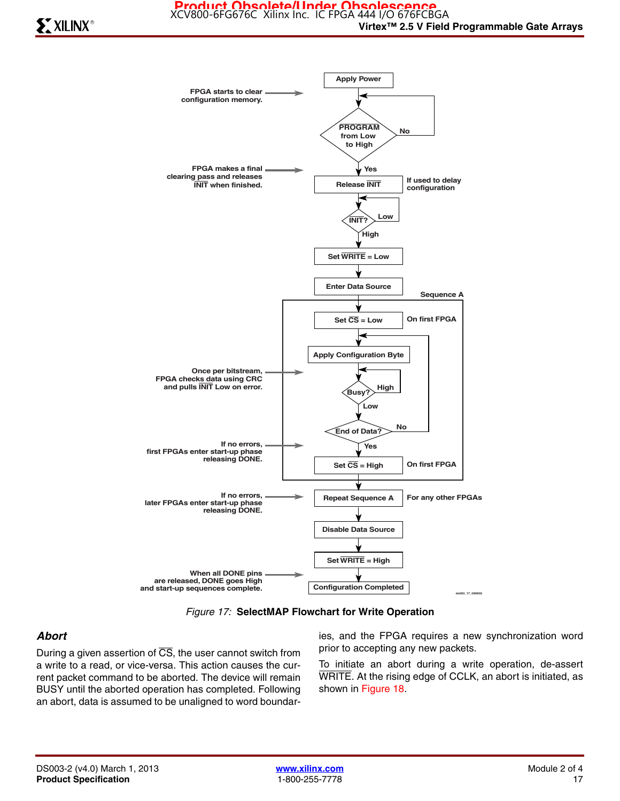



#### *Abort*

During a given assertion of  $\overline{CS}$ , the user cannot switch from a write to a read, or vice-versa. This action causes the current packet command to be aborted. The device will remain BUSY until the aborted operation has completed. Following an abort, data is assumed to be unaligned to word boundaries, and the FPGA requires a new synchronization word prior to accepting any new packets.

To initiate an abort during a write operation, de-assert WRITE. At the rising edge of CCLK, an abort is initiated, as shown in Figure 18.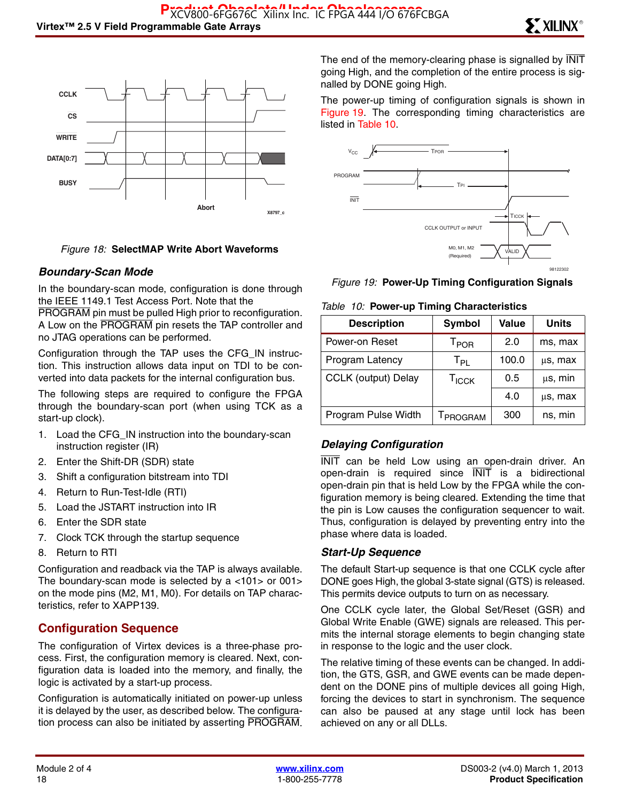

#### *Figure 18:* **SelectMAP Write Abort Waveforms**

#### *Boundary-Scan Mode*

In the boundary-scan mode, configuration is done through the IEEE 1149.1 Test Access Port. Note that the

PROGRAM pin must be pulled High prior to reconfiguration. A Low on the PROGRAM pin resets the TAP controller and no JTAG operations can be performed.

Configuration through the TAP uses the CFG\_IN instruction. This instruction allows data input on TDI to be converted into data packets for the internal configuration bus.

The following steps are required to configure the FPGA through the boundary-scan port (when using TCK as a start-up clock).

- 1. Load the CFG\_IN instruction into the boundary-scan instruction register (IR)
- 2. Enter the Shift-DR (SDR) state
- 3. Shift a configuration bitstream into TDI
- 4. Return to Run-Test-Idle (RTI)
- 5. Load the JSTART instruction into IR
- 6. Enter the SDR state
- 7. Clock TCK through the startup sequence
- 8. Return to RTI

Configuration and readback via the TAP is always available. The boundary-scan mode is selected by a <101> or 001> on the mode pins (M2, M1, M0). For details on TAP characteristics, refer to XAPP139.

#### **Configuration Sequence**

The configuration of Virtex devices is a three-phase process. First, the configuration memory is cleared. Next, configuration data is loaded into the memory, and finally, the logic is activated by a start-up process.

Configuration is automatically initiated on power-up unless it is delayed by the user, as described below. The configuration process can also be initiated by asserting PROGRAM. The end of the memory-clearing phase is signalled by  $\overline{\text{INIT}}$ going High, and the completion of the entire process is signalled by DONE going High.

The power-up timing of configuration signals is shown in Figure 19. The corresponding timing characteristics are listed in Table 10.





#### *Table 10:* **Power-up Timing Characteristics**

| <b>Description</b>         | Symbol                      | Value | <b>Units</b> |  |  |  |
|----------------------------|-----------------------------|-------|--------------|--|--|--|
| Power-on Reset             | $\mathsf{T}_{\mathsf{POR}}$ | 2.0   | ms, max      |  |  |  |
| Program Latency            | $\mathsf{T}_{\mathsf{PL}}$  | 100.0 | us, max      |  |  |  |
| <b>CCLK</b> (output) Delay | T <sub>ICCK</sub>           | 0.5   | $\mu$ s, min |  |  |  |
|                            |                             | 4.0   | μs, max      |  |  |  |
| Program Pulse Width        | <b>TPROGRAM</b>             | 300   | ns, min      |  |  |  |

#### *Delaying Configuration*

INIT can be held Low using an open-drain driver. An open-drain is required since INIT is a bidirectional open-drain pin that is held Low by the FPGA while the configuration memory is being cleared. Extending the time that the pin is Low causes the configuration sequencer to wait. Thus, configuration is delayed by preventing entry into the phase where data is loaded.

#### *Start-Up Sequence*

The default Start-up sequence is that one CCLK cycle after DONE goes High, the global 3-state signal (GTS) is released. This permits device outputs to turn on as necessary.

One CCLK cycle later, the Global Set/Reset (GSR) and Global Write Enable (GWE) signals are released. This permits the internal storage elements to begin changing state in response to the logic and the user clock.

The relative timing of these events can be changed. In addition, the GTS, GSR, and GWE events can be made dependent on the DONE pins of multiple devices all going High, forcing the devices to start in synchronism. The sequence can also be paused at any stage until lock has been achieved on any or all DLLs.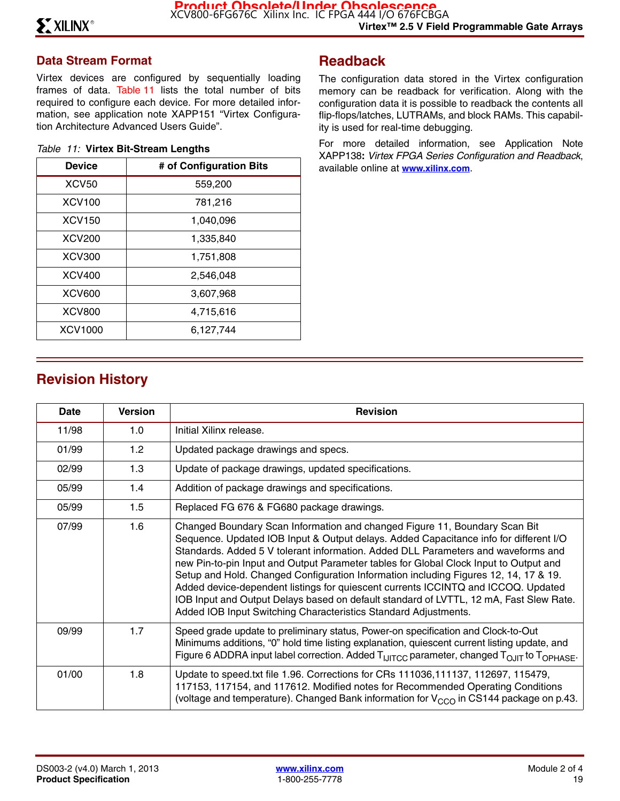### **Data Stream Format**

Virtex devices are configured by sequentially loading frames of data. Table 11 lists the total number of bits required to configure each device. For more detailed information, see application note XAPP151 "Virtex Configuration Architecture Advanced Users Guide".

|  |  |  | Table 11: Virtex Bit-Stream Lengths |  |
|--|--|--|-------------------------------------|--|
|--|--|--|-------------------------------------|--|

| <b>Device</b> | # of Configuration Bits |
|---------------|-------------------------|
| <b>XCV50</b>  | 559,200                 |
| <b>XCV100</b> | 781,216                 |
| <b>XCV150</b> | 1,040,096               |
| <b>XCV200</b> | 1,335,840               |
| <b>XCV300</b> | 1,751,808               |
| <b>XCV400</b> | 2,546,048               |
| <b>XCV600</b> | 3,607,968               |
| <b>XCV800</b> | 4,715,616               |
| XCV1000       | 6,127,744               |

# **Readback**

The configuration data stored in the Virtex configuration memory can be readback for verification. Along with the configuration data it is possible to readback the contents all flip-flops/latches, LUTRAMs, and block RAMs. This capability is used for real-time debugging.

For more detailed information, see Application Note XAPP138**:** *Virtex FPGA Series Configuration and Readback*, available online at **[www.xilinx.com](http://www.xilinx.com)**.

# **Revision History**

| Date  | <b>Version</b> | <b>Revision</b>                                                                                                                                                                                                                                                                                                                                                                                                                                                                                                                                                                                                                                                                             |
|-------|----------------|---------------------------------------------------------------------------------------------------------------------------------------------------------------------------------------------------------------------------------------------------------------------------------------------------------------------------------------------------------------------------------------------------------------------------------------------------------------------------------------------------------------------------------------------------------------------------------------------------------------------------------------------------------------------------------------------|
| 11/98 | 1.0            | Initial Xilinx release.                                                                                                                                                                                                                                                                                                                                                                                                                                                                                                                                                                                                                                                                     |
| 01/99 | 1.2            | Updated package drawings and specs.                                                                                                                                                                                                                                                                                                                                                                                                                                                                                                                                                                                                                                                         |
| 02/99 | 1.3            | Update of package drawings, updated specifications.                                                                                                                                                                                                                                                                                                                                                                                                                                                                                                                                                                                                                                         |
| 05/99 | 1.4            | Addition of package drawings and specifications.                                                                                                                                                                                                                                                                                                                                                                                                                                                                                                                                                                                                                                            |
| 05/99 | 1.5            | Replaced FG 676 & FG680 package drawings.                                                                                                                                                                                                                                                                                                                                                                                                                                                                                                                                                                                                                                                   |
| 07/99 | 1.6            | Changed Boundary Scan Information and changed Figure 11, Boundary Scan Bit<br>Sequence. Updated IOB Input & Output delays. Added Capacitance info for different I/O<br>Standards. Added 5 V tolerant information. Added DLL Parameters and waveforms and<br>new Pin-to-pin Input and Output Parameter tables for Global Clock Input to Output and<br>Setup and Hold. Changed Configuration Information including Figures 12, 14, 17 & 19.<br>Added device-dependent listings for quiescent currents ICCINTQ and ICCOQ. Updated<br>IOB Input and Output Delays based on default standard of LVTTL, 12 mA, Fast Slew Rate.<br>Added IOB Input Switching Characteristics Standard Adjustments. |
| 09/99 | 1.7            | Speed grade update to preliminary status, Power-on specification and Clock-to-Out<br>Minimums additions, "0" hold time listing explanation, quiescent current listing update, and<br>Figure 6 ADDRA input label correction. Added T <sub>IJITCC</sub> parameter, changed T <sub>OJIT</sub> to T <sub>OPHASE</sub> .                                                                                                                                                                                                                                                                                                                                                                         |
| 01/00 | 1.8            | Update to speed.txt file 1.96. Corrections for CRs 111036,111137, 112697, 115479,<br>117153, 117154, and 117612. Modified notes for Recommended Operating Conditions<br>(voltage and temperature). Changed Bank information for $V_{CCO}$ in CS144 package on p.43.                                                                                                                                                                                                                                                                                                                                                                                                                         |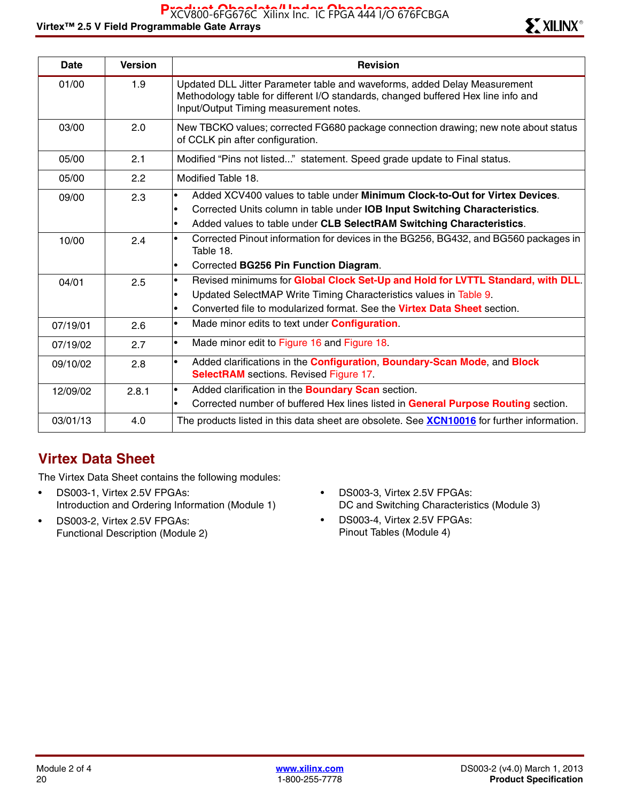# Virtex™ 2.5 V Field Programmable Gate Arrays Research Control of the Second Library® Research **SMUNIX**®

| <b>Date</b> | <b>Version</b> | <b>Revision</b>                                                                                                                                                                                                                                                          |
|-------------|----------------|--------------------------------------------------------------------------------------------------------------------------------------------------------------------------------------------------------------------------------------------------------------------------|
| 01/00       | 1.9            | Updated DLL Jitter Parameter table and waveforms, added Delay Measurement<br>Methodology table for different I/O standards, changed buffered Hex line info and<br>Input/Output Timing measurement notes.                                                                 |
| 03/00       | 2.0            | New TBCKO values; corrected FG680 package connection drawing; new note about status<br>of CCLK pin after configuration.                                                                                                                                                  |
| 05/00       | 2.1            | Modified "Pins not listed" statement. Speed grade update to Final status.                                                                                                                                                                                                |
| 05/00       | 2.2            | Modified Table 18.                                                                                                                                                                                                                                                       |
| 09/00       | 2.3            | Added XCV400 values to table under Minimum Clock-to-Out for Virtex Devices.<br>$\bullet$<br>Corrected Units column in table under IOB Input Switching Characteristics.<br>$\bullet$<br>Added values to table under CLB SelectRAM Switching Characteristics.<br>$\bullet$ |
| 10/00       | 2.4            | Corrected Pinout information for devices in the BG256, BG432, and BG560 packages in<br>$\bullet$<br>Table 18.<br>Corrected BG256 Pin Function Diagram.<br>$\bullet$                                                                                                      |
| 04/01       | 2.5            | Revised minimums for Global Clock Set-Up and Hold for LVTTL Standard, with DLL.<br>$\bullet$<br>Updated SelectMAP Write Timing Characteristics values in Table 9.<br>Converted file to modularized format. See the Virtex Data Sheet section.<br>$\bullet$               |
| 07/19/01    | 2.6            | Made minor edits to text under <b>Configuration</b> .<br>$\bullet$                                                                                                                                                                                                       |
| 07/19/02    | 2.7            | Made minor edit to Figure 16 and Figure 18.<br>$\bullet$                                                                                                                                                                                                                 |
| 09/10/02    | 2.8            | Added clarifications in the Configuration, Boundary-Scan Mode, and Block<br>$\bullet$<br><b>SelectRAM</b> sections. Revised Figure 17.                                                                                                                                   |
| 12/09/02    | 2.8.1          | Added clarification in the <b>Boundary Scan</b> section.<br>$\bullet$<br>Corrected number of buffered Hex lines listed in General Purpose Routing section.<br>$\bullet$                                                                                                  |
| 03/01/13    | 4.0            | The products listed in this data sheet are obsolete. See <b>XCN10016</b> for further information.                                                                                                                                                                        |

# **Virtex Data Sheet**

The Virtex Data Sheet contains the following modules:

- DS003-1, Virtex 2.5V FPGAs: Introduction and Ordering Information (Module 1)
- DS003-2, Virtex 2.5V FPGAs: Functional Description (Module 2)
- DS003-3, Virtex 2.5V FPGAs: DC and Switching Characteristics (Module 3)
- DS003-4, Virtex 2.5V FPGAs: Pinout Tables (Module 4)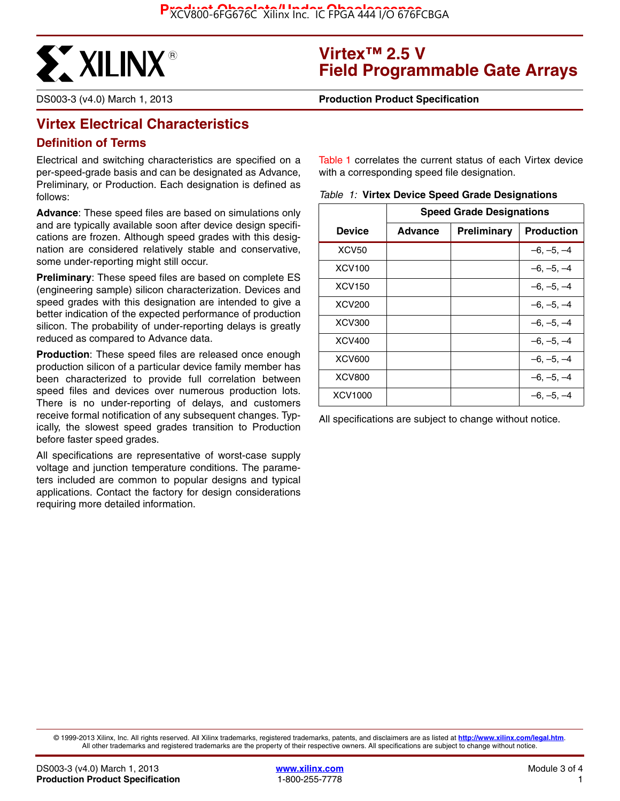

# **Virtex™ 2.5 V Field Programmable Gate Arrays**

DS003-3 (v4.0) March 1, 2013 **0 0 Production Product Specification**

# **Virtex Electrical Characteristics**

#### **Definition of Terms**

Electrical and switching characteristics are specified on a per-speed-grade basis and can be designated as Advance, Preliminary, or Production. Each designation is defined as follows:

**Advance**: These speed files are based on simulations only and are typically available soon after device design specifications are frozen. Although speed grades with this designation are considered relatively stable and conservative, some under-reporting might still occur.

**Preliminary**: These speed files are based on complete ES (engineering sample) silicon characterization. Devices and speed grades with this designation are intended to give a better indication of the expected performance of production silicon. The probability of under-reporting delays is greatly reduced as compared to Advance data.

**Production**: These speed files are released once enough production silicon of a particular device family member has been characterized to provide full correlation between speed files and devices over numerous production lots. There is no under-reporting of delays, and customers receive formal notification of any subsequent changes. Typically, the slowest speed grades transition to Production before faster speed grades.

All specifications are representative of worst-case supply voltage and junction temperature conditions. The parameters included are common to popular designs and typical applications. Contact the factory for design considerations requiring more detailed information.

Table 1 correlates the current status of each Virtex device with a corresponding speed file designation.

|  |  |  | Table 1: Virtex Device Speed Grade Designations |
|--|--|--|-------------------------------------------------|
|--|--|--|-------------------------------------------------|

|                    | <b>Speed Grade Designations</b> |             |                   |  |  |
|--------------------|---------------------------------|-------------|-------------------|--|--|
| Device             | <b>Advance</b>                  | Preliminary | <b>Production</b> |  |  |
| XCV <sub>50</sub>  |                                 |             | $-6, -5, -4$      |  |  |
| <b>XCV100</b>      |                                 |             | $-6, -5, -4$      |  |  |
| XCV <sub>150</sub> |                                 |             | $-6, -5, -4$      |  |  |
| <b>XCV200</b>      |                                 |             | $-6, -5, -4$      |  |  |
| <b>XCV300</b>      |                                 |             | $-6, -5, -4$      |  |  |
| <b>XCV400</b>      |                                 |             | $-6, -5, -4$      |  |  |
| <b>XCV600</b>      |                                 |             | $-6, -5, -4$      |  |  |
| <b>XCV800</b>      |                                 |             | –6. –5. –4        |  |  |
| XCV1000            |                                 |             | $-6, -5, -4$      |  |  |

All specifications are subject to change without notice.

© 1999-2013 Xilinx, Inc. All rights reserved. All Xilinx trademarks, registered trademarks, patents, and disclaimers are as listed at **<http://www.xilinx.com/legal.htm>**. All other trademarks and registered trademarks are the property of their respective owners. All specifications are subject to change without notice.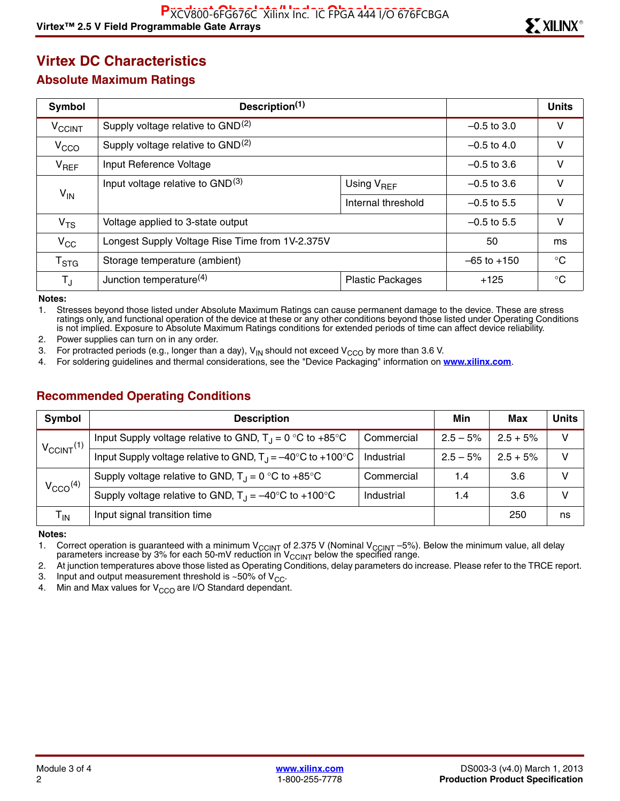# **Virtex DC Characteristics**

#### **Absolute Maximum Ratings**

| Symbol                   | Description <sup>(1)</sup>                      |                         | <b>Units</b>  |             |
|--------------------------|-------------------------------------------------|-------------------------|---------------|-------------|
| <b>V<sub>CCINT</sub></b> | Supply voltage relative to GND <sup>(2)</sup>   |                         | $-0.5$ to 3.0 | V           |
| V <sub>CCO</sub>         | Supply voltage relative to GND <sup>(2)</sup>   |                         | $-0.5$ to 4.0 | V           |
| $V_{REF}$                | Input Reference Voltage                         | $-0.5$ to 3.6           | v             |             |
|                          | Input voltage relative to GND <sup>(3)</sup>    | Using $V_{REF}$         | $-0.5$ to 3.6 | v           |
| $V_{IN}$                 |                                                 | Internal threshold      | $-0.5$ to 5.5 | $\vee$      |
| V <sub>TS</sub>          | Voltage applied to 3-state output               | $-0.5$ to 5.5           | $\vee$        |             |
| $V_{\rm CC}$             | Longest Supply Voltage Rise Time from 1V-2.375V | 50                      | ms            |             |
| $T_{\rm STG}$            | Storage temperature (ambient)                   | $-65$ to $+150$         | $^{\circ}$ C  |             |
| $T_{\text{J}}$           | Junction temperature <sup>(4)</sup>             | <b>Plastic Packages</b> | $+125$        | $^{\circ}C$ |

**Notes:** 

1. Stresses beyond those listed under Absolute Maximum Ratings can cause permanent damage to the device. These are stress ratings only, and functional operation of the device at these or any other conditions beyond those listed under Operating Conditions is not implied. Exposure to Absolute Maximum Ratings conditions for extended periods of time can affect device reliability.

2. Power supplies can turn on in any order.

3. For protracted periods (e.g., longer than a day),  $V_{IN}$  should not exceed  $V_{CCO}$  by more than 3.6 V.<br>4. For soldering quidelines and thermal considerations, see the "Device Packaging" information on t

4. For soldering guidelines and thermal considerations, see the "Device Packaging" information on **[www.xilinx.com](http://www.xilinx.com)**.

### **Recommended Operating Conditions**

| <b>Symbol</b>            | <b>Description</b>                                                                                      | Min        | Max        | Units      |    |
|--------------------------|---------------------------------------------------------------------------------------------------------|------------|------------|------------|----|
| $V_{\text{CCINT}}^{(1)}$ | Input Supply voltage relative to GND, $T_J = 0$ °C to +85°C                                             | Commercial | $2.5 - 5%$ | $2.5 + 5%$ | v  |
|                          | Input Supply voltage relative to GND, $T_{\text{d}} = -40^{\circ} \text{C}$ to +100 $^{\circ} \text{C}$ | Industrial | $2.5 - 5%$ | $2.5 + 5%$ | v  |
| $V_{CCO}$ <sup>(4)</sup> | Supply voltage relative to GND, $T_1 = 0$ °C to +85°C                                                   | Commercial | 1.4        | 3.6        |    |
|                          | Supply voltage relative to GND, $T_{\text{J}} = -40^{\circ} \text{C}$ to +100°C                         | Industrial | 1.4        | 3.6        | v  |
| T <sub>IN</sub>          | Input signal transition time                                                                            |            |            | 250        | ns |

**Notes:** 

1. Correct operation is guaranteed with a minimum V<sub>CCINT</sub> of 2.375 V (Nominal V<sub>CCINT</sub> –5%). Below the minimum value, all delay parameters increase by 3% for each 50-mV reduction in V $_{\rm CCINT}$  below the specified range.

2. At junction temperatures above those listed as Operating Conditions, delay parameters do increase. Please refer to the TRCE report.

3. Input and output measurement threshold is  $~50\%$  of V<sub>CC</sub>.<br>4. Min and Max values for V<sub>CCO</sub> are I/O Standard dependant

Min and Max values for  $V_{CCO}$  are I/O Standard dependant.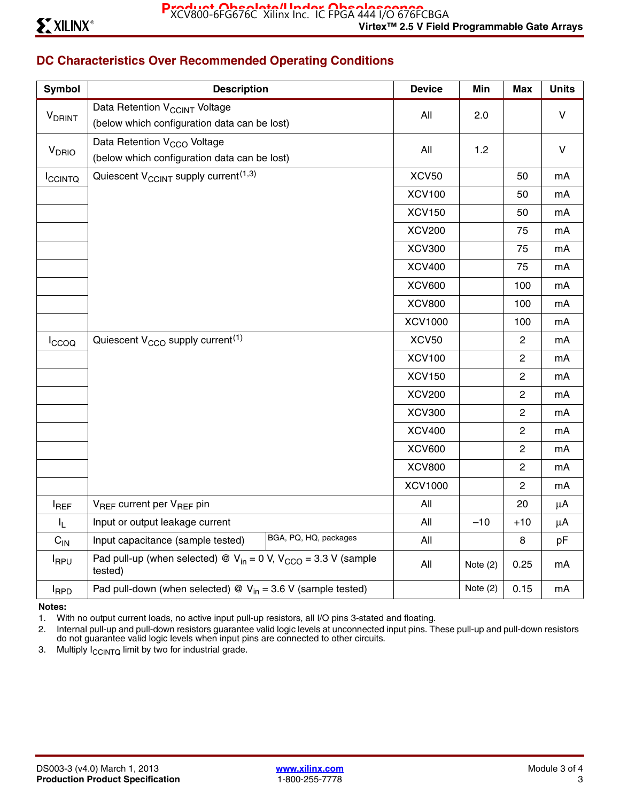# **DC Characteristics Over Recommended Operating Conditions**

| <b>Symbol</b>             | <b>Description</b>                                                                  | <b>Device</b>  | Min        | <b>Max</b>     | <b>Units</b> |
|---------------------------|-------------------------------------------------------------------------------------|----------------|------------|----------------|--------------|
|                           | Data Retention V <sub>CCINT</sub> Voltage                                           | All            | 2.0        |                | $\vee$       |
| <b>V</b> <sub>DRINT</sub> | (below which configuration data can be lost)                                        |                |            |                |              |
| $V_{DRIO}$                | Data Retention V <sub>CCO</sub> Voltage                                             | All            | 1.2        |                | $\mathsf{V}$ |
|                           | (below which configuration data can be lost)                                        |                |            |                |              |
| <b>ICCINTQ</b>            | Quiescent V <sub>CCINT</sub> supply current <sup>(1,3)</sup>                        | XCV50          |            | 50             | mA           |
|                           |                                                                                     | <b>XCV100</b>  |            | 50             | mA           |
|                           |                                                                                     | <b>XCV150</b>  |            | 50             | mA           |
|                           |                                                                                     | <b>XCV200</b>  |            | 75             | mA           |
|                           |                                                                                     | <b>XCV300</b>  |            | 75             | mA           |
|                           |                                                                                     | <b>XCV400</b>  |            | 75             | mA           |
|                           |                                                                                     | <b>XCV600</b>  |            | 100            | mA           |
|                           |                                                                                     | <b>XCV800</b>  |            | 100            | mA           |
|                           |                                                                                     | <b>XCV1000</b> |            | 100            | mA           |
| Iccoo                     | Quiescent V <sub>CCO</sub> supply current <sup>(1)</sup>                            | <b>XCV50</b>   |            | $\mathbf{2}$   | mA           |
|                           |                                                                                     | <b>XCV100</b>  |            | $\mathbf{2}$   | mA           |
|                           |                                                                                     | <b>XCV150</b>  |            | $\overline{c}$ | mA           |
|                           |                                                                                     | <b>XCV200</b>  |            | $\mathbf{2}$   | mA           |
|                           |                                                                                     | <b>XCV300</b>  |            | $\mathbf{2}$   | mA           |
|                           |                                                                                     | <b>XCV400</b>  |            | $\overline{c}$ | mA           |
|                           |                                                                                     | <b>XCV600</b>  |            | $\mathbf{2}$   | mA           |
|                           |                                                                                     | <b>XCV800</b>  |            | $\overline{c}$ | mA           |
|                           |                                                                                     | <b>XCV1000</b> |            | $\mathbf{2}$   | mA           |
| $I_{REF}$                 | V <sub>REF</sub> current per V <sub>REF</sub> pin                                   | All            |            | 20             | $\mu$ A      |
| $I_L$                     | Input or output leakage current                                                     | All            | $-10$      | $+10$          | $\mu$ A      |
| $C_{IN}$                  | BGA, PQ, HQ, packages<br>Input capacitance (sample tested)                          | All            |            | 8              | pF           |
| <b>I</b> RPU              | Pad pull-up (when selected) @ $V_{in} = 0$ V, $V_{CCO} = 3.3$ V (sample<br>tested)  | All            | Note $(2)$ | 0.25           | mA           |
| <b>I</b> RPD              | Pad pull-down (when selected) $\mathcal{Q}$ V <sub>in</sub> = 3.6 V (sample tested) |                | Note $(2)$ | 0.15           | mA           |

#### **Notes:**

1. With no output current loads, no active input pull-up resistors, all I/O pins 3-stated and floating.

2. Internal pull-up and pull-down resistors guarantee valid logic levels at unconnected input pins. These pull-up and pull-down resistors do not guarantee valid logic levels when input pins are connected to other circuits.

3. Multiply  $I_{\text{CCINTQ}}$  limit by two for industrial grade.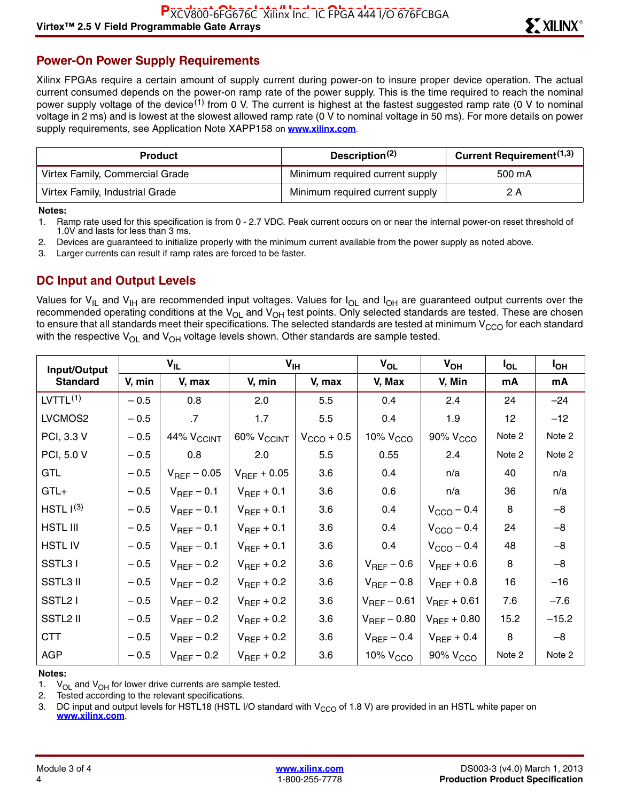# **Power-On Power Supply Requirements**

Xilinx FPGAs require a certain amount of supply current during power-on to insure proper device operation. The actual current consumed depends on the power-on ramp rate of the power supply. This is the time required to reach the nominal power supply voltage of the device<sup>(1)</sup> from 0 V. The current is highest at the fastest suggested ramp rate (0 V to nominal voltage in 2 ms) and is lowest at the slowest allowed ramp rate (0 V to nominal voltage in 50 ms). For more details on power supply requirements, see Application Note XAPP158 on **[www.xilinx.com](http://www.xilinx.com)**.

| <b>Product</b>                  | Description <sup>(2)</sup>      | <b>Current Requirement</b> <sup>(1,3)</sup> |
|---------------------------------|---------------------------------|---------------------------------------------|
| Virtex Family, Commercial Grade | Minimum required current supply | 500 mA                                      |
| Virtex Family, Industrial Grade | Minimum required current supply | 2 A                                         |

#### **Notes:**

1. Ramp rate used for this specification is from 0 - 2.7 VDC. Peak current occurs on or near the internal power-on reset threshold of 1.0V and lasts for less than 3 ms.

2. Devices are guaranteed to initialize properly with the minimum current available from the power supply as noted above.

3. Larger currents can result if ramp rates are forced to be faster.

### **DC Input and Output Levels**

Values for V<sub>IL</sub> and V<sub>IH</sub> are recommended input voltages. Values for I<sub>OL</sub> and I<sub>OH</sub> are guaranteed output currents over the recommended operating conditions at the V<sub>OL</sub> and V<sub>OH</sub> test points. Only selected standards are tested. These are chosen to ensure that all standards meet their specifications. The selected standards are tested at minimum V $_{\rm{CCO}}$  for each standard with the respective  $V_{OL}$  and  $V_{OH}$  voltage levels shown. Other standards are sample tested.

| Input/Output          |        | $V_{IL}$                   | $V_{\text{IH}}$            |                        | $V_{OL}$             | $V_{OH}$               | $I_{OL}$        | I <sub>OH</sub> |
|-----------------------|--------|----------------------------|----------------------------|------------------------|----------------------|------------------------|-----------------|-----------------|
| <b>Standard</b>       | V, min | V, max                     | V, min                     | V, max                 | V, Max               | V, Min                 | mA              | mA              |
| LVTTL <sup>(1)</sup>  | $-0.5$ | 0.8                        | 2.0                        | 5.5                    | 0.4                  | 2.4                    | 24              | $-24$           |
| LVCMOS2               | $-0.5$ | $\cdot$ 7                  | 1.7                        | 5.5                    | 0.4                  | 1.9                    | 12 <sup>2</sup> | $-12$           |
| PCI, 3.3 V            | $-0.5$ | $44\%$ $\rm V_{\rm CCINT}$ | $60\%$ $\rm V_{\rm CCINT}$ | $V_{\text{CCO}} + 0.5$ | 10% V <sub>CCO</sub> | 90% V <sub>CCO</sub>   | Note 2          | Note 2          |
| PCI, 5.0 V            | $-0.5$ | 0.8                        | 2.0                        | 5.5                    | 0.55                 | 2.4                    | Note 2          | Note 2          |
| <b>GTL</b>            | $-0.5$ | $V_{REF}$ – 0.05           | $V_{REF}$ + 0.05           | 3.6                    | 0.4                  | n/a                    | 40              | n/a             |
| $GTL+$                | $-0.5$ | $V_{REF}$ – 0.1            | $V_{REF}$ + 0.1            | 3.6                    | 0.6                  | n/a                    | 36              | n/a             |
| HSTL I <sup>(3)</sup> | $-0.5$ | $V_{REF}$ – 0.1            | $V_{REF}$ + 0.1            | 3.6                    | 0.4                  | $V_{\text{CCO}} - 0.4$ | 8               | $-8$            |
| <b>HSTL III</b>       | $-0.5$ | $V_{REF}$ – 0.1            | $V_{REF}$ + 0.1            | 3.6                    | 0.4                  | $V_{\text{CCO}}$ – 0.4 | 24              | $-8$            |
| <b>HSTLIV</b>         | $-0.5$ | $V_{REF}$ – 0.1            | $V_{REF}$ + 0.1            | 3.6                    | 0.4                  | $V_{\text{CCO}}$ – 0.4 | 48              | $-8$            |
| SSTL31                | $-0.5$ | $V_{REF}$ – 0.2            | $V_{REF}$ + 0.2            | 3.6                    | $V_{REF}$ – 0.6      | $V_{REF}$ + 0.6        | 8               | $-8$            |
| <b>SSTL3 II</b>       | $-0.5$ | $V_{REF}$ – 0.2            | $V_{REF}$ + 0.2            | 3.6                    | $V_{REF}$ – 0.8      | $V_{REF}$ + 0.8        | 16              | $-16$           |
| SSTL <sub>2</sub> I   | $-0.5$ | $V_{REF}$ – 0.2            | $V_{REF}$ + 0.2            | 3.6                    | $V_{REF}$ – 0.61     | $V_{REF}$ + 0.61       | 7.6             | $-7.6$          |
| SSTL2 II              | $-0.5$ | $V_{REF}$ – 0.2            | $V_{REF}$ + 0.2            | 3.6                    | $V_{REF}$ – 0.80     | $V_{REF} + 0.80$       | 15.2            | $-15.2$         |
| <b>CTT</b>            | $-0.5$ | $V_{REF}$ – 0.2            | $V_{REF}$ + 0.2            | 3.6                    | $V_{REF}$ – 0.4      | $V_{REF}$ + 0.4        | 8               | $-8$            |
| <b>AGP</b>            | $-0.5$ | $V_{REF}$ – 0.2            | $V_{REF}$ + 0.2            | 3.6                    | 10% $VCCO$           | 90% V <sub>CCO</sub>   | Note 2          | Note 2          |

#### **Notes:**

1.  $V_{OL}$  and  $V_{OH}$  for lower drive currents are sample tested.

2. Tested according to the relevant specifications.

3. DC input and output levels for HSTL18 (HSTL I/O standard with  $V_{CCO}$  of 1.8 V) are provided in an HSTL white paper on **[www.xilinx.com](http://www.xilinx.com)**.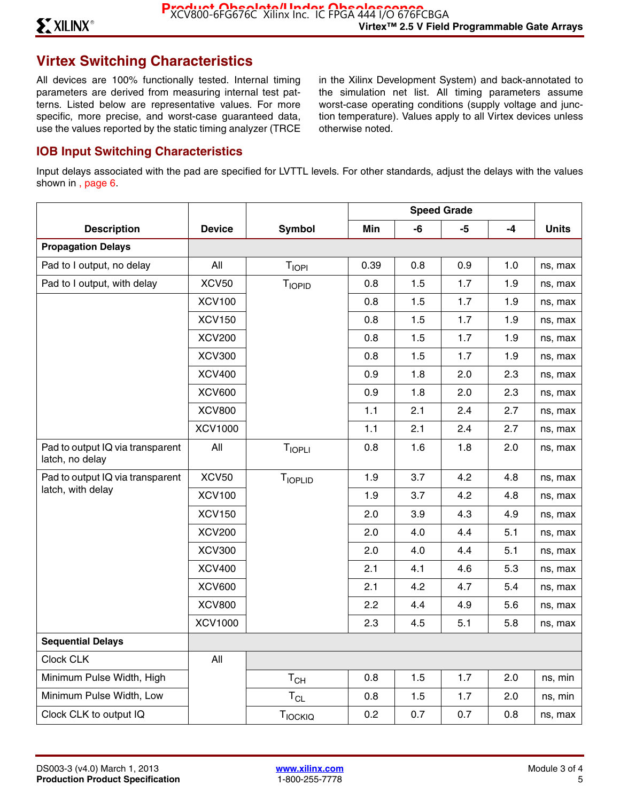# **Virtex Switching Characteristics**

All devices are 100% functionally tested. Internal timing parameters are derived from measuring internal test patterns. Listed below are representative values. For more specific, more precise, and worst-case guaranteed data, use the values reported by the static timing analyzer (TRCE in the Xilinx Development System) and back-annotated to the simulation net list. All timing parameters assume worst-case operating conditions (supply voltage and junction temperature). Values apply to all Virtex devices unless otherwise noted.

#### **IOB Input Switching Characteristics**

Input delays associated with the pad are specified for LVTTL levels. For other standards, adjust the delays with the values shown in , page 6.

|                                                     |                |                            | <b>Speed Grade</b> |     |      |     |              |
|-----------------------------------------------------|----------------|----------------------------|--------------------|-----|------|-----|--------------|
| <b>Description</b>                                  | <b>Device</b>  | <b>Symbol</b>              | Min                | -6  | $-5$ | -4  | <b>Units</b> |
| <b>Propagation Delays</b>                           |                |                            |                    |     |      |     |              |
| Pad to I output, no delay                           | All            | <b>TIOPI</b>               | 0.39               | 0.8 | 0.9  | 1.0 | ns, max      |
| Pad to I output, with delay                         | XCV50          | <b>TIOPID</b>              | 0.8                | 1.5 | 1.7  | 1.9 | ns, max      |
|                                                     | <b>XCV100</b>  |                            | 0.8                | 1.5 | 1.7  | 1.9 | ns, max      |
|                                                     | <b>XCV150</b>  |                            | 0.8                | 1.5 | 1.7  | 1.9 | ns, max      |
|                                                     | <b>XCV200</b>  |                            | 0.8                | 1.5 | 1.7  | 1.9 | ns, max      |
|                                                     | <b>XCV300</b>  |                            | 0.8                | 1.5 | 1.7  | 1.9 | ns, max      |
|                                                     | <b>XCV400</b>  |                            | 0.9                | 1.8 | 2.0  | 2.3 | ns, max      |
|                                                     | <b>XCV600</b>  |                            | 0.9                | 1.8 | 2.0  | 2.3 | ns, max      |
|                                                     | <b>XCV800</b>  |                            | 1.1                | 2.1 | 2.4  | 2.7 | ns, max      |
|                                                     | <b>XCV1000</b> |                            | 1.1                | 2.1 | 2.4  | 2.7 | ns, max      |
| Pad to output IQ via transparent<br>latch, no delay | All            | <b>TIOPLI</b>              | 0.8                | 1.6 | 1.8  | 2.0 | ns, max      |
| Pad to output IQ via transparent                    | <b>XCV50</b>   | TIOPLID                    | 1.9                | 3.7 | 4.2  | 4.8 | ns, max      |
| latch, with delay                                   | <b>XCV100</b>  |                            | 1.9                | 3.7 | 4.2  | 4.8 | ns, max      |
|                                                     | <b>XCV150</b>  |                            | 2.0                | 3.9 | 4.3  | 4.9 | ns, max      |
|                                                     | <b>XCV200</b>  |                            | 2.0                | 4.0 | 4.4  | 5.1 | ns, max      |
|                                                     | <b>XCV300</b>  |                            | 2.0                | 4.0 | 4.4  | 5.1 | ns, max      |
|                                                     | <b>XCV400</b>  |                            | 2.1                | 4.1 | 4.6  | 5.3 | ns, max      |
|                                                     | <b>XCV600</b>  |                            | 2.1                | 4.2 | 4.7  | 5.4 | ns, max      |
|                                                     | <b>XCV800</b>  |                            | 2.2                | 4.4 | 4.9  | 5.6 | ns, max      |
|                                                     | <b>XCV1000</b> |                            | 2.3                | 4.5 | 5.1  | 5.8 | ns, max      |
| <b>Sequential Delays</b>                            |                |                            |                    |     |      |     |              |
| Clock CLK                                           | All            |                            |                    |     |      |     |              |
| Minimum Pulse Width, High                           |                | $T_{CH}$                   | 0.8                | 1.5 | 1.7  | 2.0 | ns, min      |
| Minimum Pulse Width, Low                            |                | $\mathsf{T}_{\mathsf{CL}}$ | 0.8                | 1.5 | 1.7  | 2.0 | ns, min      |
| Clock CLK to output IQ                              |                | TIOCKIQ                    | 0.2                | 0.7 | 0.7  | 0.8 | ns, max      |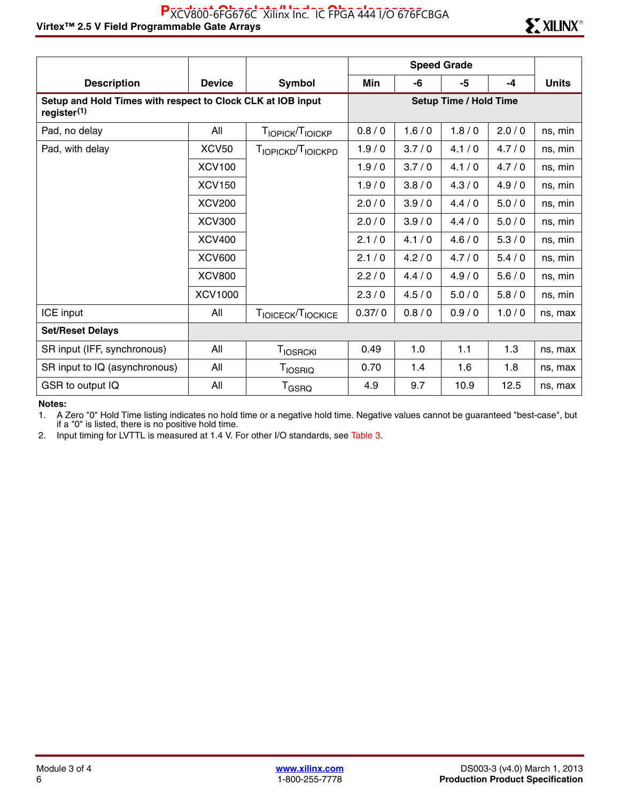|                                                                                        |                   |                               | <b>Speed Grade</b> |       |                               |       |              |
|----------------------------------------------------------------------------------------|-------------------|-------------------------------|--------------------|-------|-------------------------------|-------|--------------|
| <b>Description</b>                                                                     | <b>Device</b>     | Symbol                        | Min                | -6    | -5                            | $-4$  | <b>Units</b> |
| Setup and Hold Times with respect to Clock CLK at IOB input<br>register <sup>(1)</sup> |                   |                               |                    |       | <b>Setup Time / Hold Time</b> |       |              |
| Pad, no delay                                                                          | All               | TIOPICK <sup>T</sup> IOICKP   | 0.8/0              | 1.6/0 | 1.8/0                         | 2.0/0 | ns, min      |
| Pad, with delay                                                                        | XCV <sub>50</sub> | TIOPICKD <sup>T</sup> IOICKPD | 1.9/0              | 3.7/0 | 4.1/0                         | 4.7/0 | ns, min      |
|                                                                                        | <b>XCV100</b>     |                               | 1.9/0              | 3.7/0 | 4.1/0                         | 4.7/0 | ns, min      |
|                                                                                        | <b>XCV150</b>     |                               | 1.9/0              | 3.8/0 | 4.3/0                         | 4.9/0 | ns, min      |
|                                                                                        | <b>XCV200</b>     |                               | 2.0/0              | 3.9/0 | 4.4/0                         | 5.0/0 | ns, min      |
|                                                                                        | <b>XCV300</b>     |                               | 2.0/0              | 3.9/0 | 4.4/0                         | 5.0/0 | ns, min      |
|                                                                                        | <b>XCV400</b>     |                               | 2.1/0              | 4.1/0 | 4.6/0                         | 5.3/0 | ns, min      |
|                                                                                        | <b>XCV600</b>     |                               | 2.1/0              | 4.2/0 | 4.7/0                         | 5.4/0 | ns, min      |
|                                                                                        | <b>XCV800</b>     |                               | 2.2/0              | 4.4/0 | 4.9/0                         | 5.6/0 | ns, min      |
|                                                                                        | XCV1000           |                               | 2.3/0              | 4.5/0 | 5.0/0                         | 5.8/0 | ns, min      |
| ICE input                                                                              | All               | TIOICECK/TIOCKICE             | 0.37/0             | 0.8/0 | 0.9/0                         | 1.0/0 | ns, max      |
| <b>Set/Reset Delays</b>                                                                |                   |                               |                    |       |                               |       |              |
| SR input (IFF, synchronous)                                                            | All               | <b>TIOSRCKI</b>               | 0.49               | 1.0   | 1.1                           | 1.3   | ns, max      |
| SR input to IQ (asynchronous)                                                          | All               | <b>TIOSRIQ</b>                | 0.70               | 1.4   | 1.6                           | 1.8   | ns, max      |
| GSR to output IQ                                                                       | All               | T <sub>GSRQ</sub>             | 4.9                | 9.7   | 10.9                          | 12.5  | ns, max      |

#### **Notes:**

1. A Zero "0" Hold Time listing indicates no hold time or a negative hold time. Negative values cannot be guaranteed "best-case", but if a "0" is listed, there is no positive hold time.

2. Input timing for LVTTL is measured at 1.4 V. For other I/O standards, see Table 3.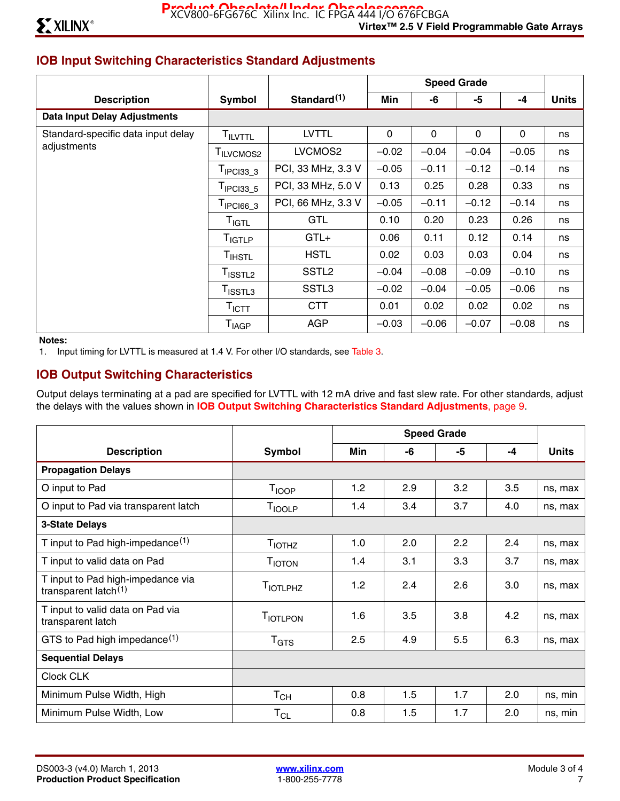# **IOB Input Switching Characteristics Standard Adjustments**

|                                     |                              |                         |         |         | <b>Speed Grade</b> |         |              |
|-------------------------------------|------------------------------|-------------------------|---------|---------|--------------------|---------|--------------|
| <b>Description</b>                  | Symbol                       | Standard <sup>(1)</sup> | Min     | -6      | -5                 | $-4$    | <b>Units</b> |
| <b>Data Input Delay Adjustments</b> |                              |                         |         |         |                    |         |              |
| Standard-specific data input delay  | <b>TILVTTL</b>               | <b>LVTTL</b>            | 0       | 0       | 0                  | 0       | ns           |
| adjustments                         | TILVCMOS2                    | LVCMOS2                 | $-0.02$ | $-0.04$ | $-0.04$            | $-0.05$ | ns           |
|                                     | $TIPCI33_3$                  | PCI, 33 MHz, 3.3 V      | $-0.05$ | $-0.11$ | $-0.12$            | $-0.14$ | ns           |
|                                     | $T_{\text{IPCI33}_5}$        | PCI, 33 MHz, 5.0 V      | 0.13    | 0.25    | 0.28               | 0.33    | ns           |
|                                     | $T_{\text{IPCl66\_3}}$       | PCI, 66 MHz, 3.3 V      | $-0.05$ | $-0.11$ | $-0.12$            | $-0.14$ | ns           |
|                                     | T <sub>IGTL</sub>            | <b>GTL</b>              | 0.10    | 0.20    | 0.23               | 0.26    | ns           |
|                                     | T <sub>IGTLP</sub>           | $GTL+$                  | 0.06    | 0.11    | 0.12               | 0.14    | ns           |
|                                     | T <sub>IHSTL</sub>           | <b>HSTL</b>             | 0.02    | 0.03    | 0.03               | 0.04    | ns           |
|                                     | T <sub>ISSTL2</sub>          | SSTL <sub>2</sub>       | $-0.04$ | $-0.08$ | $-0.09$            | $-0.10$ | ns           |
|                                     | $T_{\text{ISSTL3}}$          | SSTL <sub>3</sub>       | $-0.02$ | $-0.04$ | $-0.05$            | $-0.06$ | ns           |
|                                     | $\mathsf{T}_{\mathsf{ICTT}}$ | <b>CTT</b>              | 0.01    | 0.02    | 0.02               | 0.02    | ns           |
|                                     | <b>T<sub>IAGP</sub></b>      | <b>AGP</b>              | $-0.03$ | $-0.06$ | $-0.07$            | $-0.08$ | ns           |

#### **Notes:**

1. Input timing for LVTTL is measured at 1.4 V. For other I/O standards, see Table 3.

### **IOB Output Switching Characteristics**

Output delays terminating at a pad are specified for LVTTL with 12 mA drive and fast slew rate. For other standards, adjust the delays with the values shown in **IOB Output Switching Characteristics Standard Adjustments**, page 9.

|                                                                       |                             | <b>Speed Grade</b> |     |     |     |              |
|-----------------------------------------------------------------------|-----------------------------|--------------------|-----|-----|-----|--------------|
| <b>Description</b>                                                    | Symbol                      | Min                | -6  | -5  | -4  | <b>Units</b> |
| <b>Propagation Delays</b>                                             |                             |                    |     |     |     |              |
| O input to Pad                                                        | T <sub>IOOP</sub>           | 1.2                | 2.9 | 3.2 | 3.5 | ns, max      |
| O input to Pad via transparent latch                                  | <b>T</b> IOOLP              | 1.4                | 3.4 | 3.7 | 4.0 | ns, max      |
| <b>3-State Delays</b>                                                 |                             |                    |     |     |     |              |
| T input to Pad high-impedance $(1)$                                   | <b>T</b> <sub>IOTHZ</sub>   | 1.0                | 2.0 | 2.2 | 2.4 | ns, max      |
| T input to valid data on Pad                                          | <b>TIOTON</b>               | 1.4                | 3.1 | 3.3 | 3.7 | ns, max      |
| T input to Pad high-impedance via<br>transparent latch <sup>(1)</sup> | <b>TIOTLPHZ</b>             | 1.2                | 2.4 | 2.6 | 3.0 | ns, max      |
| T input to valid data on Pad via<br>transparent latch                 | T <sub>IOTLPON</sub>        | 1.6                | 3.5 | 3.8 | 4.2 | ns, max      |
| GTS to Pad high impedance $(1)$                                       | $\mathsf{T}_{\texttt{GTS}}$ | 2.5                | 4.9 | 5.5 | 6.3 | ns, max      |
| <b>Sequential Delays</b>                                              |                             |                    |     |     |     |              |
| Clock CLK                                                             |                             |                    |     |     |     |              |
| Minimum Pulse Width, High                                             | $T_{CH}$                    | 0.8                | 1.5 | 1.7 | 2.0 | ns, min      |
| Minimum Pulse Width, Low                                              | $T_{CL}$                    | 0.8                | 1.5 | 1.7 | 2.0 | ns, min      |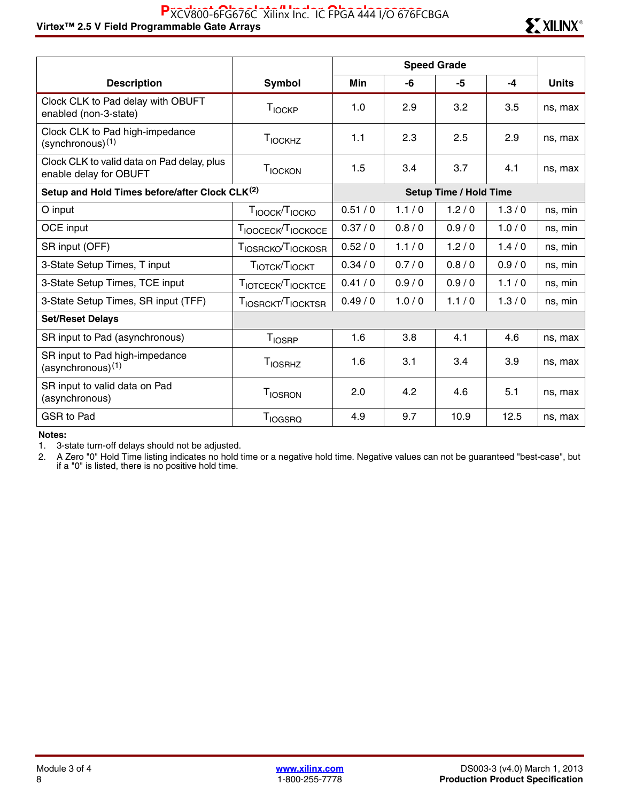#### Virtex™ 2.5 V Field Programmable Gate Arrays Research Arrays Research Mateur 2.5 V Field Programmable Gate Arrays PXCV800-6FG676C Xilinx Inc. IC FPGA 444 I/O 676FCBGA



|                                                                      |                                            | <b>Speed Grade</b> |                               |       |       |              |  |
|----------------------------------------------------------------------|--------------------------------------------|--------------------|-------------------------------|-------|-------|--------------|--|
| <b>Description</b>                                                   | Symbol                                     | Min                | -6                            | -5    | $-4$  | <b>Units</b> |  |
| Clock CLK to Pad delay with OBUFT<br>enabled (non-3-state)           | T <sub>IOCKP</sub>                         | 1.0                | 2.9                           | 3.2   | 3.5   | ns, max      |  |
| Clock CLK to Pad high-impedance<br>(synchronous)(1)                  | T <sub>IOCKHZ</sub>                        | 1.1                | 2.3                           | 2.5   | 2.9   | ns, max      |  |
| Clock CLK to valid data on Pad delay, plus<br>enable delay for OBUFT | TIOCKON                                    | 1.5                | 3.4                           | 3.7   | 4.1   | ns, max      |  |
| Setup and Hold Times before/after Clock CLK <sup>(2)</sup>           |                                            |                    | <b>Setup Time / Hold Time</b> |       |       |              |  |
| O input                                                              | T <sub>IOOCK</sub> /T <sub>IOCKO</sub>     | 0.51/0             | 1.1/0                         | 1.2/0 | 1.3/0 | ns, min      |  |
| OCE input                                                            | TIOOCECK <sup>T</sup> IOCKOCE              | 0.37/0             | 0.8/0                         | 0.9/0 | 1.0/0 | ns, min      |  |
| SR input (OFF)                                                       | T <sub>IOSRCKO</sub> /T <sub>IOCKOSR</sub> | 0.52/0             | 1.1/0                         | 1.2/0 | 1.4/0 | ns, min      |  |
| 3-State Setup Times, T input                                         | TIOTCK <sup>T</sup> IOCKT                  | 0.34 / 0           | 0.7/0                         | 0.8/0 | 0.9/0 | ns, min      |  |
| 3-State Setup Times, TCE input                                       | TIOTCECK <sup>T</sup> IOCKTCE              | 0.41/0             | 0.9/0                         | 0.9/0 | 1.1/0 | ns, min      |  |
| 3-State Setup Times, SR input (TFF)                                  | TIOSRCKT <sup>T</sup> IOCKTSR              | 0.49/0             | 1.0/0                         | 1.1/0 | 1.3/0 | ns, min      |  |
| <b>Set/Reset Delays</b>                                              |                                            |                    |                               |       |       |              |  |
| SR input to Pad (asynchronous)                                       | <b>T</b> <sub>IOSRP</sub>                  | 1.6                | 3.8                           | 4.1   | 4.6   | ns, max      |  |
| SR input to Pad high-impedance<br>$(asynchronous)^{(1)}$             | <b>T</b> IOSRHZ                            | 1.6                | 3.1                           | 3.4   | 3.9   | ns, max      |  |
| SR input to valid data on Pad<br>(asynchronous)                      | <b>TIOSRON</b>                             | 2.0                | 4.2                           | 4.6   | 5.1   | ns, max      |  |
| GSR to Pad                                                           | <b>T</b> <sub>IOGSRQ</sub>                 | 4.9                | 9.7                           | 10.9  | 12.5  | ns, max      |  |

**Notes:** 

1. 3-state turn-off delays should not be adjusted.

2. A Zero "0" Hold Time listing indicates no hold time or a negative hold time. Negative values can not be guaranteed "best-case", but if a "0" is listed, there is no positive hold time.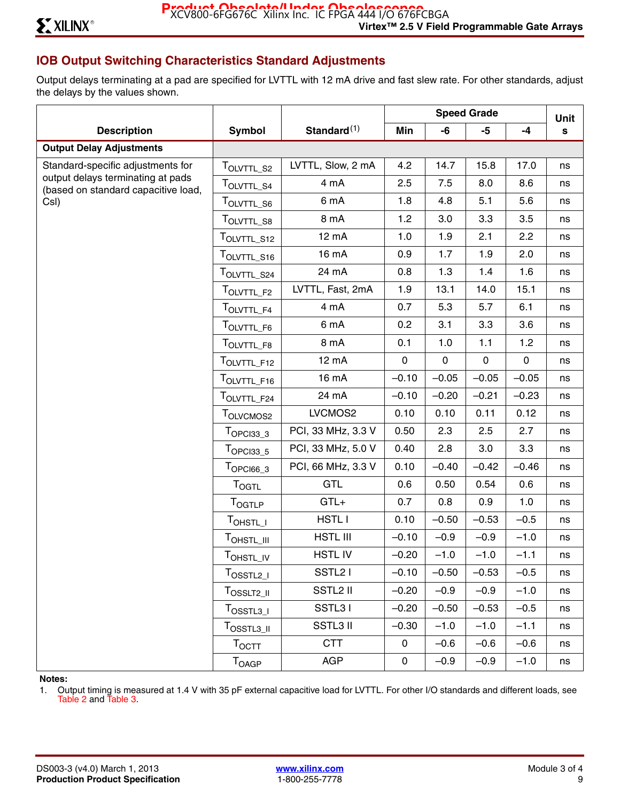# **IOB Output Switching Characteristics Standard Adjustments**

Output delays terminating at a pad are specified for LVTTL with 12 mA drive and fast slew rate. For other standards, adjust the delays by the values shown.

|                                                                          |                                                                                                  |                     | <b>Speed Grade</b> |              |              | Unit        |    |
|--------------------------------------------------------------------------|--------------------------------------------------------------------------------------------------|---------------------|--------------------|--------------|--------------|-------------|----|
| <b>Description</b>                                                       | <b>Symbol</b>                                                                                    | Standard $(1)$      | Min                | -6           | -5           | $-4$        | s  |
| <b>Output Delay Adjustments</b>                                          |                                                                                                  |                     |                    |              |              |             |    |
| Standard-specific adjustments for                                        | TOLVTTL S2                                                                                       | LVTTL, Slow, 2 mA   | 4.2                | 14.7         | 15.8         | 17.0        | ns |
| output delays terminating at pads<br>(based on standard capacitive load, | T <sub>OLVTTL_S4</sub>                                                                           | 4 mA                | 2.5                | 7.5          | 8.0          | 8.6         | ns |
| CsI)                                                                     | T <sub>OLVTTL_S6</sub>                                                                           | 6 mA                | 1.8                | 4.8          | 5.1          | 5.6         | ns |
|                                                                          | TOLVTTL_S8                                                                                       | 8 mA                | 1.2                | 3.0          | 3.3          | 3.5         | ns |
|                                                                          | TOLVTTL_S12                                                                                      | 12 mA               | 1.0                | 1.9          | 2.1          | 2.2         | ns |
|                                                                          | TOLVTTL_S16                                                                                      | 16 mA               | 0.9                | 1.7          | 1.9          | 2.0         | ns |
|                                                                          | TOLVTTL_S24                                                                                      | 24 mA               | 0.8                | 1.3          | 1.4          | 1.6         | ns |
|                                                                          | TOLVTTL_F2                                                                                       | LVTTL, Fast, 2mA    | 1.9                | 13.1         | 14.0         | 15.1        | ns |
|                                                                          | $\mathsf{T}_{\mathsf{OLVTTL\_F4}}$                                                               | 4 mA                | 0.7                | 5.3          | 5.7          | 6.1         | ns |
|                                                                          | TOLVTTL_F6                                                                                       | 6 mA                | 0.2                | 3.1          | 3.3          | 3.6         | ns |
|                                                                          | TOLVTTL_F8                                                                                       | 8 mA                | 0.1                | 1.0          | 1.1          | 1.2         | ns |
|                                                                          | TOLVTTL_F12                                                                                      | 12 mA               | $\mathsf{O}$       | $\mathsf{O}$ | $\mathsf{O}$ | $\mathbf 0$ | ns |
|                                                                          | TOLVTTL_F16                                                                                      | 16 mA               | $-0.10$            | $-0.05$      | $-0.05$      | $-0.05$     | ns |
|                                                                          | TOLVTTL_F24                                                                                      | 24 mA               | $-0.10$            | $-0.20$      | $-0.21$      | $-0.23$     | ns |
|                                                                          | T <sub>OLVCMOS2</sub>                                                                            | LVCMOS2             | 0.10               | 0.10         | 0.11         | 0.12        | ns |
|                                                                          | $TOPCI33_3$                                                                                      | PCI, 33 MHz, 3.3 V  | 0.50               | 2.3          | 2.5          | 2.7         | ns |
|                                                                          | $T_{OPC133\_5}$                                                                                  | PCI, 33 MHz, 5.0 V  | 0.40               | 2.8          | 3.0          | 3.3         | ns |
|                                                                          | $T$ OPCI66_3                                                                                     | PCI, 66 MHz, 3.3 V  | 0.10               | $-0.40$      | $-0.42$      | $-0.46$     | ns |
|                                                                          | <b>TOGTL</b>                                                                                     | <b>GTL</b>          | 0.6                | 0.50         | 0.54         | 0.6         | ns |
|                                                                          | <b>TOGTLP</b>                                                                                    | $GTL+$              | 0.7                | 0.8          | 0.9          | 1.0         | ns |
|                                                                          | T <sub>OHSTL_I</sub>                                                                             | HSTL I              | 0.10               | $-0.50$      | $-0.53$      | $-0.5$      | ns |
|                                                                          | TOHSTL_III                                                                                       | <b>HSTL III</b>     | $-0.10$            | $-0.9$       | $-0.9$       | $-1.0$      | ns |
|                                                                          | TOHSTL_IV                                                                                        | <b>HSTLIV</b>       | $-0.20$            | $-1.0$       | $-1.0$       | $-1.1$      | ns |
|                                                                          | $T_{OSSTL2\_I}$                                                                                  | SSTL <sub>2</sub> I | $-0.10$            | $-0.50$      | $-0.53$      | $-0.5$      | ns |
|                                                                          | T <sub>OSSLT2_II</sub>                                                                           | SSTL2 II            | $-0.20$            | $-0.9$       | $-0.9$       | $-1.0$      | ns |
|                                                                          | $T_{\text{OSSTL3\_I}}$                                                                           | SSTL31              | $-0.20$            | $-0.50$      | $-0.53$      | $-0.5$      | ns |
|                                                                          | $\mathsf{T}_{\mathsf{O} {\mathsf{S}} {\mathsf{S}}\mathsf{T} {\mathsf{L}} 3 \_{{\mathsf{I}} 1} }$ | <b>SSTL3 II</b>     | $-0.30$            | $-1.0$       | $-1.0$       | $-1.1$      | ns |
|                                                                          | $\mathsf{T}_{\mathsf{OCTT}}$                                                                     | <b>CTT</b>          | 0                  | $-0.6$       | $-0.6$       | $-0.6$      | ns |
|                                                                          | T <sub>OAGP</sub>                                                                                | AGP                 | 0                  | $-0.9$       | $-0.9$       | $-1.0$      | ns |

**Notes:** 

1. Output timing is measured at 1.4 V with 35 pF external capacitive load for LVTTL. For other I/O standards and different loads, see Table 2 and Table 3.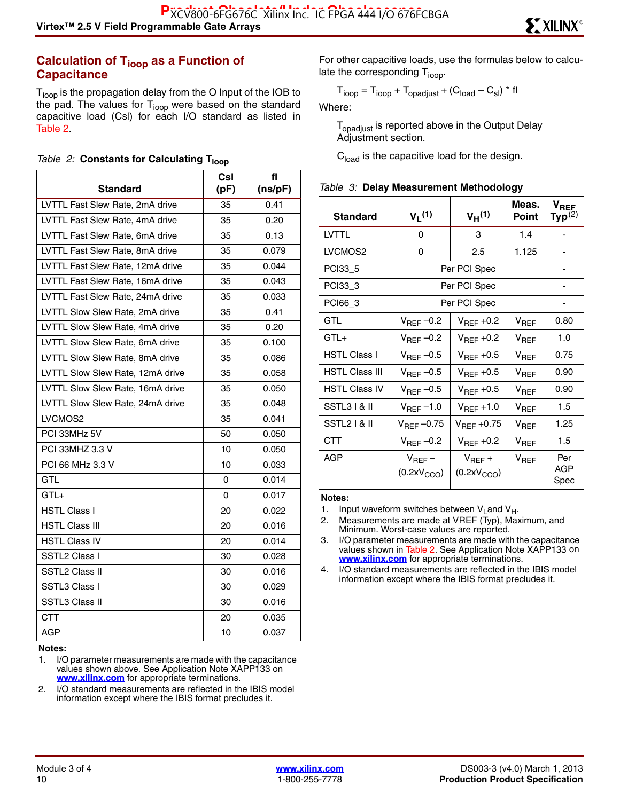#### **Calculation of T<sub>ioop</sub> as a Function of Capacitance**

T<sub>ioop</sub> is the propagation delay from the O Input of the IOB to the pad. The values for  $T_{\text{loop}}$  were based on the standard capacitive load (Csl) for each I/O standard as listed in Table 2.

|  |  |  |  | Table 2: Constants for Calculating T <sub>ioor</sub> |  |
|--|--|--|--|------------------------------------------------------|--|
|--|--|--|--|------------------------------------------------------|--|

|                                  | Csl  | fl      |
|----------------------------------|------|---------|
| <b>Standard</b>                  | (pF) | (ns/pF) |
| LVTTL Fast Slew Rate, 2mA drive  | 35   | 0.41    |
| LVTTL Fast Slew Rate, 4mA drive  | 35   | 0.20    |
| LVTTL Fast Slew Rate, 6mA drive  | 35   | 0.13    |
| LVTTL Fast Slew Rate, 8mA drive  | 35   | 0.079   |
| LVTTL Fast Slew Rate, 12mA drive | 35   | 0.044   |
| LVTTL Fast Slew Rate, 16mA drive | 35   | 0.043   |
| LVTTL Fast Slew Rate, 24mA drive | 35   | 0.033   |
| LVTTL Slow Slew Rate, 2mA drive  | 35   | 0.41    |
| LVTTL Slow Slew Rate, 4mA drive  | 35   | 0.20    |
| LVTTL Slow Slew Rate, 6mA drive  | 35   | 0.100   |
| LVTTL Slow Slew Rate, 8mA drive  | 35   | 0.086   |
| LVTTL Slow Slew Rate, 12mA drive | 35   | 0.058   |
| LVTTL Slow Slew Rate, 16mA drive | 35   | 0.050   |
| LVTTL Slow Slew Rate, 24mA drive | 35   | 0.048   |
| LVCMOS2                          | 35   | 0.041   |
| PCI 33MHz 5V                     | 50   | 0.050   |
| PCI 33MHZ 3.3 V                  | 10   | 0.050   |
| PCI 66 MHz 3.3 V                 | 10   | 0.033   |
| <b>GTL</b>                       | 0    | 0.014   |
| $GTL+$                           | 0    | 0.017   |
| HSTL Class I                     | 20   | 0.022   |
| <b>HSTL Class III</b>            | 20   | 0.016   |
| <b>HSTL Class IV</b>             | 20   | 0.014   |
| SSTL2 Class I                    | 30   | 0.028   |
| <b>SSTL2 Class II</b>            | 30   | 0.016   |
| SSTL3 Class I                    | 30   | 0.029   |
| <b>SSTL3 Class II</b>            | 30   | 0.016   |
| <b>CTT</b>                       | 20   | 0.035   |
| <b>AGP</b>                       | 10   | 0.037   |

**Notes:** 

2. I/O standard measurements are reflected in the IBIS model information except where the IBIS format precludes it.

For other capacitive loads, use the formulas below to calculate the corresponding  $T_{\text{ioop}}$ .

$$
T_{\text{ioop}} = T_{\text{ioop}} + T_{\text{opadjust}} + (C_{\text{load}} - C_{\text{sl}}) \cdot \text{fl}
$$

Where:

T<sub>opadjust</sub> is reported above in the Output Delay Adjustment section.

**C**<sub>load</sub> is the capacitive load for the design.

|  |  | Table 3: Delay Measurement Methodology |  |
|--|--|----------------------------------------|--|
|--|--|----------------------------------------|--|

| <b>Standard</b>       | $V_1(1)$                               | $V_H(1)$                               | Meas.<br>Point   | $\mathsf{v}_{\mathsf{REF}}$<br>$\mathsf{Typ}^{(2)}$ |
|-----------------------|----------------------------------------|----------------------------------------|------------------|-----------------------------------------------------|
| <b>LVTTL</b>          | 0                                      | 3                                      | 1.4              |                                                     |
| LVCMOS2               | 0                                      | 2.5                                    | 1.125            |                                                     |
| PCI33_5               | Per PCI Spec                           |                                        |                  |                                                     |
| PCI33_3               | Per PCI Spec                           |                                        |                  |                                                     |
| PCI66_3               | Per PCI Spec                           |                                        |                  |                                                     |
| GTL                   | $V_{\text{REF}}$ -0.2                  | $V_{\text{BFE}}$ +0.2                  | $V_{REF}$        | 0.80                                                |
| $GTL+$                | $V_{\text{REF}}$ -0.2                  | $V_{REF}$ +0.2                         | $V_{REF}$        | 1.0                                                 |
| <b>HSTL Class I</b>   | $V_{REF}$ -0.5                         | $V_{\text{RFF}}$ +0.5                  | $V_{REF}$        | 0.75                                                |
| <b>HSTL Class III</b> | $V_{REF}$ -0.5                         | $V_{\text{RFF}}$ +0.5                  | $V_{\text{RFF}}$ | 0.90                                                |
| <b>HSTL Class IV</b>  | $V_{REF}$ -0.5                         | $V_{REF}$ +0.5                         | $V_{REF}$        | 0.90                                                |
| SSTL3 I & II          | $V_{\text{REF}}$ –1.0                  | $V_{REF}$ +1.0                         | $V_{REF}$        | 1.5                                                 |
| SSTL2   & II          | $V_{REF}$ -0.75                        | $V_{REF}$ +0.75                        | $V_{REF}$        | 1.25                                                |
| <b>CTT</b>            | $V_{REF}$ -0.2                         | $V_{\text{REF}}$ +0.2                  | $V_{REF}$        | 1.5                                                 |
| AGP                   | $V_{REF}$ –<br>(0.2xV <sub>CCO</sub> ) | $V_{REF} +$<br>(0.2xV <sub>CCO</sub> ) | $V_{REF}$        | Per<br>AGP<br>Spec                                  |

#### **Notes:**

3. I/O parameter measurements are made with the capacitance values shown in Table 2. See Application Note XAPP133 on **[www.xilinx.com](http://www.xilinx.com)** for appropriate terminations.

4. I/O standard measurements are reflected in the IBIS model information except where the IBIS format precludes it.

<sup>1.</sup> I/O parameter measurements are made with the capacitance values shown above. See Application Note XAPP133 on **[www.xilinx.com](http://www.xilinx.com)** for appropriate terminations.

<sup>1.</sup> Input waveform switches between  $V_{L}$  and  $V_{H}$ .

<sup>2.</sup> Measurements are made at VREF (Typ), Maximum, and Minimum. Worst-case values are reported.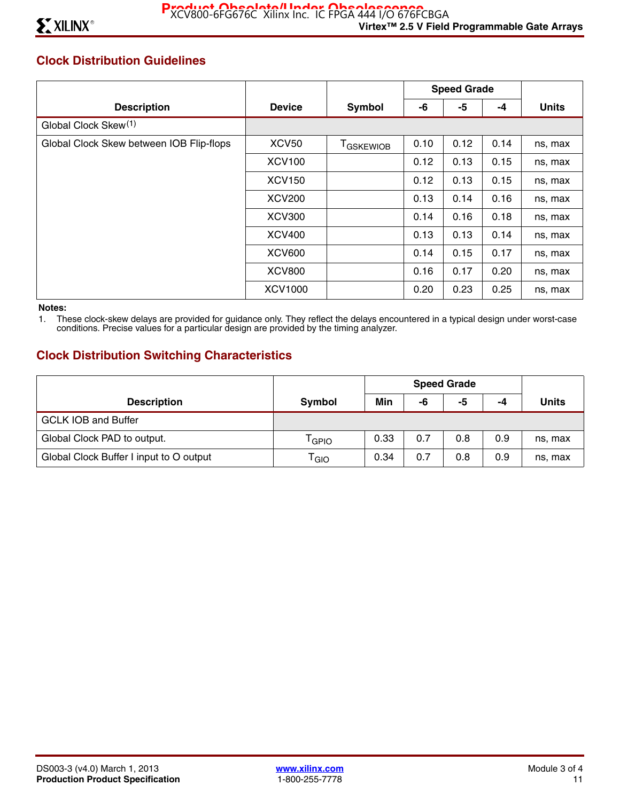# **Clock Distribution Guidelines**

|                                          |               |                   | <b>Speed Grade</b> |      |      |              |
|------------------------------------------|---------------|-------------------|--------------------|------|------|--------------|
| <b>Description</b>                       | <b>Device</b> | Symbol            | -6                 | -5   | -4   | <b>Units</b> |
| Global Clock Skew <sup>(1)</sup>         |               |                   |                    |      |      |              |
| Global Clock Skew between IOB Flip-flops | <b>XCV50</b>  | <b>T</b> GSKEWIOB | 0.10               | 0.12 | 0.14 | ns, max      |
|                                          | <b>XCV100</b> |                   | 0.12               | 0.13 | 0.15 | ns, max      |
|                                          | <b>XCV150</b> |                   | 0.12               | 0.13 | 0.15 | ns, max      |
|                                          | <b>XCV200</b> |                   | 0.13               | 0.14 | 0.16 | ns, max      |
|                                          | <b>XCV300</b> |                   | 0.14               | 0.16 | 0.18 | ns, max      |
|                                          | <b>XCV400</b> |                   | 0.13               | 0.13 | 0.14 | ns, max      |
|                                          | <b>XCV600</b> |                   | 0.14               | 0.15 | 0.17 | ns, max      |
|                                          | <b>XCV800</b> |                   | 0.16               | 0.17 | 0.20 | ns, max      |
|                                          | XCV1000       |                   | 0.20               | 0.23 | 0.25 | ns, max      |

#### **Notes:**

1. These clock-skew delays are provided for guidance only. They reflect the delays encountered in a typical design under worst-case conditions. Precise values for a particular design are provided by the timing analyzer.

### **Clock Distribution Switching Characteristics**

|                                         |                             | <b>Speed Grade</b> |     |     |     |              |
|-----------------------------------------|-----------------------------|--------------------|-----|-----|-----|--------------|
| <b>Description</b>                      | Symbol                      | Min                | -6  | -5  | -4  | <b>Units</b> |
| <b>GCLK IOB and Buffer</b>              |                             |                    |     |     |     |              |
| Global Clock PAD to output.             | <sup>l</sup> GPIO           | 0.33               | 0.7 | 0.8 | 0.9 | ns, max      |
| Global Clock Buffer I input to O output | $\mathsf{T}_{\mathsf{GIO}}$ | 0.34               | 0.7 | 0.8 | 0.9 | ns, max      |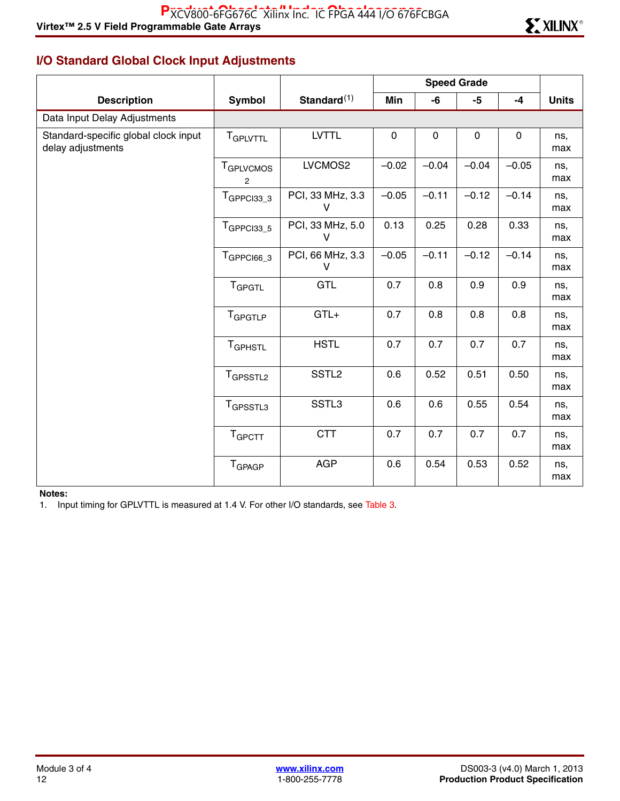# **I/O Standard Global Clock Input Adjustments**

|                                                           | <b>Speed Grade</b>                     |                                  |             |             |             |             |              |
|-----------------------------------------------------------|----------------------------------------|----------------------------------|-------------|-------------|-------------|-------------|--------------|
| <b>Description</b>                                        | Symbol                                 | Standard $(1)$                   | Min         | -6          | $-5$        | $-4$        | <b>Units</b> |
| Data Input Delay Adjustments                              |                                        |                                  |             |             |             |             |              |
| Standard-specific global clock input<br>delay adjustments | T <sub>GPLVTTL</sub>                   | <b>LVTTL</b>                     | $\mathbf 0$ | $\mathbf 0$ | $\mathbf 0$ | $\mathbf 0$ | ns,<br>max   |
|                                                           | T <sub>GPLVCMOS</sub><br>$\mathcal{P}$ | LVCMOS2                          | $-0.02$     | $-0.04$     | $-0.04$     | $-0.05$     | ns,<br>max   |
|                                                           | $TGPPCI33_3$                           | PCI, 33 MHz, 3.3<br>V            | $-0.05$     | $-0.11$     | $-0.12$     | $-0.14$     | ns,<br>max   |
|                                                           | TGPPCI33_5                             | PCI, 33 MHz, 5.0<br>$\mathsf{V}$ | 0.13        | 0.25        | 0.28        | 0.33        | ns,<br>max   |
|                                                           | $TGPPCI66_3$                           | PCI, 66 MHz, 3.3<br>V            | $-0.05$     | $-0.11$     | $-0.12$     | $-0.14$     | ns,<br>max   |
|                                                           | <b>T</b> GPGTL                         | <b>GTL</b>                       | 0.7         | 0.8         | 0.9         | 0.9         | ns,<br>max   |
|                                                           | TGPGTLP                                | $GTL+$                           | 0.7         | 0.8         | 0.8         | 0.8         | ns,<br>max   |
|                                                           | <b>TGPHSTL</b>                         | <b>HSTL</b>                      | 0.7         | 0.7         | 0.7         | 0.7         | ns,<br>max   |
|                                                           | T <sub>GPSSTL2</sub>                   | SSTL <sub>2</sub>                | 0.6         | 0.52        | 0.51        | 0.50        | ns,<br>max   |
|                                                           | T <sub>GPSSTL3</sub>                   | SSTL3                            | 0.6         | 0.6         | 0.55        | 0.54        | ns,<br>max   |
|                                                           | TGPCTT                                 | <b>CTT</b>                       | 0.7         | 0.7         | 0.7         | 0.7         | ns,<br>max   |
|                                                           | <b>T</b> GPAGP                         | <b>AGP</b>                       | 0.6         | 0.54        | 0.53        | 0.52        | ns,<br>max   |

#### **Notes:**

1. Input timing for GPLVTTL is measured at 1.4 V. For other I/O standards, see Table 3.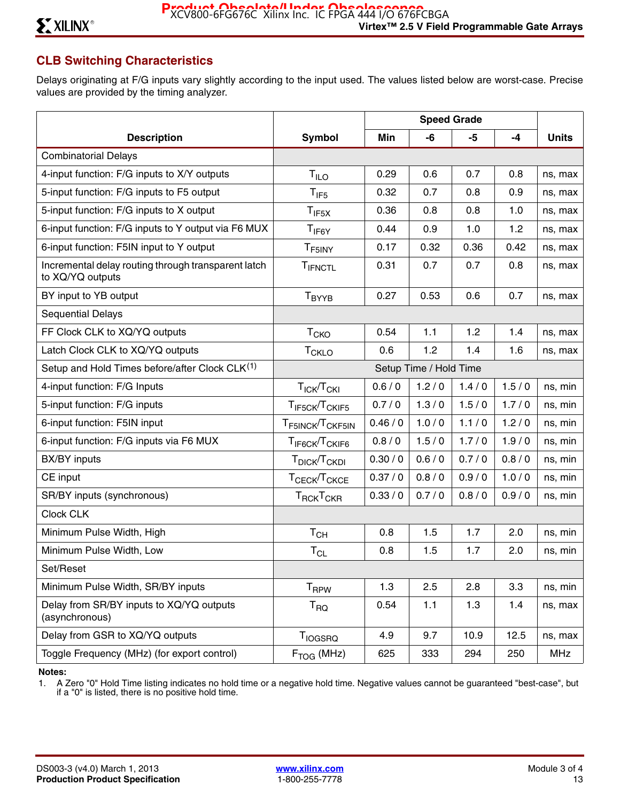# **CLB Switching Characteristics**

Delays originating at F/G inputs vary slightly according to the input used. The values listed below are worst-case. Precise values are provided by the timing analyzer.

|                                                                         |                                                      |          | <b>Speed Grade</b>     |         |         |              |
|-------------------------------------------------------------------------|------------------------------------------------------|----------|------------------------|---------|---------|--------------|
| <b>Description</b>                                                      | <b>Symbol</b>                                        | Min      | -6                     | $-5$    | $-4$    | <b>Units</b> |
| <b>Combinatorial Delays</b>                                             |                                                      |          |                        |         |         |              |
| 4-input function: F/G inputs to X/Y outputs                             | T <sub>ILO</sub>                                     | 0.29     | 0.6                    | 0.7     | 0.8     | ns, max      |
| 5-input function: F/G inputs to F5 output                               | $T_{IF5}$                                            | 0.32     | 0.7                    | 0.8     | 0.9     | ns, max      |
| 5-input function: F/G inputs to X output                                | $T_{IF5X}$                                           | 0.36     | 0.8                    | 0.8     | 1.0     | ns, max      |
| 6-input function: F/G inputs to Y output via F6 MUX                     | $T_{IF6Y}$                                           | 0.44     | 0.9                    | 1.0     | 1.2     | ns, max      |
| 6-input function: F5IN input to Y output                                | T <sub>F5INY</sub>                                   | 0.17     | 0.32                   | 0.36    | 0.42    | ns, max      |
| Incremental delay routing through transparent latch<br>to XQ/YQ outputs | TIFNCTL                                              | 0.31     | 0.7                    | 0.7     | 0.8     | ns, max      |
| BY input to YB output                                                   | <b>T</b> <sub>BYYB</sub>                             | 0.27     | 0.53                   | 0.6     | 0.7     | ns, max      |
| <b>Sequential Delays</b>                                                |                                                      |          |                        |         |         |              |
| FF Clock CLK to XQ/YQ outputs                                           | $T_{CKO}$                                            | 0.54     | $1.1$                  | 1.2     | 1.4     | ns, max      |
| Latch Clock CLK to XQ/YQ outputs                                        | <b>T<sub>CKLO</sub></b>                              | 0.6      | 1.2                    | 1.4     | 1.6     | ns, max      |
| Setup and Hold Times before/after Clock CLK <sup>(1)</sup>              |                                                      |          | Setup Time / Hold Time |         |         |              |
| 4-input function: F/G Inputs                                            | $T_{\text{ICK}}/T_{\text{CKI}}$                      | 0.6/0    | 1.2/0                  | 1.4/0   | 1.5/0   | ns, min      |
| 5-input function: F/G inputs                                            | T <sub>IF5CK</sub> /T <sub>CKIF5</sub>               | 0.7/0    | 1.3/0                  | 1.5/0   | 1.7/0   | ns, min      |
| 6-input function: F5IN input                                            | T <sub>F5INCK</sub> /T <sub>CKF5IN</sub>             | 0.46/0   | 1.0/0                  | 1.1/0   | 1.2/0   | ns, min      |
| 6-input function: F/G inputs via F6 MUX                                 | T <sub>IF6CK</sub> /T <sub>CKIF6</sub>               | 0.8/0    | 1.5/0                  | 1.7/0   | 1.9/0   | ns, min      |
| <b>BX/BY</b> inputs                                                     | T <sub>DICK</sub> /T <sub>CKDI</sub>                 | 0.30 / 0 | 0.6/0                  | 0.7/0   | 0.8 / 0 | ns, min      |
| CE input                                                                | T <sub>CECK</sub> /T <sub>CKCE</sub>                 | 0.37/0   | 0.8/0                  | 0.9/0   | 1.0/0   | ns, min      |
| SR/BY inputs (synchronous)                                              | $\mathsf{T}_{\mathsf{RCK}}\mathsf{T}_{\mathsf{CKR}}$ | 0.33/0   | 0.7/0                  | 0.8 / 0 | 0.9/0   | ns, min      |
| Clock CLK                                                               |                                                      |          |                        |         |         |              |
| Minimum Pulse Width, High                                               | $T_{CH}$                                             | 0.8      | 1.5                    | 1.7     | 2.0     | ns, min      |
| Minimum Pulse Width, Low                                                | $T_{CL}$                                             | 0.8      | 1.5                    | 1.7     | 2.0     | ns, min      |
| Set/Reset                                                               |                                                      |          |                        |         |         |              |
| Minimum Pulse Width, SR/BY inputs                                       | <b>T</b> <sub>RPW</sub>                              | 1.3      | 2.5                    | 2.8     | 3.3     | ns, min      |
| Delay from SR/BY inputs to XQ/YQ outputs<br>(asynchronous)              | $T_{\sf RQ}$                                         | 0.54     | 1.1                    | 1.3     | 1.4     | ns, max      |
| Delay from GSR to XQ/YQ outputs                                         | T <sub>IOGSRQ</sub>                                  | 4.9      | 9.7                    | 10.9    | 12.5    | ns, max      |
| Toggle Frequency (MHz) (for export control)                             | $F_{TOG}$ (MHz)                                      | 625      | 333                    | 294     | 250     | <b>MHz</b>   |

#### **Notes:**

1. A Zero "0" Hold Time listing indicates no hold time or a negative hold time. Negative values cannot be guaranteed "best-case", but if a "0" is listed, there is no positive hold time.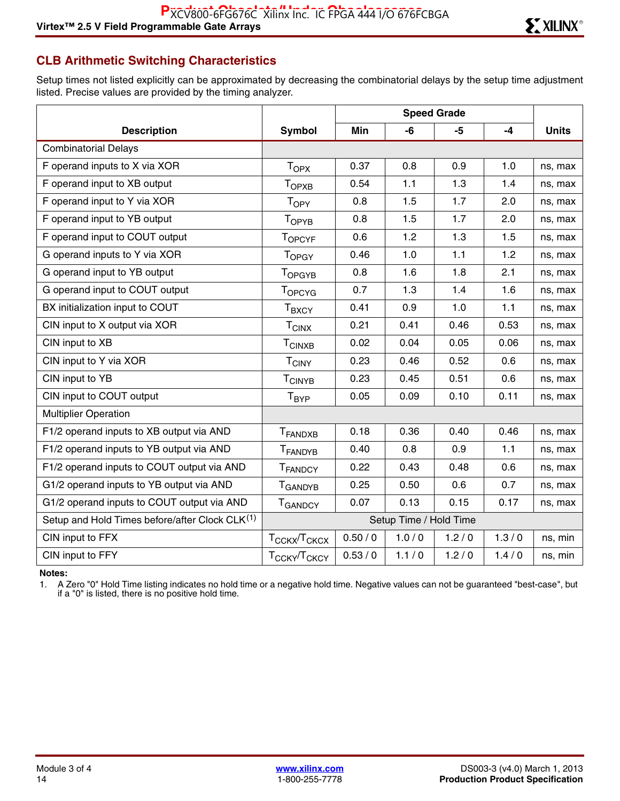# **CLB Arithmetic Switching Characteristics**

Setup times not listed explicitly can be approximated by decreasing the combinatorial delays by the setup time adjustment listed. Precise values are provided by the timing analyzer.

| <b>Description</b>                                         | <b>Symbol</b>                        | Min    | -6                     | -5    | $-4$  | <b>Units</b> |
|------------------------------------------------------------|--------------------------------------|--------|------------------------|-------|-------|--------------|
| <b>Combinatorial Delays</b>                                |                                      |        |                        |       |       |              |
| F operand inputs to X via XOR                              | $T_{OPX}$                            | 0.37   | 0.8                    | 0.9   | 1.0   | ns, max      |
| F operand input to XB output                               | T <sub>OPXB</sub>                    | 0.54   | 1.1                    | 1.3   | 1.4   | ns, max      |
| F operand input to Y via XOR                               | T <sub>OPY</sub>                     | 0.8    | 1.5                    | 1.7   | 2.0   | ns, max      |
| F operand input to YB output                               | TOPYB                                | 0.8    | 1.5                    | 1.7   | 2.0   | ns, max      |
| F operand input to COUT output                             | TOPCYF                               | 0.6    | 1.2                    | 1.3   | 1.5   | ns, max      |
| G operand inputs to Y via XOR                              | T <sub>OPGY</sub>                    | 0.46   | 1.0                    | 1.1   | 1.2   | ns, max      |
| G operand input to YB output                               | T <sub>OPGYB</sub>                   | 0.8    | 1.6                    | 1.8   | 2.1   | ns, max      |
| G operand input to COUT output                             | TOPCYG                               | 0.7    | 1.3                    | 1.4   | 1.6   | ns, max      |
| BX initialization input to COUT                            | $T_{\text{BXCY}}$                    | 0.41   | 0.9                    | 1.0   | 1.1   | ns, max      |
| CIN input to X output via XOR                              | $T_{CINX}$                           | 0.21   | 0.41                   | 0.46  | 0.53  | ns, max      |
| CIN input to XB                                            | <b>TCINXB</b>                        | 0.02   | 0.04                   | 0.05  | 0.06  | ns, max      |
| CIN input to Y via XOR                                     | <b>TCINY</b>                         | 0.23   | 0.46                   | 0.52  | 0.6   | ns, max      |
| CIN input to YB                                            | $\mathsf{T}_{\mathsf{CINYB}}$        | 0.23   | 0.45                   | 0.51  | 0.6   | ns, max      |
| CIN input to COUT output                                   | $T_{\sf BYP}$                        | 0.05   | 0.09                   | 0.10  | 0.11  | ns, max      |
| <b>Multiplier Operation</b>                                |                                      |        |                        |       |       |              |
| F1/2 operand inputs to XB output via AND                   | T <sub>FANDXB</sub>                  | 0.18   | 0.36                   | 0.40  | 0.46  | ns, max      |
| F1/2 operand inputs to YB output via AND                   | <b>TFANDYB</b>                       | 0.40   | 0.8                    | 0.9   | 1.1   | ns, max      |
| F1/2 operand inputs to COUT output via AND                 | <b>TFANDCY</b>                       | 0.22   | 0.43                   | 0.48  | 0.6   | ns, max      |
| G1/2 operand inputs to YB output via AND                   | T <sub>GANDYB</sub>                  | 0.25   | 0.50                   | 0.6   | 0.7   | ns, max      |
| G1/2 operand inputs to COUT output via AND                 | <b>T</b> GANDCY                      | 0.07   | 0.13                   | 0.15  | 0.17  | ns, max      |
| Setup and Hold Times before/after Clock CLK <sup>(1)</sup> |                                      |        | Setup Time / Hold Time |       |       |              |
| CIN input to FFX                                           | T <sub>CCKX</sub> /T <sub>CKCX</sub> | 0.50/0 | 1.0/0                  | 1.2/0 | 1.3/0 | ns, min      |
| CIN input to FFY                                           | T <sub>CCKY</sub> /T <sub>CKCY</sub> | 0.53/0 | 1.1/0                  | 1.2/0 | 1.4/0 | ns, min      |

**Notes:** 

1. A Zero "0" Hold Time listing indicates no hold time or a negative hold time. Negative values can not be guaranteed "best-case", but if a "0" is listed, there is no positive hold time.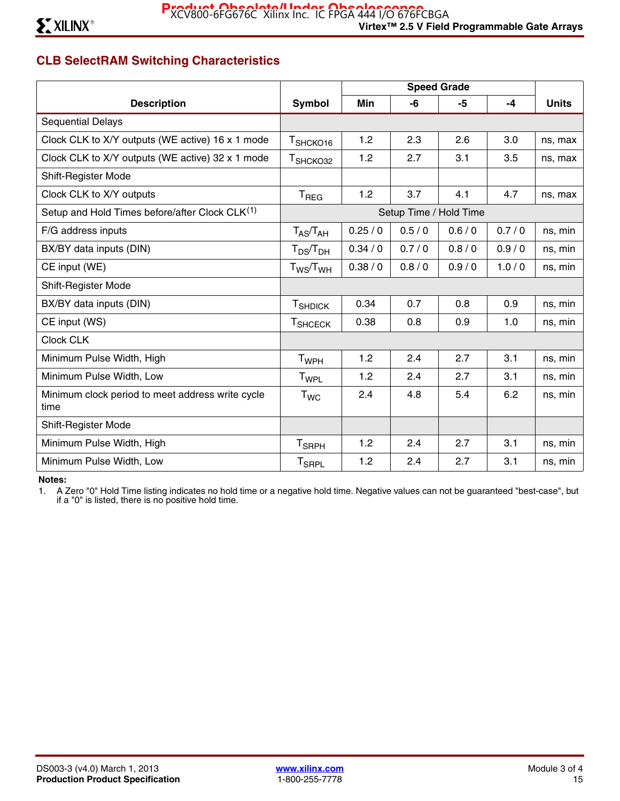# **CLB SelectRAM Switching Characteristics**

|                                                            |                          | <b>Speed Grade</b> |       |       |       |              |
|------------------------------------------------------------|--------------------------|--------------------|-------|-------|-------|--------------|
| <b>Description</b>                                         | Symbol                   | Min                | -6    | -5    | $-4$  | <b>Units</b> |
| <b>Sequential Delays</b>                                   |                          |                    |       |       |       |              |
| Clock CLK to X/Y outputs (WE active) 16 x 1 mode           | T <sub>SHCKO16</sub>     | 1.2                | 2.3   | 2.6   | 3.0   | ns, max      |
| Clock CLK to X/Y outputs (WE active) 32 x 1 mode           | T <sub>SHCKO32</sub>     | 1.2                | 2.7   | 3.1   | 3.5   | ns, max      |
| Shift-Register Mode                                        |                          |                    |       |       |       |              |
| Clock CLK to X/Y outputs                                   | $T_{\text{REG}}$         | 1.2                | 3.7   | 4.1   | 4.7   | ns, max      |
| Setup and Hold Times before/after Clock CLK <sup>(1)</sup> | Setup Time / Hold Time   |                    |       |       |       |              |
| F/G address inputs                                         | $T_{AS}/T_{AH}$          | 0.25/0             | 0.5/0 | 0.6/0 | 0.7/0 | ns, min      |
| BX/BY data inputs (DIN)                                    | $T_{DS}/T_{DH}$          | 0.34/0             | 0.7/0 | 0.8/0 | 0.9/0 | ns, min      |
| CE input (WE)                                              | $T_{WS}/T_{WH}$          | 0.38 / 0           | 0.8/0 | 0.9/0 | 1.0/0 | ns, min      |
| Shift-Register Mode                                        |                          |                    |       |       |       |              |
| BX/BY data inputs (DIN)                                    | <b>T</b> SHDICK          | 0.34               | 0.7   | 0.8   | 0.9   | ns, min      |
| CE input (WS)                                              | <b>T</b> SHCECK          | 0.38               | 0.8   | 0.9   | 1.0   | ns, min      |
| <b>Clock CLK</b>                                           |                          |                    |       |       |       |              |
| Minimum Pulse Width, High                                  | T <sub>WPH</sub>         | 1.2                | 2.4   | 2.7   | 3.1   | ns, min      |
| Minimum Pulse Width, Low                                   | T <sub>WPL</sub>         | 1.2                | 2.4   | 2.7   | 3.1   | ns, min      |
| Minimum clock period to meet address write cycle<br>time   | T <sub>WC</sub>          | 2.4                | 4.8   | 5.4   | 6.2   | ns, min      |
| Shift-Register Mode                                        |                          |                    |       |       |       |              |
| Minimum Pulse Width, High                                  | <b>T</b> <sub>SRPH</sub> | 1.2                | 2.4   | 2.7   | 3.1   | ns, min      |
| Minimum Pulse Width, Low                                   | <b>T<sub>SRPL</sub></b>  | 1.2                | 2.4   | 2.7   | 3.1   | ns, min      |

#### **Notes:**

1. A Zero "0" Hold Time listing indicates no hold time or a negative hold time. Negative values can not be guaranteed "best-case", but if a "0" is listed, there is no positive hold time.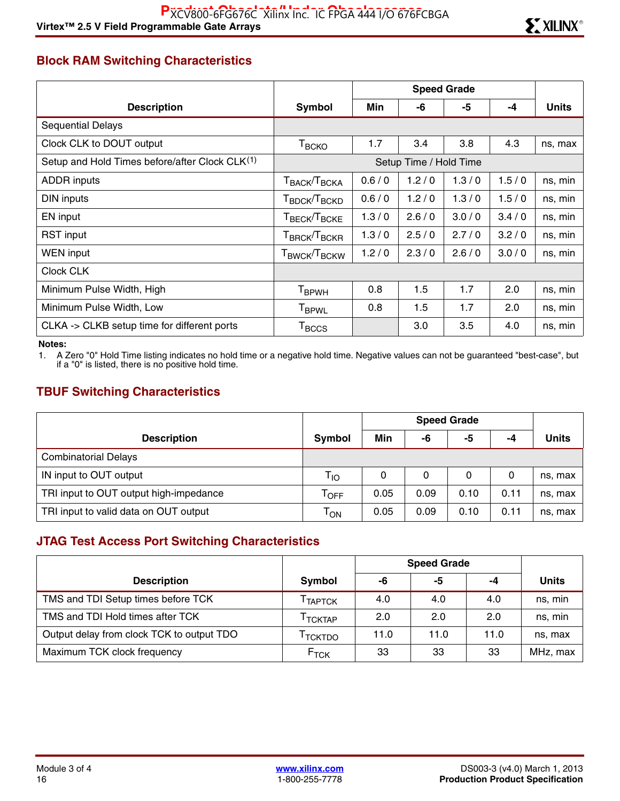# **Block RAM Switching Characteristics**

|                                                            | <b>Speed Grade</b>                                          |       |                        |       |       |              |
|------------------------------------------------------------|-------------------------------------------------------------|-------|------------------------|-------|-------|--------------|
| <b>Description</b>                                         | Symbol                                                      | Min   | -6                     | -5    | -4    | <b>Units</b> |
| <b>Sequential Delays</b>                                   |                                                             |       |                        |       |       |              |
| Clock CLK to DOUT output                                   | $T_{\scriptstyle{\text{BCKO}}}$                             | 1.7   | 3.4                    | 3.8   | 4.3   | ns, max      |
| Setup and Hold Times before/after Clock CLK <sup>(1)</sup> |                                                             |       | Setup Time / Hold Time |       |       |              |
| <b>ADDR</b> inputs                                         | T <sub>BACK</sub> /T <sub>BCKA</sub>                        | 0.6/0 | 1.2/0                  | 1.3/0 | 1.5/0 | ns, min      |
| DIN inputs                                                 | T <sub>BDCK</sub> /T <sub>BCKD</sub>                        | 0.6/0 | 1.2/0                  | 1.3/0 | 1.5/0 | ns, min      |
| EN input                                                   | $\mathsf{T}_{\mathsf{BECK}}$ / $\mathsf{T}_{\mathsf{BCKE}}$ | 1.3/0 | 2.6/0                  | 3.0/0 | 3.4/0 | ns, min      |
| <b>RST</b> input                                           | $\mathsf{T}_{\mathsf{BRCK}}\!/\!\mathsf{T}_{\mathsf{BCKR}}$ | 1.3/0 | 2.5/0                  | 2.7/0 | 3.2/0 | ns, min      |
| WEN input                                                  | T <sub>BWCK</sub> /T <sub>BCKW</sub>                        | 1.2/0 | 2.3/0                  | 2.6/0 | 3.0/0 | ns, min      |
| Clock CLK                                                  |                                                             |       |                        |       |       |              |
| Minimum Pulse Width, High                                  | T <sub>BPWH</sub>                                           | 0.8   | 1.5                    | 1.7   | 2.0   | ns, min      |
| Minimum Pulse Width, Low                                   | <b>T</b> <sub>BPWL</sub>                                    | 0.8   | 1.5                    | 1.7   | 2.0   | ns, min      |
| CLKA -> CLKB setup time for different ports                | $T_{\rm BCCS}$                                              |       | 3.0                    | 3.5   | 4.0   | ns, min      |

#### **Notes:**

1. A Zero "0" Hold Time listing indicates no hold time or a negative hold time. Negative values can not be guaranteed "best-case", but if a "0" is listed, there is no positive hold time.

## **TBUF Switching Characteristics**

|                                        |                             | <b>Speed Grade</b> |      |      |      |              |
|----------------------------------------|-----------------------------|--------------------|------|------|------|--------------|
| <b>Description</b>                     | Symbol                      | Min                | -6   | -5   | -4   | <b>Units</b> |
| <b>Combinatorial Delays</b>            |                             |                    |      |      |      |              |
| IN input to OUT output                 | T <sub>IO</sub>             | 0                  | 0    | 0    | 0    | ns, max      |
| TRI input to OUT output high-impedance | $\mathsf{T}_{\mathsf{OFF}}$ | 0.05               | 0.09 | 0.10 | 0.11 | ns, max      |
| TRI input to valid data on OUT output  | $\mathsf{T}_{\mathsf{ON}}$  | 0.05               | 0.09 | 0.10 | 0.11 | ns, max      |

## **JTAG Test Access Port Switching Characteristics**

|                                           |                     |      | <b>Speed Grade</b> |      |              |
|-------------------------------------------|---------------------|------|--------------------|------|--------------|
| <b>Description</b>                        | Symbol              | -6   | -5                 | -4   | <b>Units</b> |
| TMS and TDI Setup times before TCK        | TAPTCK              | 4.0  | 4.0                | 4.0  | ns, min      |
| TMS and TDI Hold times after TCK          | <sup>I</sup> TCKTAP | 2.0  | 2.0                | 2.0  | ns, min      |
| Output delay from clock TCK to output TDO | <sup>I</sup> TCKTDO | 11.0 | 11.0               | 11.0 | ns, max      |
| Maximum TCK clock frequency               | F <sub>TCK</sub>    | 33   | 33                 | 33   | MHz, max     |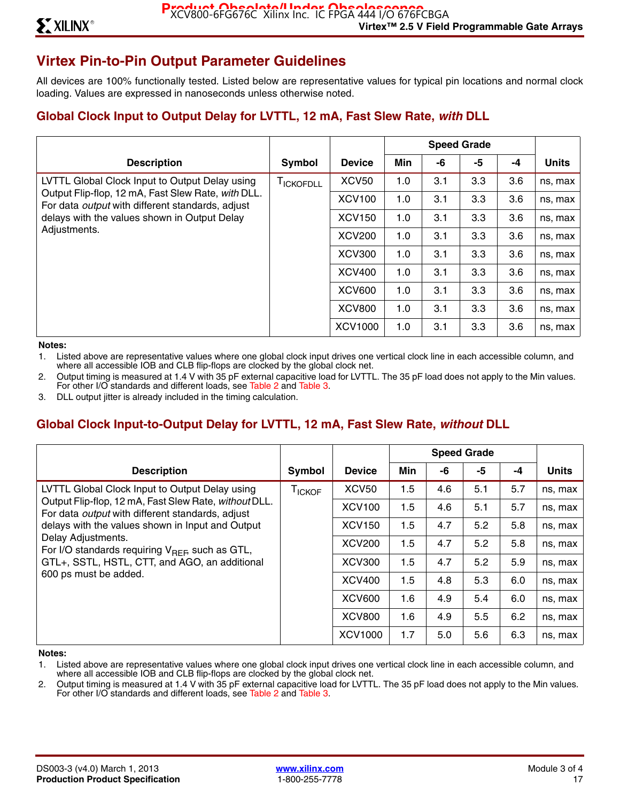# **Virtex Pin-to-Pin Output Parameter Guidelines**

All devices are 100% functionally tested. Listed below are representative values for typical pin locations and normal clock loading. Values are expressed in nanoseconds unless otherwise noted.

## **Global Clock Input to Output Delay for LVTTL, 12 mA, Fast Slew Rate,** *with* **DLL**

|                                                                                                                                                                                                                                 |                  |                   | <b>Speed Grade</b> |     |     |      |              |
|---------------------------------------------------------------------------------------------------------------------------------------------------------------------------------------------------------------------------------|------------------|-------------------|--------------------|-----|-----|------|--------------|
| <b>Description</b>                                                                                                                                                                                                              | Symbol           | <b>Device</b>     | Min                | -6  | -5  | $-4$ | <b>Units</b> |
| LVTTL Global Clock Input to Output Delay using<br>Output Flip-flop, 12 mA, Fast Slew Rate, with DLL.<br>For data <i>output</i> with different standards, adjust<br>delays with the values shown in Output Delay<br>Adjustments. | <b>TICKOFDLL</b> | XCV <sub>50</sub> | 1.0                | 3.1 | 3.3 | 3.6  | ns, max      |
|                                                                                                                                                                                                                                 |                  | <b>XCV100</b>     | 1.0                | 3.1 | 3.3 | 3.6  | ns, max      |
|                                                                                                                                                                                                                                 |                  | <b>XCV150</b>     | 1.0                | 3.1 | 3.3 | 3.6  | ns, max      |
|                                                                                                                                                                                                                                 |                  | <b>XCV200</b>     | 1.0                | 3.1 | 3.3 | 3.6  | ns, max      |
|                                                                                                                                                                                                                                 |                  | <b>XCV300</b>     | 1.0                | 3.1 | 3.3 | 3.6  | ns, max      |
|                                                                                                                                                                                                                                 |                  | <b>XCV400</b>     | 1.0                | 3.1 | 3.3 | 3.6  | ns, max      |
|                                                                                                                                                                                                                                 |                  | <b>XCV600</b>     | 1.0                | 3.1 | 3.3 | 3.6  | ns, max      |
|                                                                                                                                                                                                                                 |                  | <b>XCV800</b>     | 1.0                | 3.1 | 3.3 | 3.6  | ns, max      |
|                                                                                                                                                                                                                                 |                  | <b>XCV1000</b>    | 1.0                | 3.1 | 3.3 | 3.6  | ns, max      |

**Notes:** 

1. Listed above are representative values where one global clock input drives one vertical clock line in each accessible column, and where all accessible IOB and CLB flip-flops are clocked by the global clock net.

2. Output timing is measured at 1.4 V with 35 pF external capacitive load for LVTTL. The 35 pF load does not apply to the Min values. For other I/O standards and different loads, see Table 2 and Table 3.

3. DLL output jitter is already included in the timing calculation.

## **Global Clock Input-to-Output Delay for LVTTL, 12 mA, Fast Slew Rate,** *without* **DLL**

|                                                                                                                                                                                                                                                                                                           | <b>Speed Grade</b> |                |     |     |     |      |              |
|-----------------------------------------------------------------------------------------------------------------------------------------------------------------------------------------------------------------------------------------------------------------------------------------------------------|--------------------|----------------|-----|-----|-----|------|--------------|
| <b>Description</b>                                                                                                                                                                                                                                                                                        | Symbol             | <b>Device</b>  | Min | -6  | -5  | $-4$ | <b>Units</b> |
| LVTTL Global Clock Input to Output Delay using<br>Output Flip-flop, 12 mA, Fast Slew Rate, without DLL.<br>For data <i>output</i> with different standards, adjust<br>delays with the values shown in Input and Output<br>Delay Adjustments.<br>For I/O standards requiring $V_{\text{RFE}}$ such as GTL, | T <sub>ICKOF</sub> | <b>XCV50</b>   | 1.5 | 4.6 | 5.1 | 5.7  | ns, max      |
|                                                                                                                                                                                                                                                                                                           |                    | <b>XCV100</b>  | 1.5 | 4.6 | 5.1 | 5.7  | ns, max      |
|                                                                                                                                                                                                                                                                                                           |                    | <b>XCV150</b>  | 1.5 | 4.7 | 5.2 | 5.8  | ns, max      |
|                                                                                                                                                                                                                                                                                                           |                    | <b>XCV200</b>  | 1.5 | 4.7 | 5.2 | 5.8  | ns, max      |
| GTL+, SSTL, HSTL, CTT, and AGO, an additional                                                                                                                                                                                                                                                             |                    | <b>XCV300</b>  | 1.5 | 4.7 | 5.2 | 5.9  | ns, max      |
| 600 ps must be added.                                                                                                                                                                                                                                                                                     |                    | <b>XCV400</b>  | 1.5 | 4.8 | 5.3 | 6.0  | ns, max      |
|                                                                                                                                                                                                                                                                                                           |                    | <b>XCV600</b>  | 1.6 | 4.9 | 5.4 | 6.0  | ns, max      |
|                                                                                                                                                                                                                                                                                                           |                    | <b>XCV800</b>  | 1.6 | 4.9 | 5.5 | 6.2  | ns, max      |
|                                                                                                                                                                                                                                                                                                           |                    | <b>XCV1000</b> | 1.7 | 5.0 | 5.6 | 6.3  | ns, max      |

#### **Notes:**

1. Listed above are representative values where one global clock input drives one vertical clock line in each accessible column, and where all accessible IOB and CLB flip-flops are clocked by the global clock net.

2. Output timing is measured at 1.4 V with 35 pF external capacitive load for LVTTL. The 35 pF load does not apply to the Min values. For other I/O standards and different loads, see Table 2 and Table 3.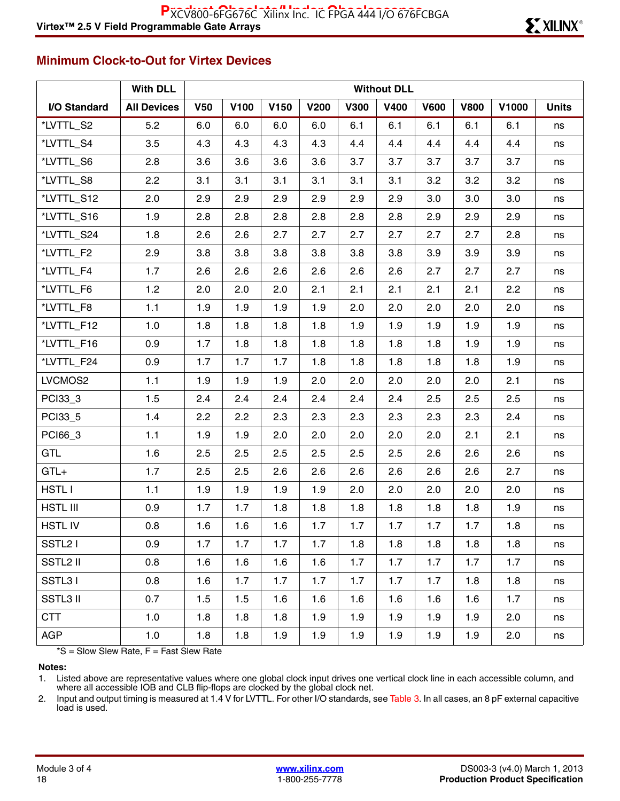## **Minimum Clock-to-Out for Virtex Devices**

|                      | <b>With DLL</b>    |            | <b>Without DLL</b> |      |             |             |             |             |             |       |              |
|----------------------|--------------------|------------|--------------------|------|-------------|-------------|-------------|-------------|-------------|-------|--------------|
| I/O Standard         | <b>All Devices</b> | <b>V50</b> | V100               | V150 | <b>V200</b> | <b>V300</b> | <b>V400</b> | <b>V600</b> | <b>V800</b> | V1000 | <b>Units</b> |
| *LVTTL_S2            | 5.2                | 6.0        | 6.0                | 6.0  | 6.0         | 6.1         | 6.1         | 6.1         | 6.1         | 6.1   | ns           |
| *LVTTL_S4            | 3.5                | 4.3        | 4.3                | 4.3  | 4.3         | 4.4         | 4.4         | 4.4         | 4.4         | 4.4   | ns           |
| *LVTTL_S6            | 2.8                | 3.6        | 3.6                | 3.6  | 3.6         | 3.7         | 3.7         | 3.7         | 3.7         | 3.7   | ns           |
| *LVTTL_S8            | 2.2                | 3.1        | 3.1                | 3.1  | 3.1         | 3.1         | 3.1         | 3.2         | 3.2         | 3.2   | ns           |
| *LVTTL_S12           | 2.0                | 2.9        | 2.9                | 2.9  | 2.9         | 2.9         | 2.9         | 3.0         | 3.0         | 3.0   | ns           |
| *LVTTL_S16           | 1.9                | 2.8        | 2.8                | 2.8  | 2.8         | 2.8         | 2.8         | 2.9         | 2.9         | 2.9   | ns           |
| *LVTTL_S24           | 1.8                | 2.6        | 2.6                | 2.7  | 2.7         | 2.7         | 2.7         | 2.7         | 2.7         | 2.8   | ns           |
| *LVTTL_F2            | 2.9                | 3.8        | 3.8                | 3.8  | 3.8         | 3.8         | 3.8         | 3.9         | 3.9         | 3.9   | ns           |
| *LVTTL_F4            | 1.7                | 2.6        | 2.6                | 2.6  | 2.6         | 2.6         | 2.6         | 2.7         | 2.7         | 2.7   | ns           |
| *LVTTL_F6            | 1.2                | 2.0        | 2.0                | 2.0  | 2.1         | 2.1         | 2.1         | 2.1         | 2.1         | 2.2   | ns           |
| *LVTTL_F8            | $1.1$              | 1.9        | 1.9                | 1.9  | 1.9         | 2.0         | 2.0         | 2.0         | 2.0         | 2.0   | ns           |
| *LVTTL_F12           | 1.0                | 1.8        | 1.8                | 1.8  | 1.8         | 1.9         | 1.9         | 1.9         | 1.9         | 1.9   | ns           |
| *LVTTL_F16           | 0.9                | 1.7        | 1.8                | 1.8  | 1.8         | 1.8         | 1.8         | 1.8         | 1.9         | 1.9   | ns           |
| *LVTTL_F24           | 0.9                | 1.7        | 1.7                | 1.7  | 1.8         | 1.8         | 1.8         | 1.8         | 1.8         | 1.9   | ns           |
| LVCMOS2              | $1.1$              | 1.9        | 1.9                | 1.9  | 2.0         | 2.0         | 2.0         | 2.0         | 2.0         | 2.1   | ns           |
| PCI33_3              | 1.5                | 2.4        | 2.4                | 2.4  | 2.4         | 2.4         | 2.4         | 2.5         | 2.5         | 2.5   | ns           |
| PCI33_5              | 1.4                | 2.2        | 2.2                | 2.3  | 2.3         | 2.3         | 2.3         | 2.3         | 2.3         | 2.4   | ns           |
| PCI66_3              | $1.1$              | 1.9        | 1.9                | 2.0  | 2.0         | 2.0         | 2.0         | 2.0         | 2.1         | 2.1   | ns           |
| GTL                  | 1.6                | 2.5        | 2.5                | 2.5  | 2.5         | 2.5         | 2.5         | 2.6         | 2.6         | 2.6   | ns           |
| $GTL+$               | 1.7                | 2.5        | 2.5                | 2.6  | 2.6         | 2.6         | 2.6         | 2.6         | 2.6         | 2.7   | ns           |
| <b>HSTLI</b>         | $1.1$              | 1.9        | 1.9                | 1.9  | 1.9         | 2.0         | 2.0         | 2.0         | 2.0         | 2.0   | ns           |
| <b>HSTL III</b>      | 0.9                | 1.7        | 1.7                | 1.8  | 1.8         | 1.8         | 1.8         | 1.8         | 1.8         | 1.9   | ns           |
| <b>HSTLIV</b>        | 0.8                | 1.6        | 1.6                | 1.6  | 1.7         | 1.7         | 1.7         | 1.7         | 1.7         | 1.8   | ns           |
| SSTL <sub>2</sub> I  | 0.9                | 1.7        | 1.7                | 1.7  | 1.7         | 1.8         | 1.8         | 1.8         | 1.8         | 1.8   | ns           |
| SSTL <sub>2</sub> II | 0.8                | 1.6        | 1.6                | 1.6  | 1.6         | 1.7         | 1.7         | 1.7         | 1.7         | 1.7   | ns           |
| SSTL31               | 0.8                | 1.6        | 1.7                | 1.7  | 1.7         | 1.7         | 1.7         | 1.7         | 1.8         | 1.8   | ns           |
| <b>SSTL3 II</b>      | 0.7                | 1.5        | 1.5                | 1.6  | 1.6         | 1.6         | 1.6         | 1.6         | 1.6         | 1.7   | ns           |
| <b>CTT</b>           | 1.0                | 1.8        | 1.8                | 1.8  | 1.9         | 1.9         | 1.9         | 1.9         | 1.9         | 2.0   | ns           |
| AGP                  | 1.0                | 1.8        | 1.8                | 1.9  | 1.9         | 1.9         | 1.9         | 1.9         | 1.9         | 2.0   | ns           |

 $*S =$  Slow Slew Rate,  $F =$  Fast Slew Rate

**Notes:** 

1. Listed above are representative values where one global clock input drives one vertical clock line in each accessible column, and where all accessible IOB and CLB flip-flops are clocked by the global clock net.

2. Input and output timing is measured at 1.4 V for LVTTL. For other I/O standards, see Table 3. In all cases, an 8 pF external capacitive load is used.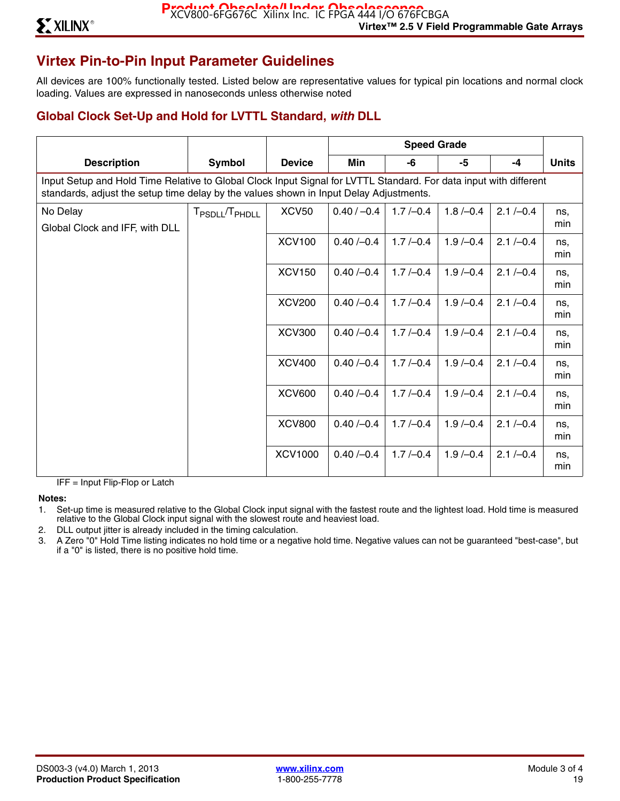# **Virtex Pin-to-Pin Input Parameter Guidelines**

All devices are 100% functionally tested. Listed below are representative values for typical pin locations and normal clock loading. Values are expressed in nanoseconds unless otherwise noted

## **Global Clock Set-Up and Hold for LVTTL Standard,** *with* **DLL**

| <b>Description</b>                                                                                                                                                                                          | Symbol                                 | <b>Device</b>  | Min           | -6         | -5         | $-4$         | <b>Units</b> |  |  |  |  |
|-------------------------------------------------------------------------------------------------------------------------------------------------------------------------------------------------------------|----------------------------------------|----------------|---------------|------------|------------|--------------|--------------|--|--|--|--|
| Input Setup and Hold Time Relative to Global Clock Input Signal for LVTTL Standard. For data input with different<br>standards, adjust the setup time delay by the values shown in Input Delay Adjustments. |                                        |                |               |            |            |              |              |  |  |  |  |
| No Delay<br>Global Clock and IFF, with DLL                                                                                                                                                                  | T <sub>PSDLL</sub> /T <sub>PHDLL</sub> | <b>XCV50</b>   | $0.40 / -0.4$ | $1.7/-0.4$ | $1.8/-0.4$ | $2.1 / -0.4$ | ns.<br>min   |  |  |  |  |
|                                                                                                                                                                                                             |                                        | <b>XCV100</b>  | $0.40/-0.4$   | $1.7/-0.4$ | $1.9/-0.4$ | $2.1 / -0.4$ | ns,<br>min   |  |  |  |  |
|                                                                                                                                                                                                             |                                        | <b>XCV150</b>  | $0.40/-0.4$   | $1.7/-0.4$ | $1.9/-0.4$ | $2.1 / -0.4$ | ns.<br>min   |  |  |  |  |
|                                                                                                                                                                                                             |                                        | <b>XCV200</b>  | $0.40/-0.4$   | $1.7/-0.4$ | $1.9/-0.4$ | $2.1 / -0.4$ | ns,<br>min   |  |  |  |  |
|                                                                                                                                                                                                             |                                        | <b>XCV300</b>  | $0.40/-0.4$   | $1.7/-0.4$ | $1.9/-0.4$ | $2.1 / -0.4$ | ns,<br>min   |  |  |  |  |
|                                                                                                                                                                                                             |                                        | <b>XCV400</b>  | $0.40/-0.4$   | $1.7/-0.4$ | $1.9/-0.4$ | $2.1 / -0.4$ | ns.<br>min   |  |  |  |  |
|                                                                                                                                                                                                             |                                        | <b>XCV600</b>  | $0.40/-0.4$   | $1.7/-0.4$ | $1.9/-0.4$ | $2.1 / -0.4$ | ns.<br>min   |  |  |  |  |
|                                                                                                                                                                                                             |                                        | <b>XCV800</b>  | $0.40/-0.4$   | $1.7/-0.4$ | $1.9/-0.4$ | $2.1 / -0.4$ | ns.<br>min   |  |  |  |  |
|                                                                                                                                                                                                             |                                        | <b>XCV1000</b> | $0.40/-0.4$   | $1.7/-0.4$ | $1.9/-0.4$ | $2.1 / -0.4$ | ns,<br>min   |  |  |  |  |

IFF = Input Flip-Flop or Latch

**Notes:** 

- 1. Set-up time is measured relative to the Global Clock input signal with the fastest route and the lightest load. Hold time is measured relative to the Global Clock input signal with the slowest route and heaviest load.
- 2. DLL output jitter is already included in the timing calculation.
- 3. A Zero "0" Hold Time listing indicates no hold time or a negative hold time. Negative values can not be guaranteed "best-case", but if a "0" is listed, there is no positive hold time.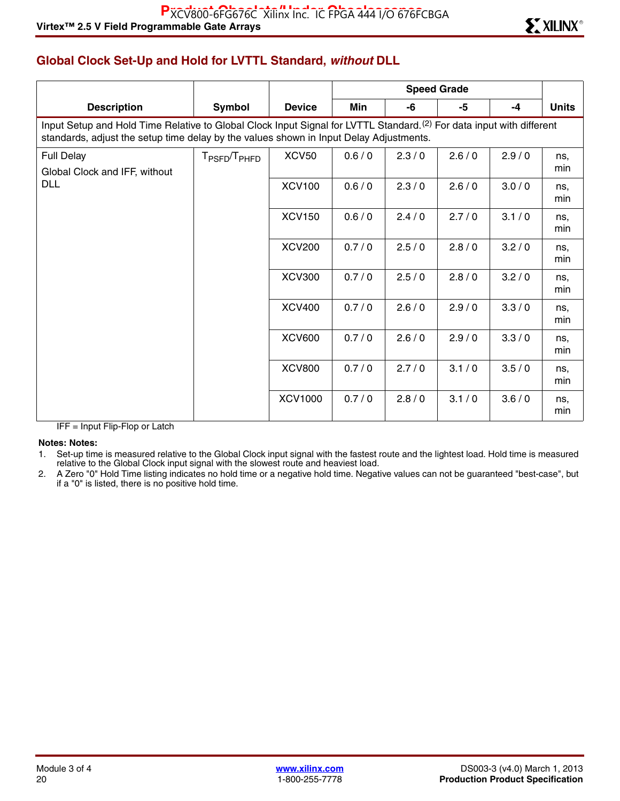# **Global Clock Set-Up and Hold for LVTTL Standard,** *without* **DLL**

| <b>Description</b>                                                                                                                                                                                                         | Symbol                               | <b>Device</b>  | Min   | -6    | -5    | $-4$  | <b>Units</b> |  |  |  |  |
|----------------------------------------------------------------------------------------------------------------------------------------------------------------------------------------------------------------------------|--------------------------------------|----------------|-------|-------|-------|-------|--------------|--|--|--|--|
| Input Setup and Hold Time Relative to Global Clock Input Signal for LVTTL Standard. <sup>(2)</sup> For data input with different<br>standards, adjust the setup time delay by the values shown in Input Delay Adjustments. |                                      |                |       |       |       |       |              |  |  |  |  |
| <b>Full Delay</b><br>Global Clock and IFF, without                                                                                                                                                                         | T <sub>PSFD</sub> /T <sub>PHFD</sub> | <b>XCV50</b>   | 0.6/0 | 2.3/0 | 2.6/0 | 2.9/0 | ns,<br>min   |  |  |  |  |
| <b>DLL</b>                                                                                                                                                                                                                 |                                      | <b>XCV100</b>  | 0.6/0 | 2.3/0 | 2.6/0 | 3.0/0 | ns,<br>min   |  |  |  |  |
|                                                                                                                                                                                                                            |                                      | <b>XCV150</b>  | 0.6/0 | 2.4/0 | 2.7/0 | 3.1/0 | ns,<br>min   |  |  |  |  |
|                                                                                                                                                                                                                            |                                      | <b>XCV200</b>  | 0.7/0 | 2.5/0 | 2.8/0 | 3.2/0 | ns,<br>min   |  |  |  |  |
|                                                                                                                                                                                                                            |                                      | <b>XCV300</b>  | 0.7/0 | 2.5/0 | 2.8/0 | 3.2/0 | ns,<br>min   |  |  |  |  |
|                                                                                                                                                                                                                            |                                      | <b>XCV400</b>  | 0.7/0 | 2.6/0 | 2.9/0 | 3.3/0 | ns,<br>min   |  |  |  |  |
|                                                                                                                                                                                                                            |                                      | <b>XCV600</b>  | 0.7/0 | 2.6/0 | 2.9/0 | 3.3/0 | ns,<br>min   |  |  |  |  |
|                                                                                                                                                                                                                            |                                      | <b>XCV800</b>  | 0.7/0 | 2.7/0 | 3.1/0 | 3.5/0 | ns,<br>min   |  |  |  |  |
|                                                                                                                                                                                                                            |                                      | <b>XCV1000</b> | 0.7/0 | 2.8/0 | 3.1/0 | 3.6/0 | ns,<br>min   |  |  |  |  |

IFF = Input Flip-Flop or Latch

#### **Notes: Notes:**

1. Set-up time is measured relative to the Global Clock input signal with the fastest route and the lightest load. Hold time is measured relative to the Global Clock input signal with the slowest route and heaviest load.

2. A Zero "0" Hold Time listing indicates no hold time or a negative hold time. Negative values can not be guaranteed "best-case", but if a "0" is listed, there is no positive hold time.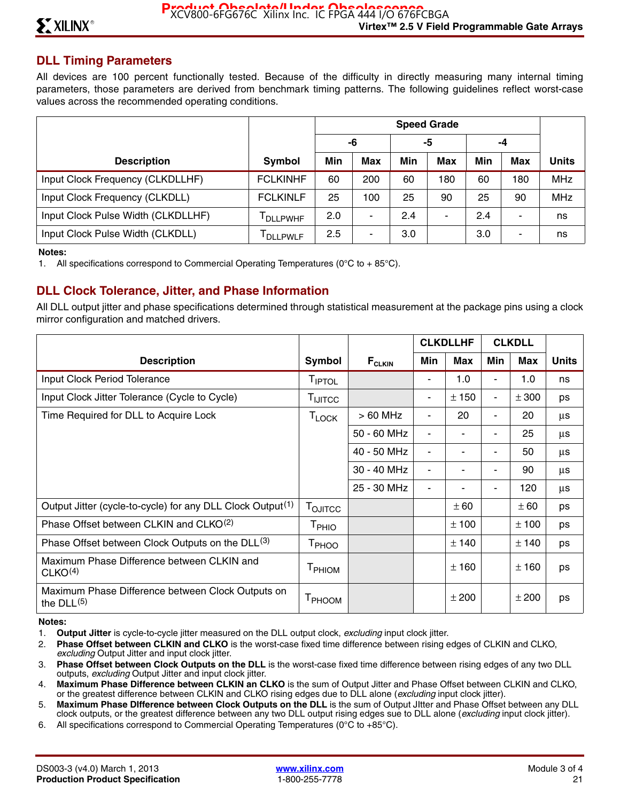## **DLL Timing Parameters**

All devices are 100 percent functionally tested. Because of the difficulty in directly measuring many internal timing parameters, those parameters are derived from benchmark timing patterns. The following guidelines reflect worst-case values across the recommended operating conditions.

|                                    |                  | <b>Speed Grade</b> |     |     |            |     |            |              |
|------------------------------------|------------------|--------------------|-----|-----|------------|-----|------------|--------------|
|                                    |                  |                    | -6  |     | -5         |     | -4         |              |
| <b>Description</b>                 | Symbol           | Min                | Max | Min | <b>Max</b> | Min | <b>Max</b> | <b>Units</b> |
| Input Clock Frequency (CLKDLLHF)   | <b>FCLKINHF</b>  | 60                 | 200 | 60  | 180        | 60  | 180        | <b>MHz</b>   |
| Input Clock Frequency (CLKDLL)     | <b>FCLKINLF</b>  | 25                 | 100 | 25  | 90         | 25  | 90         | <b>MHz</b>   |
| Input Clock Pulse Width (CLKDLLHF) | <b>DLLPWHF</b>   | 2.0                | ۰   | 2.4 |            | 2.4 |            | ns           |
| Input Clock Pulse Width (CLKDLL)   | <b>I</b> DLLPWLF | 2.5                | -   | 3.0 |            | 3.0 |            | ns           |

#### **Notes:**

1. All specifications correspond to Commercial Operating Temperatures ( $0^{\circ}$ C to + 85 $^{\circ}$ C).

## **DLL Clock Tolerance, Jitter, and Phase Information**

All DLL output jitter and phase specifications determined through statistical measurement at the package pins using a clock mirror configuration and matched drivers.

|                                                                        |                                                                         |             | <b>CLKDLLHF</b> |       | <b>CLKDLL</b>            |       |              |
|------------------------------------------------------------------------|-------------------------------------------------------------------------|-------------|-----------------|-------|--------------------------|-------|--------------|
| <b>Description</b>                                                     | Symbol                                                                  | $F_{CLKIN}$ | Min             | Max   | Min                      | Max   | <b>Units</b> |
| Input Clock Period Tolerance                                           | TIPTOL                                                                  |             |                 | 1.0   |                          | 1.0   | ns           |
| Input Clock Jitter Tolerance (Cycle to Cycle)                          | $T_{\mathsf{I} \mathsf{J} \mathsf{T} \mathsf{T} \mathsf{C} \mathsf{C}}$ |             | $\blacksquare$  | ± 150 |                          | ± 300 | ps           |
| Time Required for DLL to Acquire Lock                                  | $T_{\mathsf{LOCK}}$                                                     | $>60$ MHz   | $\blacksquare$  | 20    | $\overline{\phantom{a}}$ | 20    | μs           |
|                                                                        |                                                                         | 50 - 60 MHz | $\blacksquare$  | ۰     |                          | 25    | μs           |
|                                                                        |                                                                         | 40 - 50 MHz | $\blacksquare$  |       |                          | 50    | μs           |
|                                                                        |                                                                         | 30 - 40 MHz | $\blacksquare$  | ۰     |                          | 90    | μs           |
|                                                                        |                                                                         | 25 - 30 MHz | $\blacksquare$  |       |                          | 120   | μs           |
| Output Jitter (cycle-to-cycle) for any DLL Clock Output <sup>(1)</sup> | T <sub>OJITCC</sub>                                                     |             |                 | ± 60  |                          | ± 60  | ps           |
| Phase Offset between CLKIN and CLKO <sup>(2)</sup>                     | T <sub>PHIO</sub>                                                       |             |                 | ± 100 |                          | ± 100 | ps           |
| Phase Offset between Clock Outputs on the DLL <sup>(3)</sup>           | T <sub>PHOO</sub>                                                       |             |                 | ± 140 |                          | ± 140 | ps           |
| Maximum Phase Difference between CLKIN and<br>CLKO <sup>(4)</sup>      | T <sub>PHIOM</sub>                                                      |             |                 | ±160  |                          | ±160  | ps           |
| Maximum Phase Difference between Clock Outputs on<br>the $DLL(5)$      | T <sub>PHOOM</sub>                                                      |             |                 | ± 200 |                          | ± 200 | ps           |

#### **Notes:**

- 1. **Output Jitter** is cycle-to-cycle jitter measured on the DLL output clock, *excluding* input clock jitter.
- 2. **Phase Offset between CLKIN and CLKO** is the worst-case fixed time difference between rising edges of CLKIN and CLKO, *excluding* Output Jitter and input clock jitter.
- 3. **Phase Offset between Clock Outputs on the DLL** is the worst-case fixed time difference between rising edges of any two DLL outputs, *excluding* Output Jitter and input clock jitter.
- 4. **Maximum Phase Difference between CLKIN an CLKO** is the sum of Output Jitter and Phase Offset between CLKIN and CLKO, or the greatest difference between CLKIN and CLKO rising edges due to DLL alone (*excluding* input clock jitter).
- 5. **Maximum Phase DIfference between Clock Outputs on the DLL** is the sum of Output JItter and Phase Offset between any DLL clock outputs, or the greatest difference between any two DLL output rising edges sue to DLL alone (*excluding* input clock jitter).
- 6. All specifications correspond to Commercial Operating Temperatures (0°C to +85°C).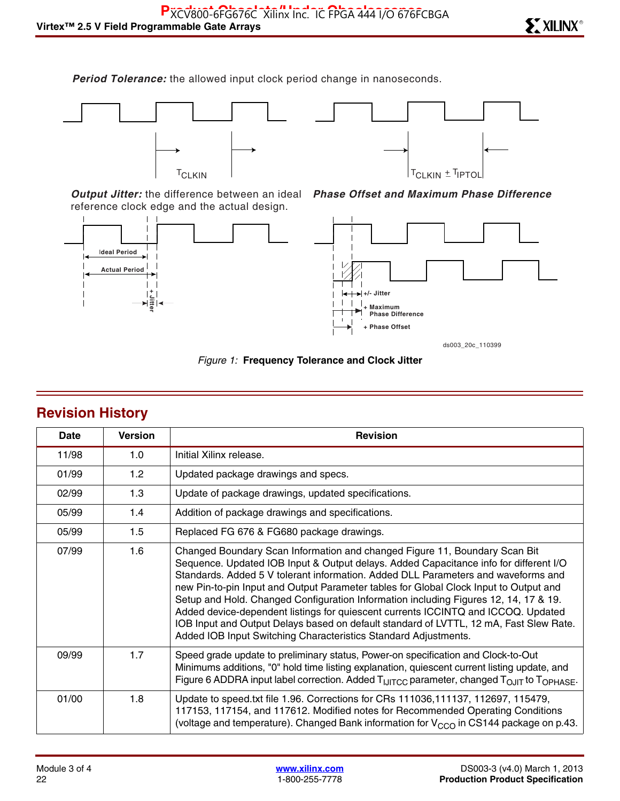*Period Tolerance:* the allowed input clock period change in nanoseconds.





*Output Jitter:* the difference between an ideal reference clock edge and the actual design.





*Phase Offset and Maximum Phase Difference*

*Figure 1:* **Frequency Tolerance and Clock Jitter**

| <b>Revision History</b> |  |
|-------------------------|--|
|                         |  |

| Date  | <b>Version</b> | <b>Revision</b>                                                                                                                                                                                                                                                                                                                                                                                                                                                                                                                                                                                                                                                                             |
|-------|----------------|---------------------------------------------------------------------------------------------------------------------------------------------------------------------------------------------------------------------------------------------------------------------------------------------------------------------------------------------------------------------------------------------------------------------------------------------------------------------------------------------------------------------------------------------------------------------------------------------------------------------------------------------------------------------------------------------|
| 11/98 | 1.0            | Initial Xilinx release.                                                                                                                                                                                                                                                                                                                                                                                                                                                                                                                                                                                                                                                                     |
| 01/99 | 1.2            | Updated package drawings and specs.                                                                                                                                                                                                                                                                                                                                                                                                                                                                                                                                                                                                                                                         |
| 02/99 | 1.3            | Update of package drawings, updated specifications.                                                                                                                                                                                                                                                                                                                                                                                                                                                                                                                                                                                                                                         |
| 05/99 | 1.4            | Addition of package drawings and specifications.                                                                                                                                                                                                                                                                                                                                                                                                                                                                                                                                                                                                                                            |
| 05/99 | 1.5            | Replaced FG 676 & FG680 package drawings.                                                                                                                                                                                                                                                                                                                                                                                                                                                                                                                                                                                                                                                   |
| 07/99 | 1.6            | Changed Boundary Scan Information and changed Figure 11, Boundary Scan Bit<br>Sequence. Updated IOB Input & Output delays. Added Capacitance info for different I/O<br>Standards. Added 5 V tolerant information. Added DLL Parameters and waveforms and<br>new Pin-to-pin Input and Output Parameter tables for Global Clock Input to Output and<br>Setup and Hold. Changed Configuration Information including Figures 12, 14, 17 & 19.<br>Added device-dependent listings for quiescent currents ICCINTQ and ICCOQ. Updated<br>IOB Input and Output Delays based on default standard of LVTTL, 12 mA, Fast Slew Rate.<br>Added IOB Input Switching Characteristics Standard Adjustments. |
| 09/99 | 1.7            | Speed grade update to preliminary status, Power-on specification and Clock-to-Out<br>Minimums additions, "0" hold time listing explanation, quiescent current listing update, and<br>Figure 6 ADDRA input label correction. Added T <sub>IJITCC</sub> parameter, changed T <sub>OJIT</sub> to T <sub>OPHASE</sub> .                                                                                                                                                                                                                                                                                                                                                                         |
| 01/00 | 1.8            | Update to speed.txt file 1.96. Corrections for CRs 111036, 111137, 112697, 115479,<br>117153, 117154, and 117612. Modified notes for Recommended Operating Conditions<br>(voltage and temperature). Changed Bank information for $V_{CCO}$ in CS144 package on p.43.                                                                                                                                                                                                                                                                                                                                                                                                                        |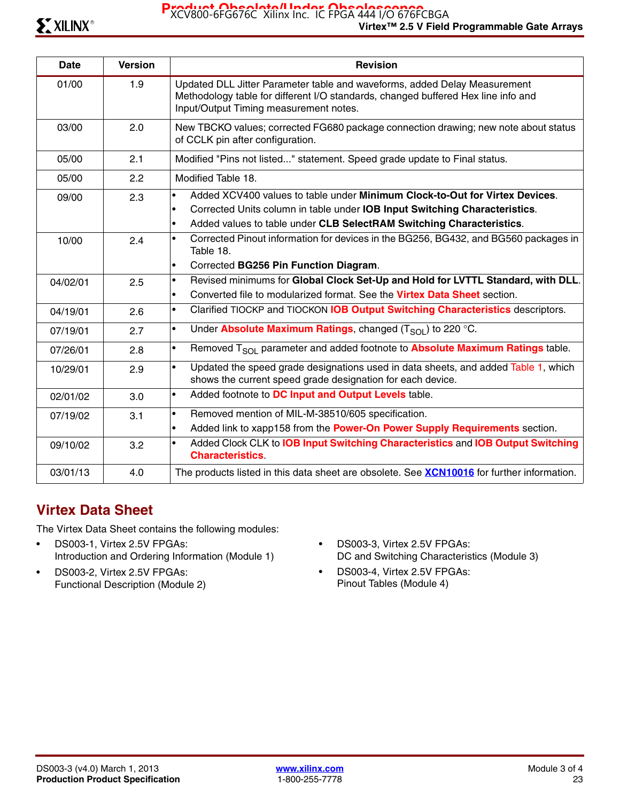Product Obsolete<sup>1</sup> Index Obsolescence<br>XCV800-6FG676C Xilinx Inc. IC FPGA 444 I/O 676FCBGA

| <b>Date</b> | <b>Version</b> | <b>Revision</b>                                                                                                                                                                                                                                                          |
|-------------|----------------|--------------------------------------------------------------------------------------------------------------------------------------------------------------------------------------------------------------------------------------------------------------------------|
| 01/00       | 1.9            | Updated DLL Jitter Parameter table and waveforms, added Delay Measurement<br>Methodology table for different I/O standards, changed buffered Hex line info and<br>Input/Output Timing measurement notes.                                                                 |
| 03/00       | 2.0            | New TBCKO values; corrected FG680 package connection drawing; new note about status<br>of CCLK pin after configuration.                                                                                                                                                  |
| 05/00       | 2.1            | Modified "Pins not listed" statement. Speed grade update to Final status.                                                                                                                                                                                                |
| 05/00       | 2.2            | Modified Table 18.                                                                                                                                                                                                                                                       |
| 09/00       | 2.3            | Added XCV400 values to table under Minimum Clock-to-Out for Virtex Devices.<br>$\bullet$<br>Corrected Units column in table under IOB Input Switching Characteristics.<br>$\bullet$<br>Added values to table under CLB SelectRAM Switching Characteristics.<br>$\bullet$ |
| 10/00       | 2.4            | Corrected Pinout information for devices in the BG256, BG432, and BG560 packages in<br>$\bullet$<br>Table 18.<br>Corrected BG256 Pin Function Diagram.<br>$\bullet$                                                                                                      |
| 04/02/01    | 2.5            | Revised minimums for Global Clock Set-Up and Hold for LVTTL Standard, with DLL.<br>$\bullet$<br>Converted file to modularized format. See the Virtex Data Sheet section.<br>$\bullet$                                                                                    |
| 04/19/01    | 2.6            | Clarified TIOCKP and TIOCKON IOB Output Switching Characteristics descriptors.<br>$\bullet$                                                                                                                                                                              |
| 07/19/01    | 2.7            | Under Absolute Maximum Ratings, changed $(T_{\text{SOI}})$ to 220 °C.<br>$\bullet$                                                                                                                                                                                       |
| 07/26/01    | 2.8            | Removed T <sub>SOL</sub> parameter and added footnote to <b>Absolute Maximum Ratings</b> table.<br>$\bullet$                                                                                                                                                             |
| 10/29/01    | 2.9            | Updated the speed grade designations used in data sheets, and added Table 1, which<br>$\bullet$<br>shows the current speed grade designation for each device.                                                                                                            |
| 02/01/02    | 3.0            | Added footnote to DC Input and Output Levels table.<br>$\bullet$                                                                                                                                                                                                         |
| 07/19/02    | 3.1            | Removed mention of MIL-M-38510/605 specification.<br>$\bullet$<br>Added link to xapp158 from the Power-On Power Supply Requirements section.<br>$\bullet$                                                                                                                |
| 09/10/02    | 3.2            | Added Clock CLK to IOB Input Switching Characteristics and IOB Output Switching<br>$\bullet$<br><b>Characteristics</b>                                                                                                                                                   |
| 03/01/13    | 4.0            | The products listed in this data sheet are obsolete. See <b>XCN10016</b> for further information.                                                                                                                                                                        |

# **Virtex Data Sheet**

The Virtex Data Sheet contains the following modules:

- DS003-1, Virtex 2.5V FPGAs: Introduction and Ordering Information (Module 1)
- DS003-2, Virtex 2.5V FPGAs: Functional Description (Module 2)
- DS003-3, Virtex 2.5V FPGAs: DC and Switching Characteristics (Module 3)
- DS003-4, Virtex 2.5V FPGAs: Pinout Tables (Module 4)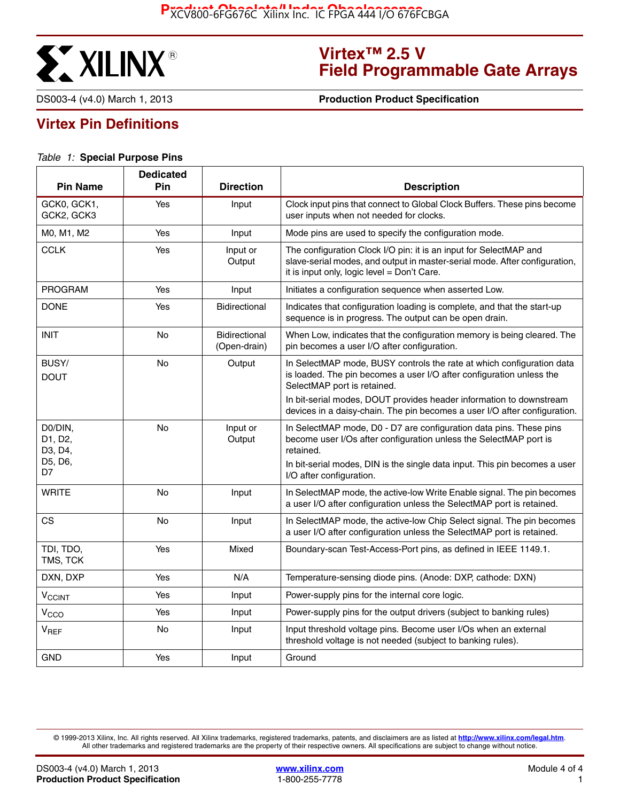

# **Virtex™ 2.5 V Field Programmable Gate Arrays**

DS003-4 (v4.0) March 1, 2013 **0 000 1000 1000 1000 Production Product Specification** 

# **Virtex Pin Definitions**

#### *Table 1:* **Special Purpose Pins**

| <b>Pin Name</b>               | <b>Dedicated</b><br>Pin | <b>Direction</b>                     | <b>Description</b>                                                                                                                                                                             |
|-------------------------------|-------------------------|--------------------------------------|------------------------------------------------------------------------------------------------------------------------------------------------------------------------------------------------|
| GCK0, GCK1,<br>GCK2, GCK3     | Yes                     | Input                                | Clock input pins that connect to Global Clock Buffers. These pins become<br>user inputs when not needed for clocks.                                                                            |
| M0, M1, M2                    | Yes                     | Input                                | Mode pins are used to specify the configuration mode.                                                                                                                                          |
| <b>CCLK</b>                   | Yes                     | Input or<br>Output                   | The configuration Clock I/O pin: it is an input for SelectMAP and<br>slave-serial modes, and output in master-serial mode. After configuration,<br>it is input only, logic level = Don't Care. |
| <b>PROGRAM</b>                | Yes                     | Input                                | Initiates a configuration sequence when asserted Low.                                                                                                                                          |
| <b>DONE</b>                   | Yes                     | <b>Bidirectional</b>                 | Indicates that configuration loading is complete, and that the start-up<br>sequence is in progress. The output can be open drain.                                                              |
| <b>INIT</b>                   | No                      | <b>Bidirectional</b><br>(Open-drain) | When Low, indicates that the configuration memory is being cleared. The<br>pin becomes a user I/O after configuration.                                                                         |
| BUSY/<br><b>DOUT</b>          | No                      | Output                               | In SelectMAP mode, BUSY controls the rate at which configuration data<br>is loaded. The pin becomes a user I/O after configuration unless the<br>SelectMAP port is retained.                   |
|                               |                         |                                      | In bit-serial modes, DOUT provides header information to downstream<br>devices in a daisy-chain. The pin becomes a user I/O after configuration.                                               |
| D0/DIN,<br>D1, D2,<br>D3, D4, | <b>No</b>               | Input or<br>Output                   | In SelectMAP mode, D0 - D7 are configuration data pins. These pins<br>become user I/Os after configuration unless the SelectMAP port is<br>retained.                                           |
| D5, D6,<br>D7                 |                         |                                      | In bit-serial modes, DIN is the single data input. This pin becomes a user<br>I/O after configuration.                                                                                         |
| WRITE                         | No                      | Input                                | In SelectMAP mode, the active-low Write Enable signal. The pin becomes<br>a user I/O after configuration unless the SelectMAP port is retained.                                                |
| <b>CS</b>                     | <b>No</b>               | Input                                | In SelectMAP mode, the active-low Chip Select signal. The pin becomes<br>a user I/O after configuration unless the SelectMAP port is retained.                                                 |
| TDI, TDO,<br>TMS, TCK         | Yes                     | Mixed                                | Boundary-scan Test-Access-Port pins, as defined in IEEE 1149.1.                                                                                                                                |
| DXN, DXP                      | Yes                     | N/A                                  | Temperature-sensing diode pins. (Anode: DXP, cathode: DXN)                                                                                                                                     |
| $V_{\text{CCINT}}$            | Yes                     | Input                                | Power-supply pins for the internal core logic.                                                                                                                                                 |
| V <sub>CCO</sub>              | Yes                     | Input                                | Power-supply pins for the output drivers (subject to banking rules)                                                                                                                            |
| $V_{REF}$                     | No                      | Input                                | Input threshold voltage pins. Become user I/Os when an external<br>threshold voltage is not needed (subject to banking rules).                                                                 |
| <b>GND</b>                    | Yes                     | Input                                | Ground                                                                                                                                                                                         |

© 1999-2013 Xilinx, Inc. All rights reserved. All Xilinx trademarks, registered trademarks, patents, and disclaimers are as listed at **<http://www.xilinx.com/legal.htm>**. All other trademarks and registered trademarks are the property of their respective owners. All specifications are subject to change without notice.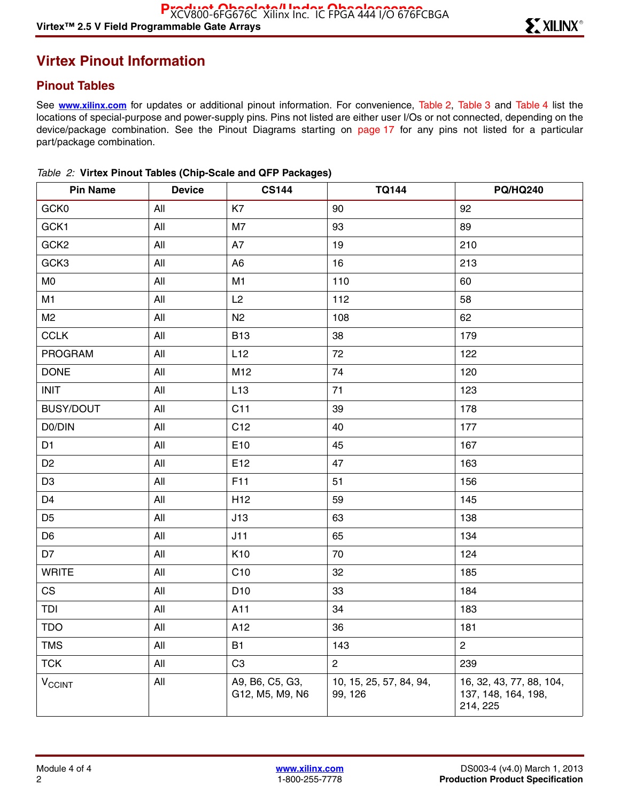# **Virtex Pinout Information**

## **Pinout Tables**

See **[www.xilinx.com](http://www.xilinx.com)** for updates or additional pinout information. For convenience, Table 2, Table 3 and Table 4 list the locations of special-purpose and power-supply pins. Pins not listed are either user I/Os or not connected, depending on the device/package combination. See the Pinout Diagrams starting on page 17 for any pins not listed for a particular part/package combination.

| <b>Pin Name</b>          | <b>Device</b> | <b>CS144</b>                       | <b>TQ144</b>                       | <b>PQ/HQ240</b>                                             |
|--------------------------|---------------|------------------------------------|------------------------------------|-------------------------------------------------------------|
| GCK0                     | All           | K7                                 | 90                                 | 92                                                          |
| GCK1                     | All           | M7                                 | 93                                 | 89                                                          |
| GCK <sub>2</sub>         | All           | A7                                 | 19                                 | 210                                                         |
| GCK3                     | All           | A <sub>6</sub>                     | 16                                 | 213                                                         |
| M <sub>0</sub>           | All           | M1                                 | 110                                | 60                                                          |
| M1                       | All           | L2                                 | 112                                | 58                                                          |
| M <sub>2</sub>           | All           | N <sub>2</sub>                     | 108                                | 62                                                          |
| <b>CCLK</b>              | All           | <b>B13</b>                         | 38                                 | 179                                                         |
| PROGRAM                  | All           | L12                                | 72                                 | 122                                                         |
| <b>DONE</b>              | All           | M12                                | 74                                 | 120                                                         |
| <b>INIT</b>              | All           | L13                                | 71                                 | 123                                                         |
| BUSY/DOUT                | All           | C11                                | 39                                 | 178                                                         |
| D0/DIN                   | All           | C12                                | 40                                 | 177                                                         |
| D1                       | All           | E10                                | 45                                 | 167                                                         |
| D <sub>2</sub>           | All           | E12                                | 47                                 | 163                                                         |
| D <sub>3</sub>           | All           | F11                                | 51                                 | 156                                                         |
| D <sub>4</sub>           | All           | H <sub>12</sub>                    | 59                                 | 145                                                         |
| D <sub>5</sub>           | All           | J13                                | 63                                 | 138                                                         |
| D <sub>6</sub>           | All           | J11                                | 65                                 | 134                                                         |
| D7                       | All           | K <sub>10</sub>                    | 70                                 | 124                                                         |
| <b>WRITE</b>             | All           | C10                                | 32                                 | 185                                                         |
| CS                       | All           | D <sub>10</sub>                    | 33                                 | 184                                                         |
| TDI                      | All           | A11                                | 34                                 | 183                                                         |
| <b>TDO</b>               | All           | A12                                | 36                                 | 181                                                         |
| <b>TMS</b>               | All           | <b>B1</b>                          | 143                                | $\overline{c}$                                              |
| <b>TCK</b>               | All           | C <sub>3</sub>                     | $\overline{c}$                     | 239                                                         |
| <b>V<sub>CCINT</sub></b> | All           | A9, B6, C5, G3,<br>G12, M5, M9, N6 | 10, 15, 25, 57, 84, 94,<br>99, 126 | 16, 32, 43, 77, 88, 104,<br>137, 148, 164, 198,<br>214, 225 |

|  |  |  |  | Table 2: Virtex Pinout Tables (Chip-Scale and QFP Packages) |  |
|--|--|--|--|-------------------------------------------------------------|--|
|--|--|--|--|-------------------------------------------------------------|--|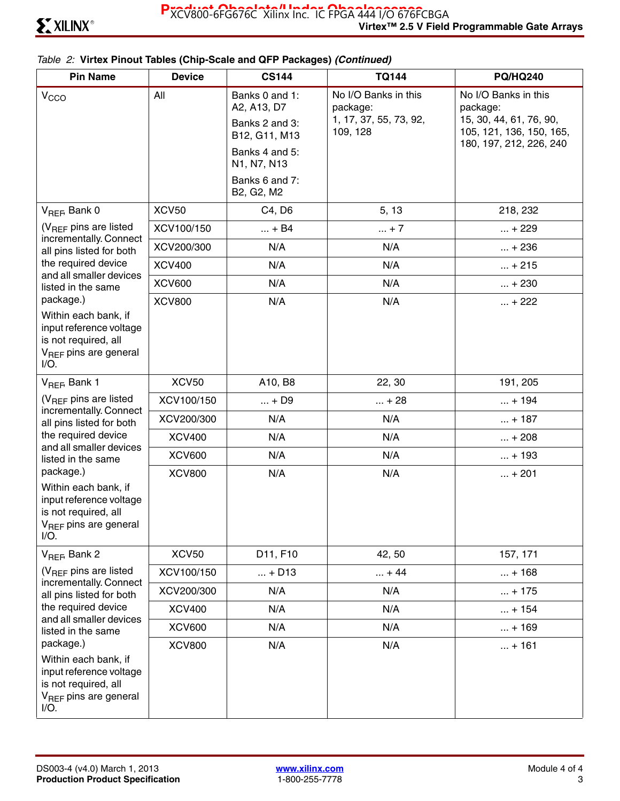#### *Table 2:* **Virtex Pinout Tables (Chip-Scale and QFP Packages)** *(Continued)*

| <b>Pin Name</b>                                                                                                                      | <b>Device</b> | <b>CS144</b>                                                     | <b>TQ144</b>                                                           | <b>PQ/HQ240</b>                                                                         |
|--------------------------------------------------------------------------------------------------------------------------------------|---------------|------------------------------------------------------------------|------------------------------------------------------------------------|-----------------------------------------------------------------------------------------|
| V <sub>CCO</sub>                                                                                                                     | All           | Banks 0 and 1:<br>A2, A13, D7<br>Banks 2 and 3:<br>B12, G11, M13 | No I/O Banks in this<br>package:<br>1, 17, 37, 55, 73, 92,<br>109, 128 | No I/O Banks in this<br>package:<br>15, 30, 44, 61, 76, 90,<br>105, 121, 136, 150, 165, |
|                                                                                                                                      |               | Banks 4 and 5:<br>N1, N7, N13                                    |                                                                        | 180, 197, 212, 226, 240                                                                 |
|                                                                                                                                      |               | Banks 6 and 7:<br>B2, G2, M2                                     |                                                                        |                                                                                         |
| V <sub>REF</sub> , Bank 0                                                                                                            | <b>XCV50</b>  | C4, D6                                                           | 5, 13                                                                  | 218, 232                                                                                |
| $(V_{BFF}$ pins are listed                                                                                                           | XCV100/150    | $ + B4$                                                          | $ + 7$                                                                 | $ + 229$                                                                                |
| incrementally. Connect<br>all pins listed for both                                                                                   | XCV200/300    | N/A                                                              | N/A                                                                    | $ + 236$                                                                                |
| the required device                                                                                                                  | <b>XCV400</b> | N/A                                                              | N/A                                                                    | $ + 215$                                                                                |
| and all smaller devices<br>listed in the same                                                                                        | <b>XCV600</b> | N/A                                                              | N/A                                                                    | $ + 230$                                                                                |
| package.)<br>Within each bank, if<br>input reference voltage<br>is not required, all<br>V <sub>REF</sub> pins are general<br>$I/O$ . | <b>XCV800</b> | N/A                                                              | N/A                                                                    | $ + 222$                                                                                |
| V <sub>REF</sub> , Bank 1                                                                                                            | <b>XCV50</b>  | A10, B8                                                          | 22, 30                                                                 | 191, 205                                                                                |
| $(V_{BFF}$ pins are listed                                                                                                           | XCV100/150    | $ + D9$                                                          | $ + 28$                                                                | $ + 194$                                                                                |
| incrementally. Connect<br>all pins listed for both                                                                                   | XCV200/300    | N/A                                                              | N/A                                                                    | $ + 187$                                                                                |
| the required device                                                                                                                  | <b>XCV400</b> | N/A                                                              | N/A                                                                    | $ + 208$                                                                                |
| and all smaller devices<br>listed in the same                                                                                        | <b>XCV600</b> | N/A                                                              | N/A                                                                    | $ + 193$                                                                                |
| package.)<br>Within each bank, if<br>input reference voltage<br>is not required, all<br>V <sub>REF</sub> pins are general<br>I/O.    | <b>XCV800</b> | N/A                                                              | N/A                                                                    | $ + 201$                                                                                |
| V <sub>REF</sub> , Bank 2                                                                                                            | <b>XCV50</b>  | D11, F10                                                         | 42, 50                                                                 | 157, 171                                                                                |
| $(V_{REF}$ pins are listed                                                                                                           | XCV100/150    | $ + D13$                                                         | $ + 44$                                                                | $ + 168$                                                                                |
| incrementally. Connect<br>all pins listed for both                                                                                   | XCV200/300    | N/A                                                              | N/A                                                                    | $ + 175$                                                                                |
| the required device                                                                                                                  | <b>XCV400</b> | N/A                                                              | N/A                                                                    | $ + 154$                                                                                |
| and all smaller devices<br>listed in the same                                                                                        | <b>XCV600</b> | N/A                                                              | N/A                                                                    | $ + 169$                                                                                |
| package.)<br>Within each bank, if<br>input reference voltage<br>is not required, all<br>V <sub>REF</sub> pins are general<br>$I/O$ . | <b>XCV800</b> | N/A                                                              | N/A                                                                    | $ + 161$                                                                                |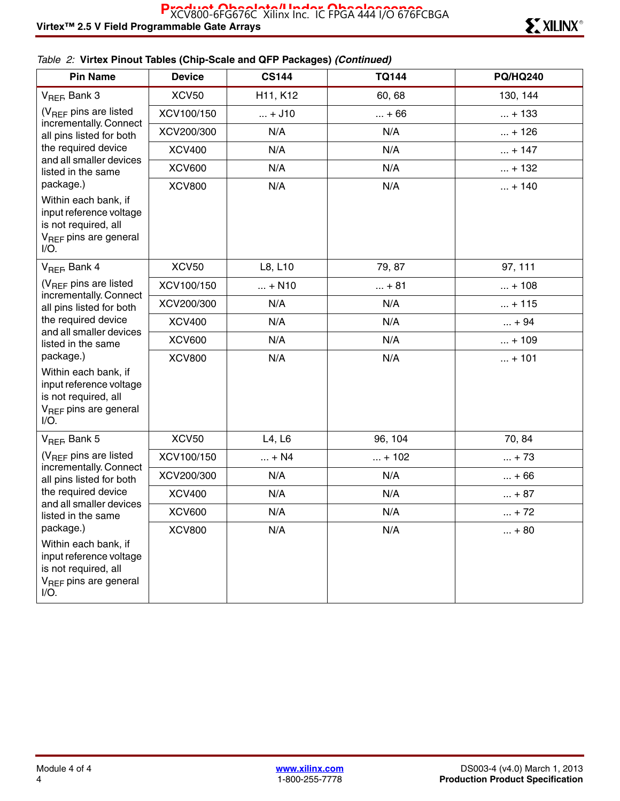### *Table 2:* **Virtex Pinout Tables (Chip-Scale and QFP Packages)** *(Continued)*

| <b>Pin Name</b>                                                                                                         | <b>Device</b> | <b>CS144</b> | <b>TQ144</b> | <b>PQ/HQ240</b> |
|-------------------------------------------------------------------------------------------------------------------------|---------------|--------------|--------------|-----------------|
| V <sub>REF</sub> , Bank 3                                                                                               | <b>XCV50</b>  | H11, K12     | 60, 68       | 130, 144        |
| (V <sub>REF</sub> pins are listed<br>incrementally. Connect<br>all pins listed for both                                 | XCV100/150    | $ + J10$     | $ + 66$      | $ + 133$        |
|                                                                                                                         | XCV200/300    | N/A          | N/A          | $ + 126$        |
| the required device                                                                                                     | <b>XCV400</b> | N/A          | N/A          | $ + 147$        |
| and all smaller devices<br>listed in the same                                                                           | <b>XCV600</b> | N/A          | N/A          | $ + 132$        |
| package.)                                                                                                               | <b>XCV800</b> | N/A          | N/A          | $ + 140$        |
| Within each bank, if<br>input reference voltage<br>is not required, all<br>V <sub>REF</sub> pins are general<br>$I/O$ . |               |              |              |                 |
| V <sub>REF</sub> , Bank 4                                                                                               | <b>XCV50</b>  | L8, L10      | 79, 87       | 97, 111         |
| (V <sub>REF</sub> pins are listed                                                                                       | XCV100/150    | $ + N10$     | $ + 81$      | $ + 108$        |
| incrementally. Connect<br>all pins listed for both                                                                      | XCV200/300    | N/A          | N/A          | $ + 115$        |
| the required device<br>and all smaller devices                                                                          | <b>XCV400</b> | N/A          | N/A          | $ + 94$         |
| listed in the same                                                                                                      | <b>XCV600</b> | N/A          | N/A          | $ + 109$        |
| package.)                                                                                                               | <b>XCV800</b> | N/A          | N/A          | $ + 101$        |
| Within each bank, if<br>input reference voltage<br>is not required, all<br>V <sub>REF</sub> pins are general<br>$I/O$ . |               |              |              |                 |
| $V_{REF}$ Bank 5                                                                                                        | <b>XCV50</b>  | L4, L6       | 96, 104      | 70, 84          |
| (V <sub>REF</sub> pins are listed                                                                                       | XCV100/150    | $ + N4$      | $ + 102$     | $ + 73$         |
| incrementally. Connect<br>all pins listed for both                                                                      | XCV200/300    | N/A          | N/A          | $ + 66$         |
| the required device                                                                                                     | <b>XCV400</b> | N/A          | N/A          | $ + 87$         |
| and all smaller devices<br>listed in the same                                                                           | <b>XCV600</b> | N/A          | N/A          | $ + 72$         |
| package.)                                                                                                               | <b>XCV800</b> | N/A          | N/A          | $ + 80$         |
| Within each bank, if<br>input reference voltage<br>is not required, all<br>V <sub>REF</sub> pins are general<br>I/O.    |               |              |              |                 |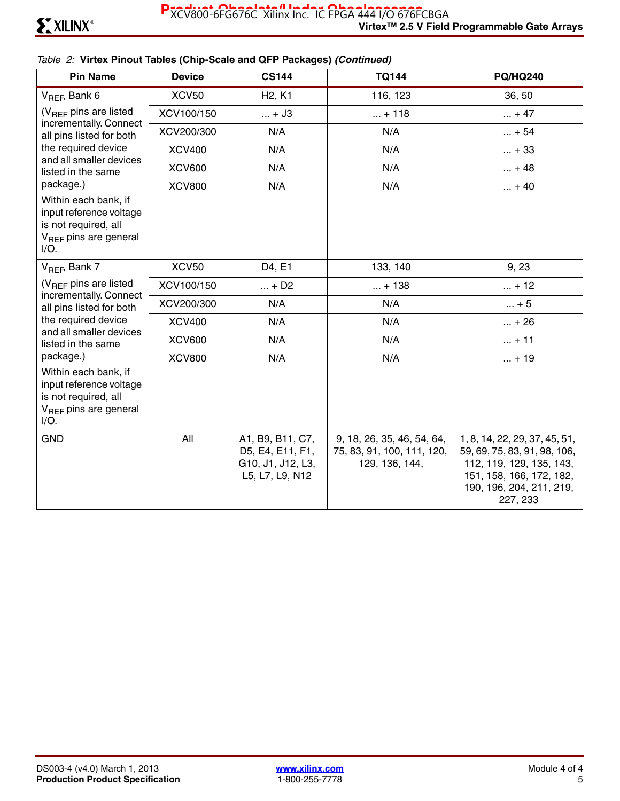#### *Table 2:* **Virtex Pinout Tables (Chip-Scale and QFP Packages)** *(Continued)*

| <b>Pin Name</b>                                                                                                         | <b>Device</b> | <b>CS144</b>                                                                 | <b>TQ144</b>                                                               | <b>PQ/HQ240</b>                                                                                                                                               |
|-------------------------------------------------------------------------------------------------------------------------|---------------|------------------------------------------------------------------------------|----------------------------------------------------------------------------|---------------------------------------------------------------------------------------------------------------------------------------------------------------|
| $V_{REF}$ Bank 6                                                                                                        | <b>XCV50</b>  | H <sub>2</sub> , K <sub>1</sub>                                              | 116, 123                                                                   | 36, 50                                                                                                                                                        |
| $(V_{BFF}$ pins are listed                                                                                              | XCV100/150    | $ + J3$                                                                      | $ + 118$                                                                   | $ + 47$                                                                                                                                                       |
| incrementally. Connect<br>all pins listed for both                                                                      | XCV200/300    | N/A                                                                          | N/A                                                                        | $ + 54$                                                                                                                                                       |
| the required device                                                                                                     | <b>XCV400</b> | N/A                                                                          | N/A                                                                        | $ + 33$                                                                                                                                                       |
| and all smaller devices<br>listed in the same                                                                           | <b>XCV600</b> | N/A                                                                          | N/A                                                                        | $ + 48$                                                                                                                                                       |
| package.)                                                                                                               | <b>XCV800</b> | N/A                                                                          | N/A                                                                        | $ + 40$                                                                                                                                                       |
| Within each bank, if<br>input reference voltage<br>is not required, all<br>$V_{\text{BFF}}$ pins are general<br>$I/O$ . |               |                                                                              |                                                                            |                                                                                                                                                               |
| V <sub>REF</sub> , Bank 7                                                                                               | <b>XCV50</b>  | D4, E1                                                                       | 133, 140                                                                   | 9, 23                                                                                                                                                         |
| $(V_{BFF}$ pins are listed                                                                                              | XCV100/150    | $ + D2$                                                                      | $ + 138$                                                                   | $ + 12$                                                                                                                                                       |
| incrementally. Connect<br>all pins listed for both                                                                      | XCV200/300    | N/A                                                                          | N/A                                                                        | $ + 5$                                                                                                                                                        |
| the required device                                                                                                     | <b>XCV400</b> | N/A                                                                          | N/A                                                                        | $ + 26$                                                                                                                                                       |
| and all smaller devices<br>listed in the same                                                                           | <b>XCV600</b> | N/A                                                                          | N/A                                                                        | $ + 11$                                                                                                                                                       |
| package.)                                                                                                               | <b>XCV800</b> | N/A                                                                          | N/A                                                                        | $ + 19$                                                                                                                                                       |
| Within each bank, if<br>input reference voltage<br>is not required, all<br>$V_{\text{BFE}}$ pins are general<br>I/O.    |               |                                                                              |                                                                            |                                                                                                                                                               |
| <b>GND</b>                                                                                                              | All           | A1, B9, B11, C7,<br>D5, E4, E11, F1,<br>G10, J1, J12, L3,<br>L5, L7, L9, N12 | 9, 18, 26, 35, 46, 54, 64,<br>75, 83, 91, 100, 111, 120,<br>129, 136, 144, | 1, 8, 14, 22, 29, 37, 45, 51,<br>59, 69, 75, 83, 91, 98, 106,<br>112, 119, 129, 135, 143,<br>151, 158, 166, 172, 182,<br>190, 196, 204, 211, 219,<br>227, 233 |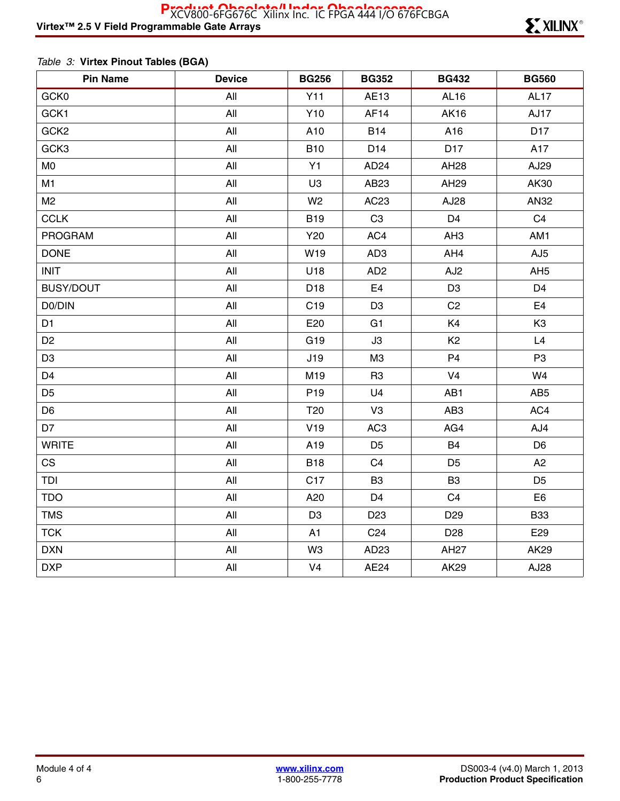### *Table 3:* **Virtex Pinout Tables (BGA)**

| <b>Pin Name</b>  | <b>Device</b> | <b>BG256</b>    | <b>BG352</b>     | <b>BG432</b>    | <b>BG560</b>     |
|------------------|---------------|-----------------|------------------|-----------------|------------------|
| GCK0             | All           | Y11             | AE13             | AL16            | AL <sub>17</sub> |
| GCK1             | All           | Y10             | AF <sub>14</sub> | <b>AK16</b>     | AJ17             |
| GCK <sub>2</sub> | All           | A10             | <b>B14</b>       | A16             | D <sub>17</sub>  |
| GCK3             | All           | <b>B10</b>      | D <sub>14</sub>  | D17             | A17              |
| M <sub>0</sub>   | All           | Y1              | AD <sub>24</sub> | AH28            | AJ29             |
| M1               | All           | U <sub>3</sub>  | AB23             | AH29            | AK30             |
| M <sub>2</sub>   | All           | W <sub>2</sub>  | AC23             | AJ28            | AN32             |
| <b>CCLK</b>      | All           | <b>B19</b>      | C <sub>3</sub>   | D <sub>4</sub>  | C <sub>4</sub>   |
| <b>PROGRAM</b>   | All           | Y20             | AC4              | AH <sub>3</sub> | AM1              |
| <b>DONE</b>      | All           | W19             | AD <sub>3</sub>  | AH4             | AJ <sub>5</sub>  |
| <b>INIT</b>      | All           | U18             | AD <sub>2</sub>  | AJ <sub>2</sub> | AH <sub>5</sub>  |
| <b>BUSY/DOUT</b> | All           | D <sub>18</sub> | E <sub>4</sub>   | D <sub>3</sub>  | D4               |
| D0/DIN           | All           | C <sub>19</sub> | D <sub>3</sub>   | C <sub>2</sub>  | E <sub>4</sub>   |
| D <sub>1</sub>   | All           | E20             | G1               | K4              | K <sub>3</sub>   |
| D <sub>2</sub>   | All           | G19             | J3               | K <sub>2</sub>  | L4               |
| D <sub>3</sub>   | All           | J19             | M <sub>3</sub>   | P <sub>4</sub>  | P <sub>3</sub>   |
| D <sub>4</sub>   | All           | M19             | R <sub>3</sub>   | V <sub>4</sub>  | W4               |
| D <sub>5</sub>   | All           | P <sub>19</sub> | U <sub>4</sub>   | AB1             | AB <sub>5</sub>  |
| D <sub>6</sub>   | All           | T <sub>20</sub> | V <sub>3</sub>   | AB <sub>3</sub> | AC4              |
| D7               | All           | V19             | AC <sub>3</sub>  | AG4             | AJ4              |
| <b>WRITE</b>     | All           | A19             | D <sub>5</sub>   | <b>B4</b>       | D <sub>6</sub>   |
| <b>CS</b>        | All           | <b>B18</b>      | C <sub>4</sub>   | D <sub>5</sub>  | A2               |
| TDI              | All           | C <sub>17</sub> | B <sub>3</sub>   | B <sub>3</sub>  | D <sub>5</sub>   |
| <b>TDO</b>       | All           | A20             | D <sub>4</sub>   | C <sub>4</sub>  | E6               |
| <b>TMS</b>       | All           | D <sub>3</sub>  | D <sub>23</sub>  | D <sub>29</sub> | <b>B33</b>       |
| <b>TCK</b>       | All           | A1              | C <sub>24</sub>  | D <sub>28</sub> | E29              |
| <b>DXN</b>       | All           | W <sub>3</sub>  | AD <sub>23</sub> | <b>AH27</b>     | AK29             |
| <b>DXP</b>       | All           | V <sub>4</sub>  | AE24             | <b>AK29</b>     | AJ28             |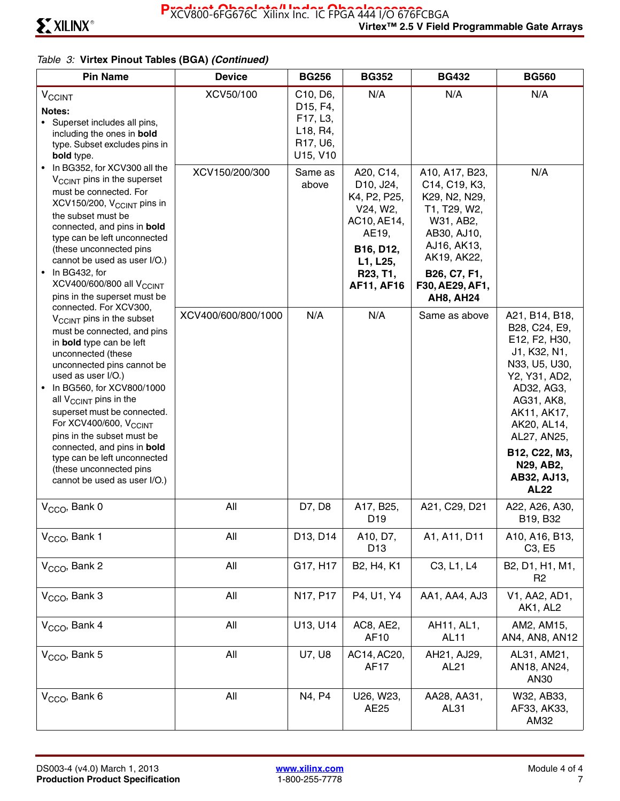| <b>Pin Name</b>                                                                                                                                                                                                                                                                                                                                                                                                                                                                                      | <b>Device</b>       | <b>BG256</b>                                                                                   | <b>BG352</b>                                                                                                                         | <b>BG432</b>                                                                                                                                                                      | <b>BG560</b>                                                                                                                                                                                                                            |
|------------------------------------------------------------------------------------------------------------------------------------------------------------------------------------------------------------------------------------------------------------------------------------------------------------------------------------------------------------------------------------------------------------------------------------------------------------------------------------------------------|---------------------|------------------------------------------------------------------------------------------------|--------------------------------------------------------------------------------------------------------------------------------------|-----------------------------------------------------------------------------------------------------------------------------------------------------------------------------------|-----------------------------------------------------------------------------------------------------------------------------------------------------------------------------------------------------------------------------------------|
| <b>V<sub>CCINT</sub></b><br>Notes:<br>• Superset includes all pins,<br>including the ones in bold<br>type. Subset excludes pins in<br>bold type.                                                                                                                                                                                                                                                                                                                                                     | XCV50/100           | C10, D6,<br>D <sub>15</sub> , F <sub>4</sub> ,<br>F17, L3,<br>L18, R4,<br>R17, U6,<br>U15, V10 | N/A                                                                                                                                  | N/A                                                                                                                                                                               | N/A                                                                                                                                                                                                                                     |
| • In BG352, for XCV300 all the<br>$V_{\text{CCINT}}$ pins in the superset<br>must be connected. For<br>XCV150/200, V <sub>CCINT</sub> pins in<br>the subset must be<br>connected, and pins in bold<br>type can be left unconnected<br>(these unconnected pins<br>cannot be used as user I/O.)<br>In BG432, for<br>XCV400/600/800 all V <sub>CCINT</sub><br>pins in the superset must be                                                                                                              | XCV150/200/300      | Same as<br>above                                                                               | A20, C14,<br>D10, J24,<br>K4, P2, P25,<br>V24, W2,<br>AC10, AE14,<br>AE19,<br>B16, D12,<br>L1, L25,<br>R23, T1,<br><b>AF11, AF16</b> | A10, A17, B23,<br>C14, C19, K3,<br>K29, N2, N29,<br>T1, T29, W2,<br>W31, AB2,<br>AB30, AJ10,<br>AJ16, AK13,<br>AK19, AK22,<br>B26, C7, F1,<br>F30, AE29, AF1,<br><b>AH8, AH24</b> | N/A                                                                                                                                                                                                                                     |
| connected. For XCV300,<br>V <sub>CCINT</sub> pins in the subset<br>must be connected, and pins<br>in bold type can be left<br>unconnected (these<br>unconnected pins cannot be<br>used as user I/O.)<br>In BG560, for XCV800/1000<br>all $V_{\text{CCINT}}$ pins in the<br>superset must be connected.<br>For XCV400/600, V <sub>CCINT</sub><br>pins in the subset must be<br>connected, and pins in bold<br>type can be left unconnected<br>(these unconnected pins<br>cannot be used as user I/O.) | XCV400/600/800/1000 | N/A                                                                                            | N/A                                                                                                                                  | Same as above                                                                                                                                                                     | A21, B14, B18,<br>B28, C24, E9,<br>E12, F2, H30,<br>J1, K32, N1,<br>N33, U5, U30,<br>Y2, Y31, AD2,<br>AD32, AG3,<br>AG31, AK8,<br>AK11, AK17,<br>AK20, AL14,<br>AL27, AN25,<br>B12, C22, M3,<br>N29, AB2,<br>AB32, AJ13,<br><b>AL22</b> |
| V <sub>CCO</sub> , Bank 0                                                                                                                                                                                                                                                                                                                                                                                                                                                                            | All                 | D7, D8                                                                                         | A17, B25,<br>D <sub>19</sub>                                                                                                         | A21, C29, D21                                                                                                                                                                     | A22, A26, A30,<br>B19, B32                                                                                                                                                                                                              |
| V <sub>CCO</sub> , Bank 1                                                                                                                                                                                                                                                                                                                                                                                                                                                                            | All                 | D13, D14                                                                                       | A10, D7,<br>D <sub>13</sub>                                                                                                          | A1, A11, D11                                                                                                                                                                      | A10, A16, B13,<br>C <sub>3</sub> , E <sub>5</sub>                                                                                                                                                                                       |
| V <sub>CCO</sub> , Bank 2                                                                                                                                                                                                                                                                                                                                                                                                                                                                            | All                 | G17, H17                                                                                       | B <sub>2</sub> , H <sub>4</sub> , K <sub>1</sub>                                                                                     | C <sub>3</sub> , L <sub>1</sub> , L <sub>4</sub>                                                                                                                                  | B2, D1, H1, M1,<br>R <sub>2</sub>                                                                                                                                                                                                       |
| V <sub>CCO</sub> , Bank 3                                                                                                                                                                                                                                                                                                                                                                                                                                                                            | All                 | N17, P17                                                                                       | P4, U1, Y4                                                                                                                           | AA1, AA4, AJ3                                                                                                                                                                     | V1, AA2, AD1,<br>AK1, AL2                                                                                                                                                                                                               |
| V <sub>CCO</sub> , Bank 4                                                                                                                                                                                                                                                                                                                                                                                                                                                                            | All                 | U13, U14                                                                                       | AC8, AE2,<br>AF10                                                                                                                    | AH11, AL1,<br><b>AL11</b>                                                                                                                                                         | AM2, AM15,<br>AN4, AN8, AN12                                                                                                                                                                                                            |
| V <sub>CCO</sub> , Bank 5                                                                                                                                                                                                                                                                                                                                                                                                                                                                            | All                 | U7, U8                                                                                         | AC14, AC20,<br>AF17                                                                                                                  | AH21, AJ29,<br>AL <sub>21</sub>                                                                                                                                                   | AL31, AM21,<br>AN18, AN24,<br>AN30                                                                                                                                                                                                      |
| V <sub>CCO</sub> , Bank 6                                                                                                                                                                                                                                                                                                                                                                                                                                                                            | All                 | N4, P4                                                                                         | U26, W23,<br>AE25                                                                                                                    | AA28, AA31,<br>AL31                                                                                                                                                               | W32, AB33,<br>AF33, AK33,<br>AM32                                                                                                                                                                                                       |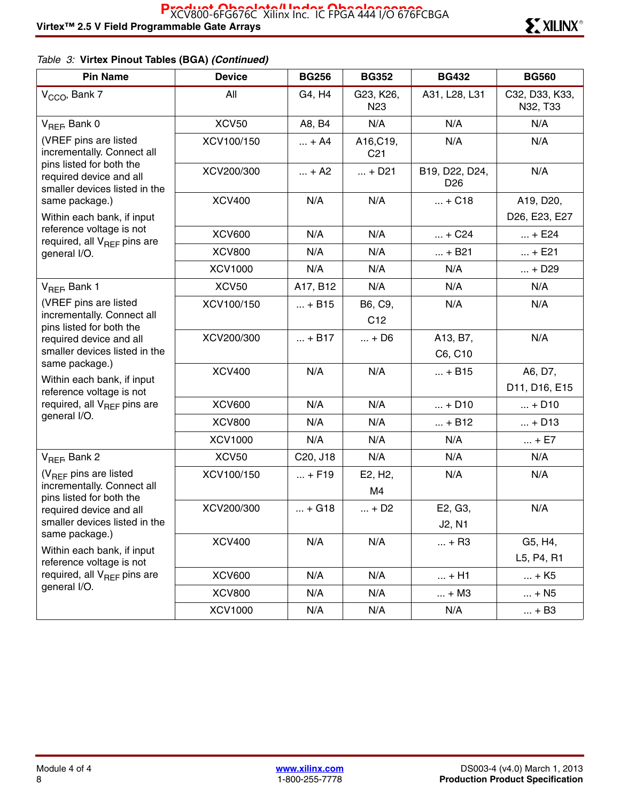| <b>Pin Name</b>                                                                                                                      | <b>Device</b>  | <b>BG256</b>                      | <b>BG352</b>                 | <b>BG432</b>                      | <b>BG560</b>               |
|--------------------------------------------------------------------------------------------------------------------------------------|----------------|-----------------------------------|------------------------------|-----------------------------------|----------------------------|
| V <sub>CCO</sub> , Bank 7                                                                                                            | All            | G4, H4                            | G23, K26,<br>N <sub>23</sub> | A31, L28, L31                     | C32, D33, K33,<br>N32, T33 |
| V <sub>REF</sub> , Bank 0                                                                                                            | <b>XCV50</b>   | A8, B4                            | N/A                          | N/A                               | N/A                        |
| (VREF pins are listed<br>incrementally. Connect all                                                                                  | XCV100/150     | $ + A4$                           | A16, C19,<br>C <sub>21</sub> | N/A                               | N/A                        |
| pins listed for both the<br>required device and all<br>smaller devices listed in the                                                 | XCV200/300     | $ + A2$                           | $ + D21$                     | B19, D22, D24,<br>D <sub>26</sub> | N/A                        |
| same package.)                                                                                                                       | <b>XCV400</b>  | N/A                               | N/A                          | $ + C18$                          | A19, D20,                  |
| Within each bank, if input                                                                                                           |                |                                   |                              |                                   | D26, E23, E27              |
| reference voltage is not<br>required, all V <sub>REF</sub> pins are                                                                  | <b>XCV600</b>  | N/A                               | N/A                          | $ + C24$                          | $ + E24$                   |
| general I/O.                                                                                                                         | <b>XCV800</b>  | N/A                               | N/A                          | $ + B21$                          | $ + E21$                   |
|                                                                                                                                      | <b>XCV1000</b> | N/A                               | N/A                          | N/A                               | $ + D29$                   |
| V <sub>REF</sub> , Bank 1                                                                                                            | <b>XCV50</b>   | A17, B12                          | N/A                          | N/A                               | N/A                        |
| (VREF pins are listed                                                                                                                | XCV100/150     | $ + B15$                          | B6, C9,                      | N/A                               | N/A                        |
| incrementally. Connect all<br>pins listed for both the                                                                               |                |                                   | C <sub>12</sub>              |                                   |                            |
| required device and all                                                                                                              | XCV200/300     | $ + B17$                          | $ + D6$                      | A13, B7,                          | N/A                        |
| smaller devices listed in the                                                                                                        |                |                                   |                              | C6, C10                           |                            |
| same package.)<br>Within each bank, if input                                                                                         | <b>XCV400</b>  | N/A                               | N/A                          | $ + B15$                          | A6, D7,                    |
| reference voltage is not                                                                                                             |                |                                   |                              |                                   | D11, D16, E15              |
| required, all V <sub>REF</sub> pins are                                                                                              | <b>XCV600</b>  | N/A                               | N/A                          | $ + D10$                          | $ + D10$                   |
| general I/O.                                                                                                                         | <b>XCV800</b>  | N/A                               | N/A                          | $ + B12$                          | $ + D13$                   |
|                                                                                                                                      | <b>XCV1000</b> | N/A                               | N/A                          | N/A                               | $ + E7$                    |
| $V_{REF}$ Bank 2                                                                                                                     | <b>XCV50</b>   | C <sub>20</sub> , J <sub>18</sub> | N/A                          | N/A                               | N/A                        |
| (V <sub>REF</sub> pins are listed                                                                                                    | XCV100/150     | $ + F19$                          | E2, H <sub>2</sub> ,         | N/A                               | N/A                        |
| incrementally. Connect all<br>pins listed for both the<br>required device and all<br>smaller devices listed in the<br>same package.) |                |                                   | M4                           |                                   |                            |
|                                                                                                                                      | XCV200/300     | $ + G18$                          | $ + D2$                      | E2, G3,                           | N/A                        |
|                                                                                                                                      |                |                                   |                              | J2, N1                            |                            |
|                                                                                                                                      | <b>XCV400</b>  | N/A                               | N/A                          | $ + R3$                           | G5, H4,                    |
| Within each bank, if input<br>reference voltage is not                                                                               |                |                                   |                              |                                   | L5, P4, R1                 |
| required, all V <sub>REF</sub> pins are                                                                                              | <b>XCV600</b>  | N/A                               | N/A                          | $ + H1$                           | $ + K5$                    |
| general I/O.                                                                                                                         | <b>XCV800</b>  | N/A                               | N/A                          | $ + M3$                           | $ + N5$                    |
|                                                                                                                                      | <b>XCV1000</b> | N/A                               | N/A                          | N/A                               | $ + B3$                    |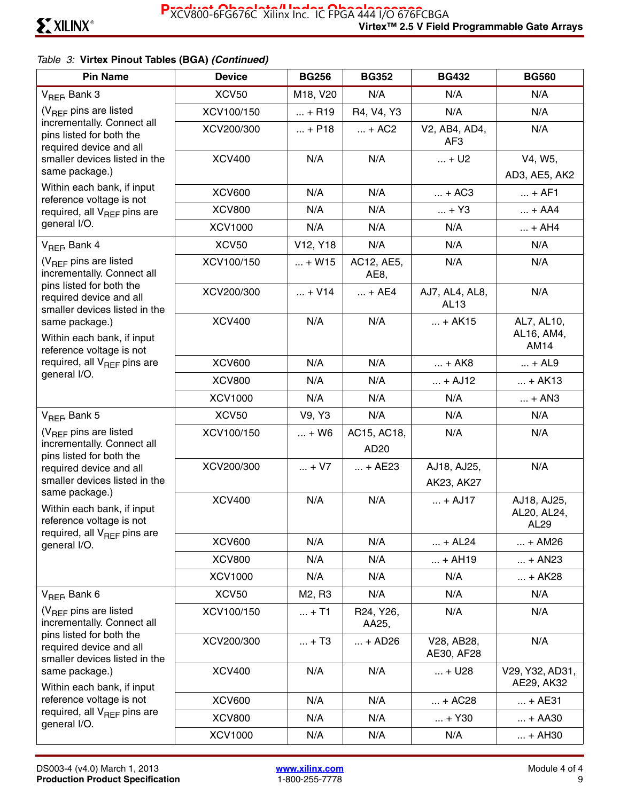| <b>Pin Name</b>                                                                                                                                                                                                              | <b>Device</b>            | <b>BG256</b>                      | <b>BG352</b>                                 | <b>BG432</b>                     | <b>BG560</b>                       |
|------------------------------------------------------------------------------------------------------------------------------------------------------------------------------------------------------------------------------|--------------------------|-----------------------------------|----------------------------------------------|----------------------------------|------------------------------------|
| V <sub>REF</sub> , Bank 3                                                                                                                                                                                                    | <b>XCV50</b>             | M18, V20                          | N/A                                          | N/A                              | N/A                                |
| (V <sub>RFF</sub> pins are listed                                                                                                                                                                                            | XCV100/150               | $ + R19$                          | R4, V4, Y3                                   | N/A                              | N/A                                |
| incrementally. Connect all<br>pins listed for both the<br>required device and all                                                                                                                                            | XCV200/300               | $ + P18$                          | $ + AC2$                                     | V2, AB4, AD4,<br>AF3             | N/A                                |
| smaller devices listed in the                                                                                                                                                                                                | <b>XCV400</b>            | N/A                               | N/A                                          | $ + U2$                          | V4, W5,                            |
| same package.)                                                                                                                                                                                                               |                          |                                   |                                              |                                  | AD3, AE5, AK2                      |
| Within each bank, if input<br>reference voltage is not                                                                                                                                                                       | <b>XCV600</b>            | N/A                               | N/A                                          | $ + AC3$                         | $ + AF1$                           |
| required, all V <sub>REF</sub> pins are                                                                                                                                                                                      | <b>XCV800</b>            | N/A                               | N/A                                          | $ + Y3$                          | $ + AA4$                           |
| general I/O.                                                                                                                                                                                                                 | <b>XCV1000</b>           | N/A                               | N/A                                          | N/A                              | $ + AH4$                           |
| $V_{RFF}$ , Bank 4                                                                                                                                                                                                           | <b>XCV50</b>             | V <sub>12</sub> , Y <sub>18</sub> | N/A                                          | N/A                              | N/A                                |
| $(V_{BFF}$ pins are listed<br>incrementally. Connect all                                                                                                                                                                     | XCV100/150               | $ + W15$                          | AC12, AE5,<br>AE <sub>8</sub>                | N/A                              | N/A                                |
| pins listed for both the<br>required device and all<br>smaller devices listed in the                                                                                                                                         | XCV200/300               | $ + V14$                          | $ + AE4$                                     | AJ7, AL4, AL8,<br>AL13           | N/A                                |
| same package.)<br>Within each bank, if input<br>reference voltage is not                                                                                                                                                     | <b>XCV400</b>            | N/A                               | N/A                                          | $ + AK15$                        | AL7, AL10,<br>AL16, AM4,<br>AM14   |
| required, all $V_{BFE}$ pins are                                                                                                                                                                                             | <b>XCV600</b>            | N/A                               | N/A                                          | $ + AK8$                         | $ + AL9$                           |
| general I/O.                                                                                                                                                                                                                 | <b>XCV800</b>            | N/A                               | N/A                                          | $ + AJ12$                        | $ + AK13$                          |
|                                                                                                                                                                                                                              | <b>XCV1000</b>           | N/A                               | N/A                                          | N/A                              | $ + AN3$                           |
| V <sub>REF</sub> , Bank 5                                                                                                                                                                                                    | <b>XCV50</b>             | V9, Y3                            | N/A                                          | N/A                              | N/A                                |
| $(V_{BFF}$ pins are listed<br>incrementally. Connect all<br>pins listed for both the<br>required device and all<br>smaller devices listed in the<br>same package.)<br>Within each bank, if input<br>reference voltage is not | XCV100/150<br>XCV200/300 | $ + W6$<br>$ + V7$                | AC15, AC18,<br>AD20<br>$ + AE23$             | N/A<br>AJ18, AJ25,<br>AK23, AK27 | N/A<br>N/A                         |
|                                                                                                                                                                                                                              | <b>XCV400</b>            | N/A                               | N/A                                          | $ + AJ17$                        | AJ18, AJ25,<br>AL20, AL24,<br>AL29 |
| required, all V <sub>REF</sub> pins are<br>general I/O.                                                                                                                                                                      | <b>XCV600</b>            | N/A                               | N/A                                          | $ + AL24$                        | $ + AM26$                          |
|                                                                                                                                                                                                                              | <b>XCV800</b>            | N/A                               | N/A                                          | $ + AH19$                        | $ + AN23$                          |
|                                                                                                                                                                                                                              | <b>XCV1000</b>           | N/A                               | N/A                                          | N/A                              | $ + AK28$                          |
| $V_{REF}$ Bank 6                                                                                                                                                                                                             | <b>XCV50</b>             | M <sub>2</sub> , R <sub>3</sub>   | N/A                                          | N/A                              | N/A                                |
| $(V_{RFF}$ pins are listed<br>incrementally. Connect all                                                                                                                                                                     | XCV100/150               | $ + T1$                           | R <sub>24</sub> , Y <sub>26</sub> ,<br>AA25, | N/A                              | N/A                                |
| pins listed for both the<br>required device and all<br>smaller devices listed in the                                                                                                                                         | XCV200/300               | $ + T3$                           | $ + AD26$                                    | V28, AB28,<br>AE30, AF28         | N/A                                |
| same package.)<br>Within each bank, if input                                                                                                                                                                                 | <b>XCV400</b>            | N/A                               | N/A                                          | $ + U28$                         | V29, Y32, AD31,<br>AE29, AK32      |
| reference voltage is not                                                                                                                                                                                                     | <b>XCV600</b>            | N/A                               | N/A                                          | $ + AC28$                        | $ + AE31$                          |
| required, all V <sub>REF</sub> pins are<br>general I/O.                                                                                                                                                                      | <b>XCV800</b>            | N/A                               | N/A                                          | $ + Y30$                         | $ + AA30$                          |
|                                                                                                                                                                                                                              | <b>XCV1000</b>           | N/A                               | N/A                                          | N/A                              | $ + AH30$                          |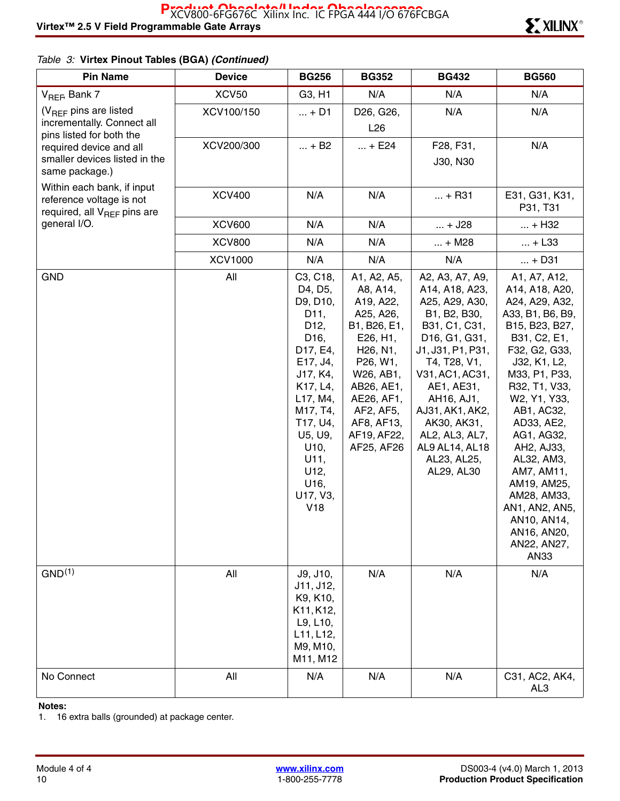| <b>Pin Name</b>                                                                                   | <b>Device</b>     | <b>BG256</b>                                                                                                                                                                                                                                     | <b>BG352</b>                                                                                                                                                                                                                                               | <b>BG432</b>                                                                                                                                                                                                                                                                                                                        | <b>BG560</b>                                                                                                                                                                                                                                                                                                                                                                       |
|---------------------------------------------------------------------------------------------------|-------------------|--------------------------------------------------------------------------------------------------------------------------------------------------------------------------------------------------------------------------------------------------|------------------------------------------------------------------------------------------------------------------------------------------------------------------------------------------------------------------------------------------------------------|-------------------------------------------------------------------------------------------------------------------------------------------------------------------------------------------------------------------------------------------------------------------------------------------------------------------------------------|------------------------------------------------------------------------------------------------------------------------------------------------------------------------------------------------------------------------------------------------------------------------------------------------------------------------------------------------------------------------------------|
| V <sub>REF</sub> , Bank 7                                                                         | XCV <sub>50</sub> | G3, H1                                                                                                                                                                                                                                           | N/A                                                                                                                                                                                                                                                        | N/A                                                                                                                                                                                                                                                                                                                                 | N/A                                                                                                                                                                                                                                                                                                                                                                                |
| $(V_{REF}$ pins are listed                                                                        | XCV100/150        | $ + D1$                                                                                                                                                                                                                                          | D26, G26,                                                                                                                                                                                                                                                  | N/A                                                                                                                                                                                                                                                                                                                                 | N/A                                                                                                                                                                                                                                                                                                                                                                                |
| incrementally. Connect all<br>pins listed for both the                                            |                   |                                                                                                                                                                                                                                                  | L26                                                                                                                                                                                                                                                        |                                                                                                                                                                                                                                                                                                                                     |                                                                                                                                                                                                                                                                                                                                                                                    |
| required device and all                                                                           | XCV200/300        | $ + B2$                                                                                                                                                                                                                                          | $ + E24$                                                                                                                                                                                                                                                   | F28, F31,                                                                                                                                                                                                                                                                                                                           | N/A                                                                                                                                                                                                                                                                                                                                                                                |
| smaller devices listed in the                                                                     |                   |                                                                                                                                                                                                                                                  |                                                                                                                                                                                                                                                            | J30, N30                                                                                                                                                                                                                                                                                                                            |                                                                                                                                                                                                                                                                                                                                                                                    |
| same package.)                                                                                    |                   |                                                                                                                                                                                                                                                  |                                                                                                                                                                                                                                                            |                                                                                                                                                                                                                                                                                                                                     |                                                                                                                                                                                                                                                                                                                                                                                    |
| Within each bank, if input<br>reference voltage is not<br>required, all V <sub>REF</sub> pins are | <b>XCV400</b>     | N/A                                                                                                                                                                                                                                              | N/A                                                                                                                                                                                                                                                        | $ + R31$                                                                                                                                                                                                                                                                                                                            | E31, G31, K31,<br>P31, T31                                                                                                                                                                                                                                                                                                                                                         |
| general I/O.                                                                                      | <b>XCV600</b>     | N/A                                                                                                                                                                                                                                              | N/A                                                                                                                                                                                                                                                        | $ + J28$                                                                                                                                                                                                                                                                                                                            | $ + H32$                                                                                                                                                                                                                                                                                                                                                                           |
|                                                                                                   | <b>XCV800</b>     | N/A                                                                                                                                                                                                                                              | N/A                                                                                                                                                                                                                                                        | $ + M28$                                                                                                                                                                                                                                                                                                                            | $ + L33$                                                                                                                                                                                                                                                                                                                                                                           |
|                                                                                                   | <b>XCV1000</b>    | N/A                                                                                                                                                                                                                                              | N/A                                                                                                                                                                                                                                                        | N/A                                                                                                                                                                                                                                                                                                                                 | $ + D31$                                                                                                                                                                                                                                                                                                                                                                           |
| <b>GND</b>                                                                                        | All               | C3, C18,<br>D4, D5,<br>D9, D10,<br>D <sub>11</sub> ,<br>D <sub>12</sub> ,<br>D <sub>16</sub> ,<br>D17, E4,<br>E17, J4,<br>J17, K4,<br>K17, L4,<br>L17, M4,<br>M17, T4,<br>T17, U4,<br>U5, U9,<br>U10,<br>U11,<br>U12,<br>U16,<br>U17, V3,<br>V18 | A1, A2, A5,<br>A8, A14,<br>A19, A22,<br>A25, A26,<br>B1, B26, E1,<br>E26, H1,<br>H <sub>26</sub> , N <sub>1</sub> ,<br>P <sub>26</sub> , W <sub>1</sub> ,<br>W26, AB1,<br>AB26, AE1,<br>AE26, AF1,<br>AF2, AF5,<br>AF8, AF13,<br>AF19, AF22,<br>AF25, AF26 | A2, A3, A7, A9,<br>A14, A18, A23,<br>A25, A29, A30,<br>B1, B2, B30,<br>B31, C1, C31,<br>D <sub>16</sub> , G <sub>1</sub> , G <sub>31</sub> ,<br>J1, J31, P1, P31,<br>T4, T28, V1,<br>V31, AC1, AC31,<br>AE1, AE31,<br>AH16, AJ1,<br>AJ31, AK1, AK2,<br>AK30, AK31,<br>AL2, AL3, AL7,<br>AL9 AL14, AL18<br>AL23, AL25,<br>AL29, AL30 | A1, A7, A12,<br>A14, A18, A20,<br>A24, A29, A32,<br>A33, B1, B6, B9,<br>B15, B23, B27,<br>B31, C2, E1,<br>F32, G2, G33,<br>J32, K1, L2,<br>M33, P1, P33,<br>R32, T1, V33,<br>W2, Y1, Y33,<br>AB1, AC32,<br>AD33, AE2,<br>AG1, AG32,<br>AH2, AJ33,<br>AL32, AM3,<br>AM7, AM11,<br>AM19, AM25,<br>AM28, AM33,<br>AN1, AN2, AN5,<br>AN10, AN14,<br>AN16, AN20,<br>AN22, AN27,<br>AN33 |
| GND <sup>(1)</sup>                                                                                | All               | J9, J10,<br>J11, J12,<br>K9, K10,<br>K11, K12,<br>L9, L10,<br>L11, L12,<br>M9, M10,<br>M11, M12                                                                                                                                                  | N/A                                                                                                                                                                                                                                                        | N/A                                                                                                                                                                                                                                                                                                                                 | N/A                                                                                                                                                                                                                                                                                                                                                                                |
| No Connect                                                                                        | All               | N/A                                                                                                                                                                                                                                              | N/A                                                                                                                                                                                                                                                        | N/A                                                                                                                                                                                                                                                                                                                                 | C31, AC2, AK4,<br>AL3                                                                                                                                                                                                                                                                                                                                                              |

#### **Notes:**

1. 16 extra balls (grounded) at package center.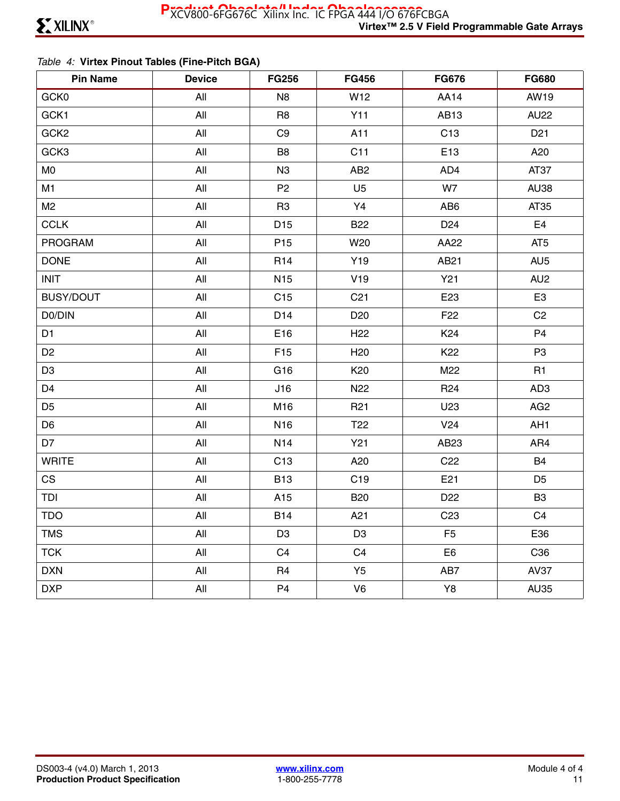### *Table 4:* **Virtex Pinout Tables (Fine-Pitch BGA)**

| <b>Pin Name</b>  | <b>Device</b> | <b>FG256</b>    | <b>FG456</b>    | <b>FG676</b>    | <b>FG680</b>    |
|------------------|---------------|-----------------|-----------------|-----------------|-----------------|
| GCK0             | All           | N <sub>8</sub>  | W12             | <b>AA14</b>     | AW19            |
| GCK1             | All           | R <sub>8</sub>  | Y11             | AB13            | <b>AU22</b>     |
| GCK <sub>2</sub> | All           | C <sub>9</sub>  | A11             | C <sub>13</sub> | D <sub>21</sub> |
| GCK3             | All           | B <sub>8</sub>  | C11             | E13             | A20             |
| M <sub>0</sub>   | All           | N <sub>3</sub>  | AB <sub>2</sub> | AD4             | AT37            |
| M1               | All           | P <sub>2</sub>  | U <sub>5</sub>  | W7              | <b>AU38</b>     |
| M <sub>2</sub>   | All           | R <sub>3</sub>  | Y4              | AB <sub>6</sub> | AT35            |
| <b>CCLK</b>      | All           | D <sub>15</sub> | <b>B22</b>      | D <sub>24</sub> | E <sub>4</sub>  |
| <b>PROGRAM</b>   | All           | P <sub>15</sub> | W20             | AA22            | AT <sub>5</sub> |
| <b>DONE</b>      | All           | R <sub>14</sub> | Y19             | AB21            | AU <sub>5</sub> |
| <b>INIT</b>      | All           | N <sub>15</sub> | V19             | <b>Y21</b>      | AU <sub>2</sub> |
| <b>BUSY/DOUT</b> | All           | C15             | C <sub>21</sub> | E23             | E <sub>3</sub>  |
| D0/DIN           | All           | D14             | D <sub>20</sub> | F <sub>22</sub> | C <sub>2</sub>  |
| D <sub>1</sub>   | All           | E16             | H <sub>22</sub> | K <sub>24</sub> | P <sub>4</sub>  |
| D <sub>2</sub>   | All           | F <sub>15</sub> | H <sub>20</sub> | K22             | P <sub>3</sub>  |
| D <sub>3</sub>   | All           | G16             | K <sub>20</sub> | M22             | R1              |
| D <sub>4</sub>   | All           | J16             | N <sub>22</sub> | R <sub>24</sub> | AD <sub>3</sub> |
| D <sub>5</sub>   | All           | M16             | R <sub>21</sub> | U23             | AG <sub>2</sub> |
| D <sub>6</sub>   | All           | N <sub>16</sub> | T <sub>22</sub> | V <sub>24</sub> | AH <sub>1</sub> |
| D7               | All           | N <sub>14</sub> | Y21             | AB23            | AR4             |
| <b>WRITE</b>     | All           | C13             | A20             | C <sub>22</sub> | <b>B4</b>       |
| CS               | All           | <b>B13</b>      | C <sub>19</sub> | E21             | D <sub>5</sub>  |
| TDI              | All           | A15             | <b>B20</b>      | D <sub>22</sub> | B <sub>3</sub>  |
| <b>TDO</b>       | All           | <b>B14</b>      | A21             | C <sub>23</sub> | C <sub>4</sub>  |
| <b>TMS</b>       | All           | D <sub>3</sub>  | D <sub>3</sub>  | F <sub>5</sub>  | E36             |
| <b>TCK</b>       | All           | C <sub>4</sub>  | C <sub>4</sub>  | E <sub>6</sub>  | C36             |
| <b>DXN</b>       | All           | R <sub>4</sub>  | Y5              | AB7             | <b>AV37</b>     |
| <b>DXP</b>       | All           | P <sub>4</sub>  | V <sub>6</sub>  | Y8              | <b>AU35</b>     |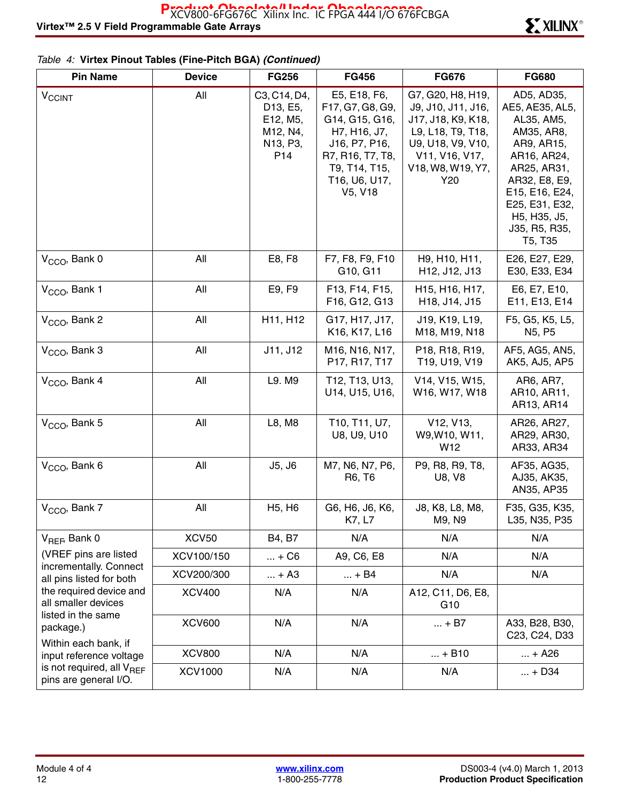| <b>Pin Name</b>                                                      | <b>Device</b>  | <b>FG256</b>                                                                    | <b>FG456</b>                                                                                                                                         | <b>FG676</b>                                                                                                                                          | <b>FG680</b>                                                                                                                                                                                           |
|----------------------------------------------------------------------|----------------|---------------------------------------------------------------------------------|------------------------------------------------------------------------------------------------------------------------------------------------------|-------------------------------------------------------------------------------------------------------------------------------------------------------|--------------------------------------------------------------------------------------------------------------------------------------------------------------------------------------------------------|
| <b>V<sub>CCINT</sub></b>                                             | All            | C3, C14, D4,<br>D13, E5,<br>E12, M5,<br>M12, N4,<br>N13, P3,<br>P <sub>14</sub> | E5, E18, F6,<br>F17, G7, G8, G9,<br>G14, G15, G16,<br>H7, H16, J7,<br>J16, P7, P16,<br>R7, R16, T7, T8,<br>T9, T14, T15,<br>T16, U6, U17,<br>V5, V18 | G7, G20, H8, H19,<br>J9, J10, J11, J16,<br>J17, J18, K9, K18,<br>L9, L18, T9, T18,<br>U9, U18, V9, V10,<br>V11, V16, V17,<br>V18, W8, W19, Y7,<br>Y20 | AD5, AD35,<br>AE5, AE35, AL5,<br>AL35, AM5,<br>AM35, AR8,<br>AR9, AR15,<br>AR16, AR24,<br>AR25, AR31,<br>AR32, E8, E9,<br>E15, E16, E24,<br>E25, E31, E32,<br>H5, H35, J5,<br>J35, R5, R35,<br>T5, T35 |
| $VCCO$ , Bank 0                                                      | All            | E8, F8                                                                          | F7, F8, F9, F10<br>G10, G11                                                                                                                          | H <sub>9</sub> , H <sub>10</sub> , H <sub>11</sub> ,<br>H12, J12, J13                                                                                 | E26, E27, E29,<br>E30, E33, E34                                                                                                                                                                        |
| V <sub>CCO</sub> , Bank 1                                            | All            | E9, F9                                                                          | F13, F14, F15,<br>F16, G12, G13                                                                                                                      | H15, H16, H17,<br>H18, J14, J15                                                                                                                       | E6, E7, E10,<br>E11, E13, E14                                                                                                                                                                          |
| $VCCO$ , Bank 2                                                      | All            | H11, H12                                                                        | G17, H17, J17,<br>K16, K17, L16                                                                                                                      | J19, K19, L19,<br>M18, M19, N18                                                                                                                       | F5, G5, K5, L5,<br>N <sub>5</sub> , P <sub>5</sub>                                                                                                                                                     |
| V <sub>CCO</sub> , Bank 3                                            | All            | J11, J12                                                                        | M16, N16, N17,<br>P17, R17, T17                                                                                                                      | P18, R18, R19,<br>T19, U19, V19                                                                                                                       | AF5, AG5, AN5,<br>AK5, AJ5, AP5                                                                                                                                                                        |
| V <sub>CCO</sub> , Bank 4                                            | All            | L9. M9                                                                          | T12, T13, U13,<br>U14, U15, U16,                                                                                                                     | V14, V15, W15,<br>W16, W17, W18                                                                                                                       | AR6, AR7,<br>AR10, AR11,<br>AR13, AR14                                                                                                                                                                 |
| V <sub>CCO</sub> , Bank 5                                            | All            | L8, M8                                                                          | T10, T11, U7,<br>U8, U9, U10                                                                                                                         | V <sub>12</sub> , V <sub>13</sub> ,<br>W9, W10, W11,<br>W <sub>12</sub>                                                                               | AR26, AR27,<br>AR29, AR30,<br>AR33, AR34                                                                                                                                                               |
| V <sub>CCO</sub> , Bank 6                                            | All            | J5, J6                                                                          | M7, N6, N7, P6,<br>R6, T6                                                                                                                            | P9, R8, R9, T8,<br>U8, V8                                                                                                                             | AF35, AG35,<br>AJ35, AK35,<br>AN35, AP35                                                                                                                                                               |
| V <sub>CCO</sub> , Bank 7                                            | All            | H <sub>5</sub> , H <sub>6</sub>                                                 | G6, H6, J6, K6,<br>K7, L7                                                                                                                            | J8, K8, L8, M8,<br>M9, N9                                                                                                                             | F35, G35, K35,<br>L35, N35, P35                                                                                                                                                                        |
| $V_{REF}$ Bank 0                                                     | <b>XCV50</b>   | B4, B7                                                                          | N/A                                                                                                                                                  | N/A                                                                                                                                                   | N/A                                                                                                                                                                                                    |
| (VREF pins are listed<br>incrementally. Connect                      | XCV100/150     | $ + C6$                                                                         | A9, C6, E8                                                                                                                                           | N/A                                                                                                                                                   | N/A                                                                                                                                                                                                    |
| all pins listed for both                                             | XCV200/300     | $ + A3$                                                                         | $ + B4$                                                                                                                                              | N/A                                                                                                                                                   | N/A                                                                                                                                                                                                    |
| the required device and<br>all smaller devices<br>listed in the same | <b>XCV400</b>  | N/A                                                                             | N/A                                                                                                                                                  | A12, C11, D6, E8,<br>G <sub>10</sub>                                                                                                                  |                                                                                                                                                                                                        |
| package.)<br>Within each bank, if                                    | <b>XCV600</b>  | N/A                                                                             | N/A                                                                                                                                                  | $ + B7$                                                                                                                                               | A33, B28, B30,<br>C23, C24, D33                                                                                                                                                                        |
| input reference voltage                                              | <b>XCV800</b>  | N/A                                                                             | N/A                                                                                                                                                  | $ + B10$                                                                                                                                              | $ + A26$                                                                                                                                                                                               |
| is not required, all $V_{\text{BFF}}$<br>pins are general I/O.       | <b>XCV1000</b> | N/A                                                                             | N/A                                                                                                                                                  | N/A                                                                                                                                                   | $ + D34$                                                                                                                                                                                               |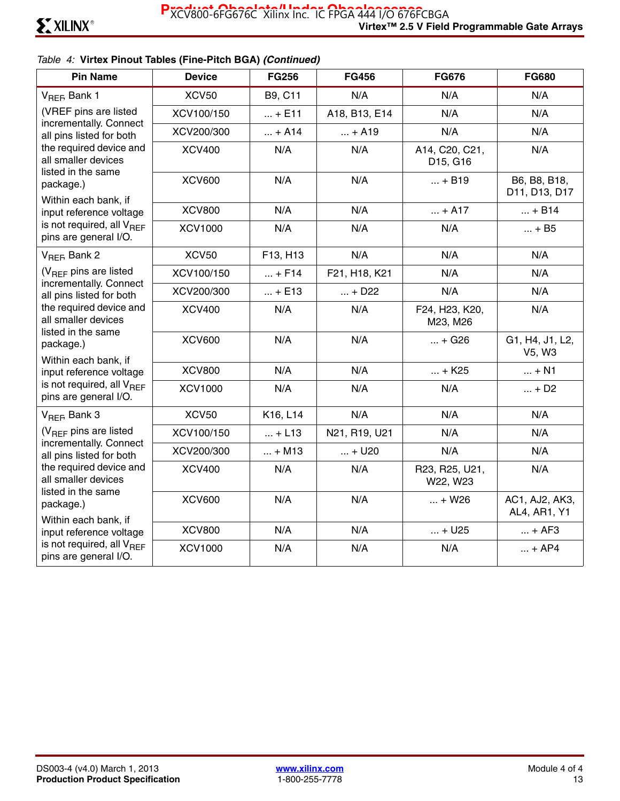| <b>Pin Name</b>                                                      | <b>Device</b>  | <b>FG256</b> | <b>FG456</b>  | <b>FG676</b>               | <b>FG680</b>                   |
|----------------------------------------------------------------------|----------------|--------------|---------------|----------------------------|--------------------------------|
| V <sub>REF</sub> , Bank 1                                            | <b>XCV50</b>   | B9, C11      | N/A           | N/A                        | N/A                            |
| (VREF pins are listed                                                | XCV100/150     | $ + E11$     | A18, B13, E14 | N/A                        | N/A                            |
| incrementally. Connect<br>all pins listed for both                   | XCV200/300     | $ + A14$     | $ + A19$      | N/A                        | N/A                            |
| the required device and<br>all smaller devices<br>listed in the same | <b>XCV400</b>  | N/A          | N/A           | A14, C20, C21,<br>D15, G16 | N/A                            |
| package.)<br>Within each bank, if                                    | <b>XCV600</b>  | N/A          | N/A           | $ + B19$                   | B6, B8, B18,<br>D11, D13, D17  |
| input reference voltage                                              | <b>XCV800</b>  | N/A          | N/A           | $ + A17$                   | $ + B14$                       |
| is not required, all $V_{BFF}$<br>pins are general I/O.              | <b>XCV1000</b> | N/A          | N/A           | N/A                        | $ + B5$                        |
| V <sub>REF</sub> , Bank 2                                            | <b>XCV50</b>   | F13, H13     | N/A           | N/A                        | N/A                            |
| $(V_{BFF}$ pins are listed                                           | XCV100/150     | $ + F14$     | F21, H18, K21 | N/A                        | N/A                            |
| incrementally. Connect<br>all pins listed for both                   | XCV200/300     | $ + E13$     | $ + D22$      | N/A                        | N/A                            |
| the required device and<br>all smaller devices<br>listed in the same | <b>XCV400</b>  | N/A          | N/A           | F24, H23, K20,<br>M23, M26 | N/A                            |
| package.)<br>Within each bank, if                                    | <b>XCV600</b>  | N/A          | N/A           | $ + G26$                   | G1, H4, J1, L2,<br>V5, W3      |
| input reference voltage                                              | <b>XCV800</b>  | N/A          | N/A           | $ + K25$                   | $ + N1$                        |
| is not required, all V <sub>RFF</sub><br>pins are general I/O.       | <b>XCV1000</b> | N/A          | N/A           | N/A                        | $ + D2$                        |
| V <sub>REF</sub> , Bank 3                                            | <b>XCV50</b>   | K16, L14     | N/A           | N/A                        | N/A                            |
| $(V_{BFF}$ pins are listed                                           | XCV100/150     | $ + L13$     | N21, R19, U21 | N/A                        | N/A                            |
| incrementally. Connect<br>all pins listed for both                   | XCV200/300     | $ + M13$     | $ + U20$      | N/A                        | N/A                            |
| the required device and<br>all smaller devices                       | <b>XCV400</b>  | N/A          | N/A           | R23, R25, U21,<br>W22, W23 | N/A                            |
| listed in the same<br>package.)<br>Within each bank, if              | <b>XCV600</b>  | N/A          | N/A           | $ + W26$                   | AC1, AJ2, AK3,<br>AL4, AR1, Y1 |
| input reference voltage                                              | <b>XCV800</b>  | N/A          | N/A           | $ + U25$                   | $ + AF3$                       |
| is not required, all $V_{BFF}$<br>pins are general I/O.              | <b>XCV1000</b> | N/A          | N/A           | N/A                        | $ + AP4$                       |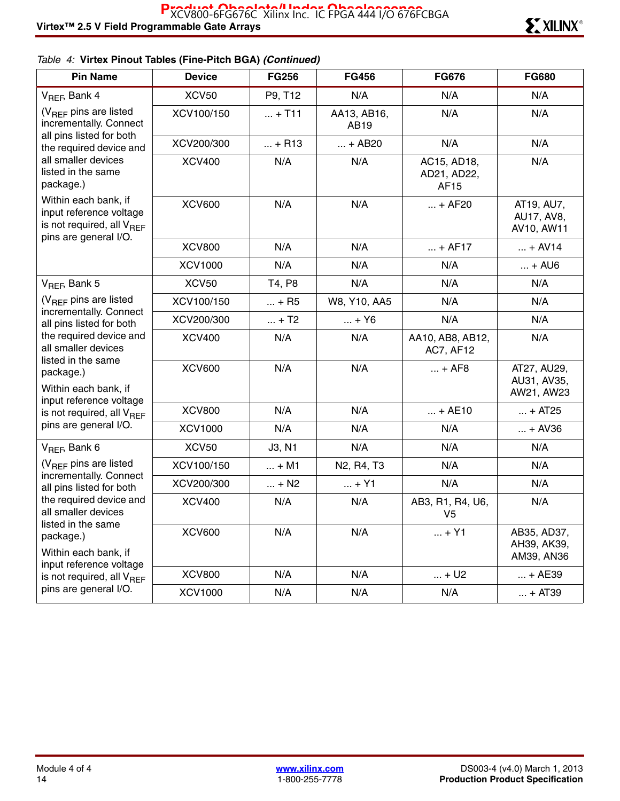| <b>Pin Name</b>                                                                                                   | <b>Device</b>  | <b>FG256</b> | <b>FG456</b>                                     | <b>FG676</b>                         | <b>FG680</b>                             |
|-------------------------------------------------------------------------------------------------------------------|----------------|--------------|--------------------------------------------------|--------------------------------------|------------------------------------------|
| $V_{REF}$ Bank 4                                                                                                  | <b>XCV50</b>   | P9, T12      | N/A                                              | N/A                                  | N/A                                      |
| (V <sub>REF</sub> pins are listed<br>incrementally. Connect                                                       | XCV100/150     | $ + T11$     | AA13, AB16,<br>AB19                              | N/A                                  | N/A                                      |
| all pins listed for both<br>the required device and                                                               | XCV200/300     | $ + R13$     | $ + AB20$                                        | N/A                                  | N/A                                      |
| all smaller devices<br>listed in the same<br>package.)                                                            | <b>XCV400</b>  | N/A          | N/A                                              | AC15, AD18,<br>AD21, AD22,<br>AF15   | N/A                                      |
| Within each bank, if<br>input reference voltage<br>is not required, all V <sub>REF</sub><br>pins are general I/O. | <b>XCV600</b>  | N/A          | N/A                                              | $ + AF20$                            | AT19, AU7,<br>AU17, AV8,<br>AV10, AW11   |
|                                                                                                                   | <b>XCV800</b>  | N/A          | N/A                                              | $ + AF17$                            | $ + AV14$                                |
|                                                                                                                   | <b>XCV1000</b> | N/A          | N/A                                              | N/A                                  | $ +$ AU6                                 |
| V <sub>REF</sub> , Bank 5                                                                                         | <b>XCV50</b>   | T4, P8       | N/A                                              | N/A                                  | N/A                                      |
| (V <sub>REF</sub> pins are listed                                                                                 | XCV100/150     | $ + R5$      | W8, Y10, AA5                                     | N/A                                  | N/A                                      |
| incrementally. Connect<br>all pins listed for both                                                                | XCV200/300     | $ + T2$      | $ + Y6$                                          | N/A                                  | N/A                                      |
| the required device and<br>all smaller devices                                                                    | <b>XCV400</b>  | N/A          | N/A                                              | AA10, AB8, AB12,<br><b>AC7, AF12</b> | N/A                                      |
| listed in the same<br>package.)<br>Within each bank, if<br>input reference voltage                                | <b>XCV600</b>  | N/A          | N/A                                              | $ + AFB$                             | AT27, AU29,<br>AU31, AV35,<br>AW21, AW23 |
| is not required, all $V_{\text{RFF}}$                                                                             | <b>XCV800</b>  | N/A          | N/A                                              | $ + AE10$                            | $ + AT25$                                |
| pins are general I/O.                                                                                             | <b>XCV1000</b> | N/A          | N/A                                              | N/A                                  | $ + AV36$                                |
| $V_{REF}$ Bank 6                                                                                                  | <b>XCV50</b>   | J3, N1       | N/A                                              | N/A                                  | N/A                                      |
| (V <sub>REF</sub> pins are listed                                                                                 | XCV100/150     | $ + M1$      | N <sub>2</sub> , R <sub>4</sub> , T <sub>3</sub> | N/A                                  | N/A                                      |
| incrementally. Connect<br>all pins listed for both<br>the required device and<br>all smaller devices              | XCV200/300     | $ + N2$      | $ + Y1$                                          | N/A                                  | N/A                                      |
|                                                                                                                   | <b>XCV400</b>  | N/A          | N/A                                              | AB3, R1, R4, U6,<br>V <sub>5</sub>   | N/A                                      |
| listed in the same<br>package.)<br>Within each bank, if                                                           | <b>XCV600</b>  | N/A          | N/A                                              | $ + Y1$                              | AB35, AD37,<br>AH39, AK39,<br>AM39, AN36 |
| input reference voltage<br>is not required, all V <sub>REF</sub>                                                  | <b>XCV800</b>  | N/A          | N/A                                              | $ + U2$                              | $ + AE39$                                |
| pins are general I/O.                                                                                             | <b>XCV1000</b> | N/A          | N/A                                              | N/A                                  | $ + AT39$                                |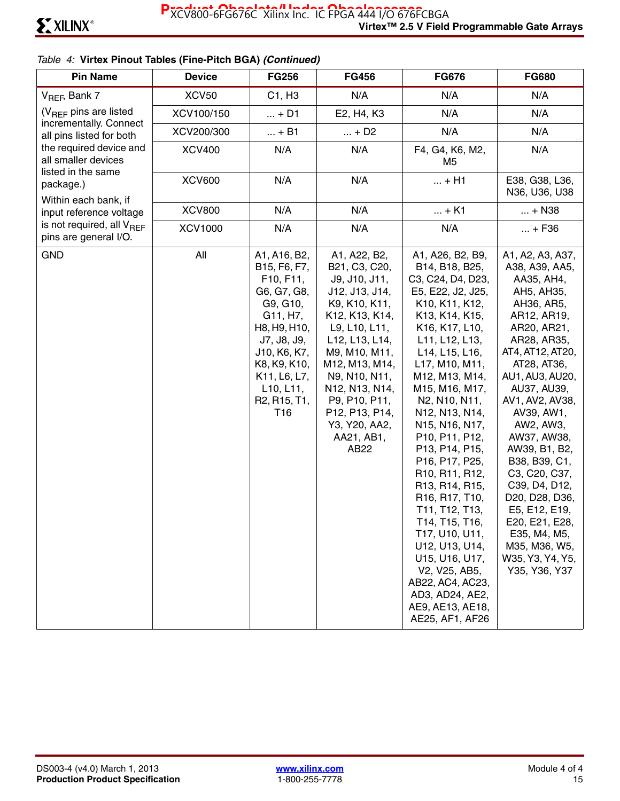| <b>Pin Name</b>                                                | <b>Device</b>  | <b>FG256</b>                                                                                                                                                                                                                                           | <b>FG456</b>                                                                                                                                                                                                                                                                           | <b>FG676</b>                                                                                                                                                                                                                                                                                                                                                                                                                                                                                                                                                                           | <b>FG680</b>                                                                                                                                                                                                                                                                                                                                                                                                                                               |
|----------------------------------------------------------------|----------------|--------------------------------------------------------------------------------------------------------------------------------------------------------------------------------------------------------------------------------------------------------|----------------------------------------------------------------------------------------------------------------------------------------------------------------------------------------------------------------------------------------------------------------------------------------|----------------------------------------------------------------------------------------------------------------------------------------------------------------------------------------------------------------------------------------------------------------------------------------------------------------------------------------------------------------------------------------------------------------------------------------------------------------------------------------------------------------------------------------------------------------------------------------|------------------------------------------------------------------------------------------------------------------------------------------------------------------------------------------------------------------------------------------------------------------------------------------------------------------------------------------------------------------------------------------------------------------------------------------------------------|
| $V_{REF}$ Bank 7                                               | <b>XCV50</b>   | C1, H3                                                                                                                                                                                                                                                 | N/A                                                                                                                                                                                                                                                                                    | N/A                                                                                                                                                                                                                                                                                                                                                                                                                                                                                                                                                                                    | N/A                                                                                                                                                                                                                                                                                                                                                                                                                                                        |
| $(V_{BFF}$ pins are listed                                     | XCV100/150     | $ + D1$                                                                                                                                                                                                                                                | E2, H4, K3                                                                                                                                                                                                                                                                             | N/A                                                                                                                                                                                                                                                                                                                                                                                                                                                                                                                                                                                    | N/A                                                                                                                                                                                                                                                                                                                                                                                                                                                        |
| incrementally. Connect<br>all pins listed for both             | XCV200/300     | $ + B1$                                                                                                                                                                                                                                                | $ + D2$                                                                                                                                                                                                                                                                                | N/A                                                                                                                                                                                                                                                                                                                                                                                                                                                                                                                                                                                    | N/A                                                                                                                                                                                                                                                                                                                                                                                                                                                        |
| the required device and<br>all smaller devices                 | <b>XCV400</b>  | N/A                                                                                                                                                                                                                                                    | N/A                                                                                                                                                                                                                                                                                    | F4, G4, K6, M2,<br>M5                                                                                                                                                                                                                                                                                                                                                                                                                                                                                                                                                                  | N/A                                                                                                                                                                                                                                                                                                                                                                                                                                                        |
| listed in the same<br>package.)                                | <b>XCV600</b>  | N/A                                                                                                                                                                                                                                                    | N/A                                                                                                                                                                                                                                                                                    | $ + H1$                                                                                                                                                                                                                                                                                                                                                                                                                                                                                                                                                                                | E38, G38, L36,<br>N36, U36, U38                                                                                                                                                                                                                                                                                                                                                                                                                            |
| Within each bank, if<br>input reference voltage                | <b>XCV800</b>  | N/A                                                                                                                                                                                                                                                    | N/A                                                                                                                                                                                                                                                                                    | $ + K1$                                                                                                                                                                                                                                                                                                                                                                                                                                                                                                                                                                                | $ + N38$                                                                                                                                                                                                                                                                                                                                                                                                                                                   |
| is not required, all $V_{\text{BFF}}$<br>pins are general I/O. | <b>XCV1000</b> | N/A                                                                                                                                                                                                                                                    | N/A                                                                                                                                                                                                                                                                                    | N/A                                                                                                                                                                                                                                                                                                                                                                                                                                                                                                                                                                                    | $ + F36$                                                                                                                                                                                                                                                                                                                                                                                                                                                   |
| <b>GND</b>                                                     | All            | A1, A16, B2,<br>B15, F6, F7,<br>F10, F11,<br>G6, G7, G8,<br>G9, G10,<br>G11, H7,<br>H8, H9, H10,<br>J7, J8, J9,<br>J10, K6, K7,<br>K8, K9, K10,<br>K11, L6, L7,<br>L10, L11,<br>R <sub>2</sub> , R <sub>15</sub> , T <sub>1</sub> ,<br>T <sub>16</sub> | A1, A22, B2,<br>B21, C3, C20,<br>J9, J10, J11,<br>J12, J13, J14,<br>K9, K10, K11,<br>K12, K13, K14,<br>L9, L10, L11,<br>L12, L13, L14,<br>M9, M10, M11,<br>M12, M13, M14,<br>N9, N10, N11,<br>N12, N13, N14,<br>P9, P10, P11,<br>P12, P13, P14,<br>Y3, Y20, AA2,<br>AA21, AB1,<br>AB22 | A1, A26, B2, B9,<br>B14, B18, B25,<br>C3, C24, D4, D23,<br>E5, E22, J2, J25,<br>K10, K11, K12,<br>K13, K14, K15,<br>K16, K17, L10,<br>L11, L12, L13,<br>L14, L15, L16,<br>L17, M10, M11,<br>M12, M13, M14,<br>M15, M16, M17,<br>N2, N10, N11,<br>N12, N13, N14,<br>N15, N16, N17,<br>P10, P11, P12,<br>P13, P14, P15,<br>P16, P17, P25,<br>R10, R11, R12,<br>R13, R14, R15,<br>R16, R17, T10,<br>T11, T12, T13,<br>T14, T15, T16,<br>T17, U10, U11,<br>U12, U13, U14,<br>U15, U16, U17,<br>V2, V25, AB5,<br>AB22, AC4, AC23,<br>AD3, AD24, AE2,<br>AE9, AE13, AE18,<br>AE25, AF1, AF26 | A1, A2, A3, A37,<br>A38, A39, AA5,<br>AA35, AH4,<br>AH5, AH35,<br>AH36, AR5,<br>AR12, AR19,<br>AR20, AR21,<br>AR28, AR35,<br>AT4, AT12, AT20,<br>AT28, AT36,<br>AU1, AU3, AU20,<br>AU37, AU39,<br>AV1, AV2, AV38,<br>AV39, AW1,<br>AW2, AW3,<br>AW37, AW38,<br>AW39, B1, B2,<br>B38, B39, C1,<br>C3, C20, C37,<br>C39, D4, D12,<br>D20, D28, D36,<br>E5, E12, E19,<br>E20, E21, E28,<br>E35, M4, M5,<br>M35, M36, W5,<br>W35, Y3, Y4, Y5,<br>Y35, Y36, Y37 |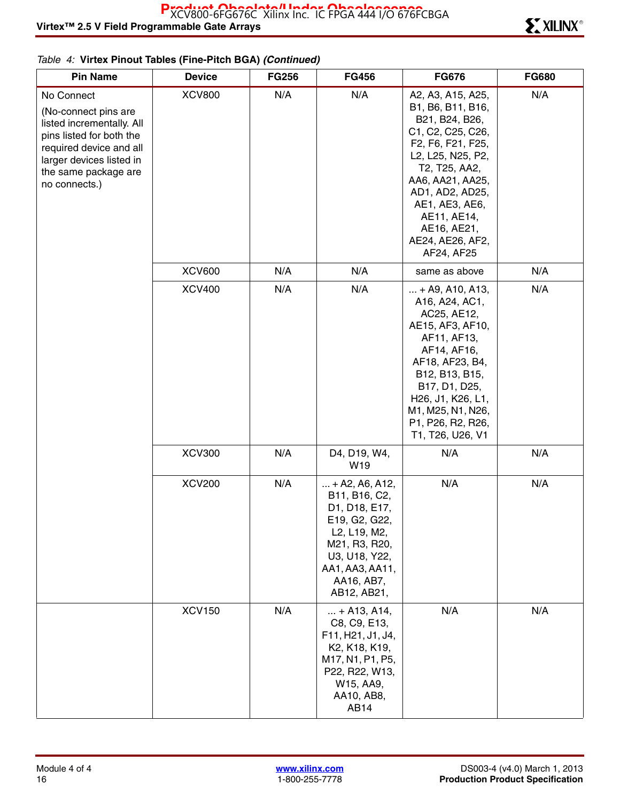| <b>Pin Name</b>                                                                                                                                                                             | <b>Device</b> | <b>FG256</b> | <b>FG456</b>                                                                                                                                                           | <b>FG676</b>                                                                                                                                                                                                                                                                                       | <b>FG680</b> |
|---------------------------------------------------------------------------------------------------------------------------------------------------------------------------------------------|---------------|--------------|------------------------------------------------------------------------------------------------------------------------------------------------------------------------|----------------------------------------------------------------------------------------------------------------------------------------------------------------------------------------------------------------------------------------------------------------------------------------------------|--------------|
| No Connect<br>(No-connect pins are<br>listed incrementally. All<br>pins listed for both the<br>required device and all<br>larger devices listed in<br>the same package are<br>no connects.) | <b>XCV800</b> | N/A          | N/A                                                                                                                                                                    | A2, A3, A15, A25,<br>B1, B6, B11, B16,<br>B21, B24, B26,<br>C1, C2, C25, C26,<br>F2, F6, F21, F25,<br>L2, L25, N25, P2,<br>T2, T25, AA2,<br>AA6, AA21, AA25,<br>AD1, AD2, AD25,<br>AE1, AE3, AE6,<br>AE11, AE14,<br>AE16, AE21,<br>AE24, AE26, AF2,<br>AF24, AF25                                  | N/A          |
|                                                                                                                                                                                             | <b>XCV600</b> | N/A          | N/A                                                                                                                                                                    | same as above                                                                                                                                                                                                                                                                                      | N/A          |
|                                                                                                                                                                                             | <b>XCV400</b> | N/A          | N/A                                                                                                                                                                    | $ + A9, A10, A13,$<br>A16, A24, AC1,<br>AC25, AE12,<br>AE15, AF3, AF10,<br>AF11, AF13,<br>AF14, AF16,<br>AF18, AF23, B4,<br>B12, B13, B15,<br>B17, D1, D25,<br>H <sub>26</sub> , J <sub>1</sub> , K <sub>26</sub> , L <sub>1</sub> ,<br>M1, M25, N1, N26,<br>P1, P26, R2, R26,<br>T1, T26, U26, V1 | N/A          |
|                                                                                                                                                                                             | <b>XCV300</b> | N/A          | D4, D19, W4,<br>W19                                                                                                                                                    | N/A                                                                                                                                                                                                                                                                                                | N/A          |
|                                                                                                                                                                                             | <b>XCV200</b> | N/A          | $ + A2, A6, A12,$<br>B11, B16, C2,<br>D1, D18, E17,<br>E19, G2, G22,<br>L2, L19, M2,<br>M21, R3, R20,<br>U3, U18, Y22,<br>AA1, AA3, AA11,<br>AA16, AB7,<br>AB12, AB21, | N/A                                                                                                                                                                                                                                                                                                | N/A          |
|                                                                                                                                                                                             | <b>XCV150</b> | N/A          | $ + A13, A14,$<br>C8, C9, E13,<br>F11, H21, J1, J4,<br>K2, K18, K19,<br>M17, N1, P1, P5,<br>P22, R22, W13,<br>W15, AA9,<br>AA10, AB8,<br>AB14                          | N/A                                                                                                                                                                                                                                                                                                | N/A          |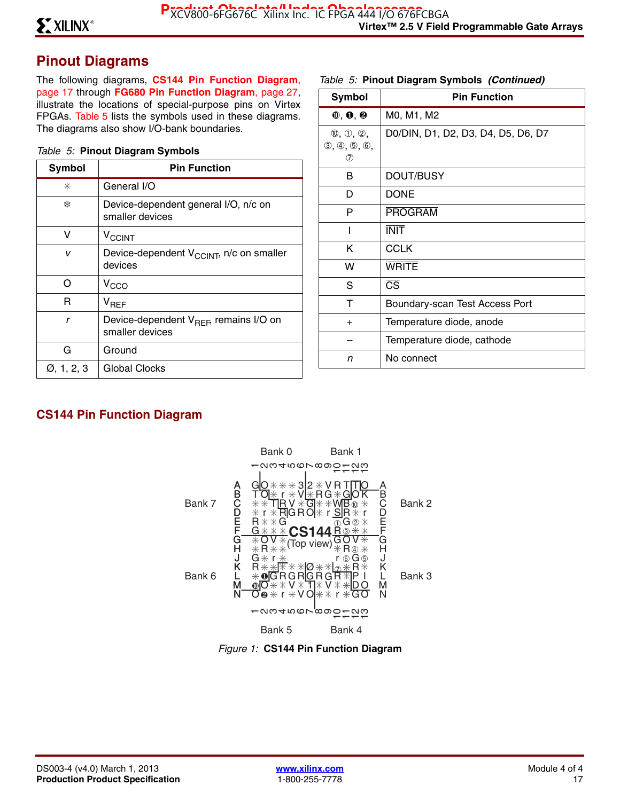# **Pinout Diagrams**

The following diagrams, **CS144 Pin Function Diagram**, page 17 through **FG680 Pin Function Diagram**, page 27, illustrate the locations of special-purpose pins on Virtex FPGAs. Table 5 lists the symbols used in these diagrams. The diagrams also show I/O-bank boundaries.

#### *Table 5:* **Pinout Diagram Symbols**

| <b>Symbol</b>           | <b>Pin Function</b>                                                   |
|-------------------------|-----------------------------------------------------------------------|
| ⋇                       | General I/O                                                           |
| ₩                       | Device-dependent general I/O, n/c on<br>smaller devices               |
| v                       | <b>V<sub>CCINT</sub></b>                                              |
| v                       | Device-dependent V <sub>CCINT</sub> , n/c on smaller<br>devices       |
| ∩                       | V <sub>CCO</sub>                                                      |
| R                       | $\mathsf{V}_{\mathsf{RFF}}$                                           |
| r                       | Device-dependent V <sub>REF</sub> , remains I/O on<br>smaller devices |
| G                       | Ground                                                                |
| $\varnothing$ , 1, 2, 3 | Global Clocks                                                         |

#### *Table 5:* **Pinout Diagram Symbols** *(Continued)*

| <b>Symbol</b>                                                | <b>Pin Function</b>                |
|--------------------------------------------------------------|------------------------------------|
| $\mathbf{0}, \mathbf{0}, \mathbf{\Theta}$                    | M0, M1, M2                         |
| $\mathbb{0}, \mathbb{0}, \mathbb{2},$<br>(3, 4, 5, 6,<br>(7) | D0/DIN, D1, D2, D3, D4, D5, D6, D7 |
| в                                                            | DOUT/BUSY                          |
| D                                                            | <b>DONE</b>                        |
| P                                                            | <b>PROGRAM</b>                     |
| ı                                                            | <b>INIT</b>                        |
| K                                                            | <b>CCLK</b>                        |
| w                                                            | <b>WRITE</b>                       |
| S                                                            | $\overline{\text{CS}}$             |
| т                                                            | Boundary-scan Test Access Port     |
| $+$                                                          | Temperature diode, anode           |
|                                                              | Temperature diode, cathode         |
| n                                                            | No connect                         |

# **CS144 Pin Function Diagram**



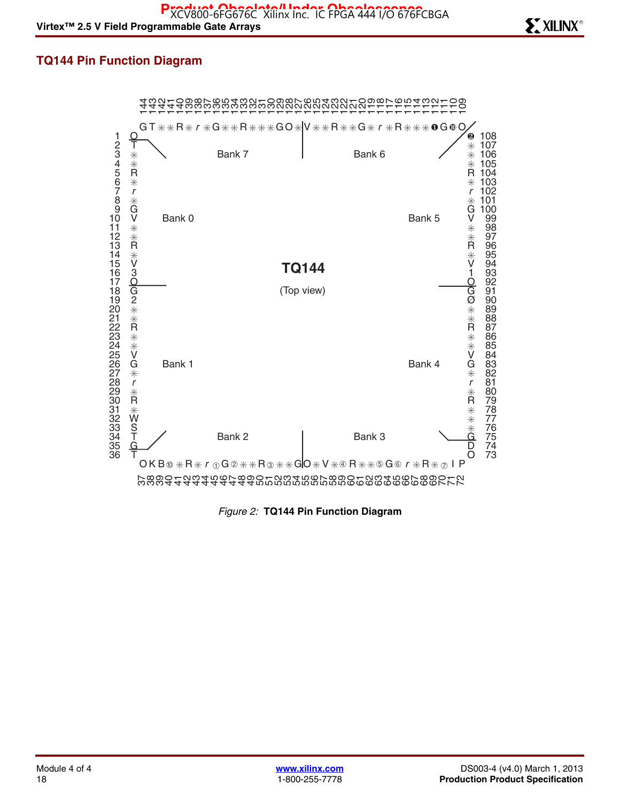## **TQ144 Pin Function Diagram**



*Figure 2:* **TQ144 Pin Function Diagram**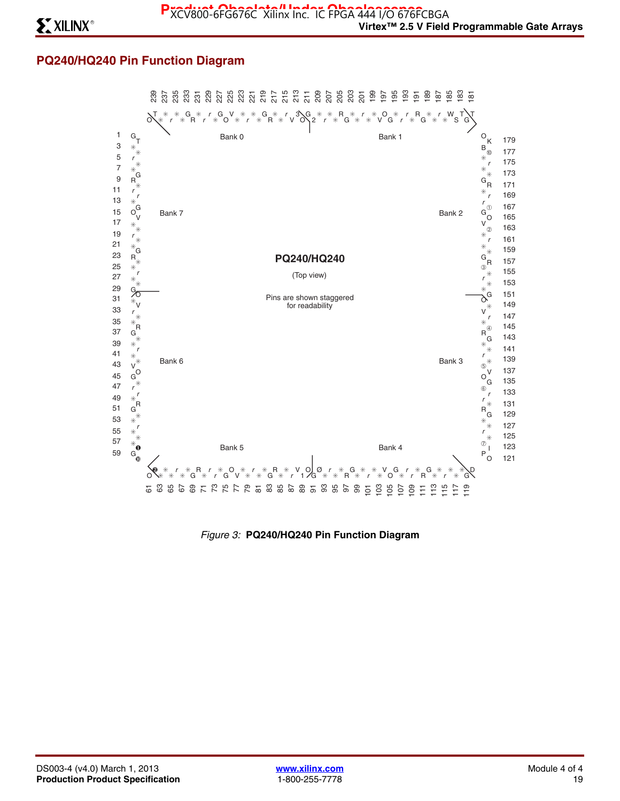## **PQ240/HQ240 Pin Function Diagram**



*Figure 3:* **PQ240/HQ240 Pin Function Diagram**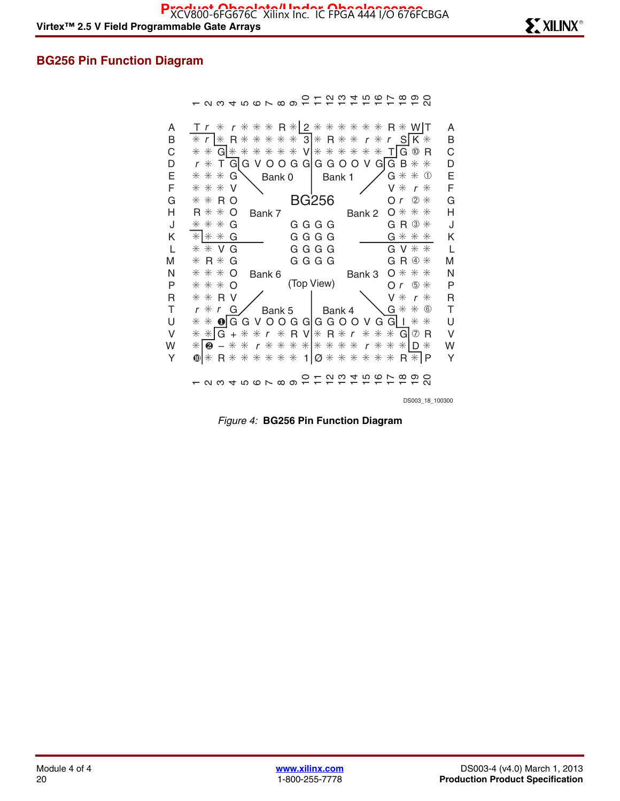## **BG256 Pin Function Diagram**

- 2345678901セ12 4567890

| A                | $T r * r * * * R *   2 * * * * * * * R * W   T$                                     | A                |
|------------------|-------------------------------------------------------------------------------------|------------------|
| B<br>$\mathsf C$ | * r  * R * * * * * 3 * R * * r * r S K *<br>* * G * * * * * * V * * * * * * T G ® R | B<br>$\mathsf C$ |
| D                | $r * T$ G IG V O O G G IG G O O V G IG B $* *$                                      | D                |
| Ε                | $G$ $*$ $*$ $\circledcirc$<br>$* * * G$                                             | Ε                |
| F                | Bank 1<br>Bank 0<br>* * * V<br>$V * r *$                                            | F                |
|                  | Or $\mathcal{D}$ $*$<br>$* * R$ O                                                   | G                |
| G                | <b>BG256</b>                                                                        |                  |
| Н                | $0$ $*$ $*$ $*$<br>$R$ $*$ $*$ O<br>Bank 7<br>Bank 2                                | Η                |
| J                | $G R \circledcirc *$<br>$* * * G$<br>G G G G                                        | J                |
| K                | $*$ $*$ $*$ G<br>GGGG<br>$G$ $*$ $*$ $*$                                            | Κ                |
| $\mathsf{L}$     | $G V * *$<br>$*$ $*$ $\vee$ $\vee$<br>G G G G                                       | L                |
| M                | GGGG<br>$G R @ *$<br>$*$ R $*$ G                                                    | M                |
| N                | $***$ O<br>$0$ $*$ $*$ $*$<br>Bank 6<br>Bank 3                                      | N                |
| P                | (Top View)<br>$Or$ $\circ$ $*$<br>$**\ast$ $\Omega$                                 | P                |
| R                | $* * R V$<br>$V * r *$                                                              | $\overline{R}$   |
| Τ                | <b>G</b> * * 6<br>$r * r$ G<br>Bank 5 Bank 4                                        | $\top$           |
| U                | $*$ $*$ $\bullet$ $\circ$ G G V O O G G G G O O V G G I $*$ $*$                     | $\cup$           |
| $\vee$           | * * G + * * r * R V * R * r * * * G 2 R                                             | $\vee$           |
| W                | * <b>0</b> - * * r * * * * * * * * r * * * D *                                      | W                |
| Y                | $\text{O}$ * R * * * * * * 1 $\varnothing$ * * * * * * R * P                        | Y                |
|                  | 12345678901に12は1567890                                                              |                  |
|                  | DS003 18 100300                                                                     |                  |
|                  |                                                                                     |                  |

*Figure 4:* **BG256 Pin Function Diagram**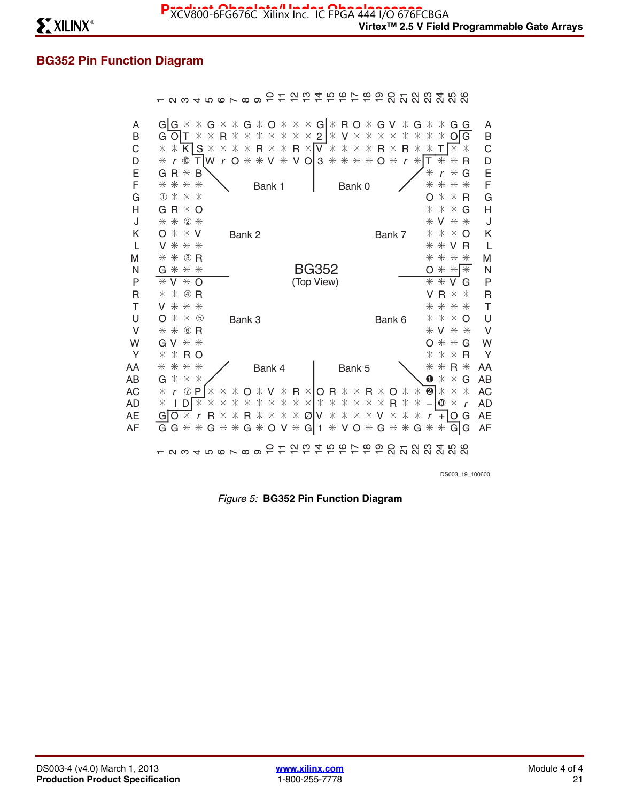# **BG352 Pin Function Diagram**

| A<br>B<br>С<br>D<br>E<br>F<br>G | $G G$ $*$ $*$ $G$ $*$ $*$ $G$ $*$ $O$ $*$ $*$ $*$ $G $ $*$ $R$ $O$ $*$ $G$ $V$ $*$ $G$ $*$ $*$ $G$ $G$<br>G O T * * R * * * * * * * 2 * V * * * * * *<br>$\ast$<br>$*$ OI<br>G<br>* * * R * * R * V * * * * R * R *<br>$*$ $*$ $K$ $S$ $*$<br>$T$ $*$ $*$<br>$\ast$<br>$T W r 0$ * * V * V 0 3 * * * * 0 * r *<br>$r \n\infty$<br>$\ast$<br>$\ast$<br>т<br>$\ast$<br>R<br>$G R * B$<br>$r *$<br>G<br>$\ast$<br>* * * *<br>* * *<br>$\ast$<br>Bank 0<br>Bank 1<br>① 米 米 米<br>$* * R$<br>O | A<br>B<br>C<br>D<br>Ε<br>F<br>G |
|---------------------------------|------------------------------------------------------------------------------------------------------------------------------------------------------------------------------------------------------------------------------------------------------------------------------------------------------------------------------------------------------------------------------------------------------------------------------------------------------------------------------------------|---------------------------------|
| Н                               | $* * * G$<br>$G R * O$                                                                                                                                                                                                                                                                                                                                                                                                                                                                   | Η                               |
| J                               | * * 2 *<br>$*$ V $*$ $*$                                                                                                                                                                                                                                                                                                                                                                                                                                                                 | J                               |
| Κ                               | $0$ $*$ $*$ $V$<br>$***$ O<br>Bank 2<br>Bank 7                                                                                                                                                                                                                                                                                                                                                                                                                                           | K                               |
| L                               | * * *<br>$*$ $*$ $\vee$ $\mathsf{R}$<br>V                                                                                                                                                                                                                                                                                                                                                                                                                                                | L                               |
| M                               | $*$ 3 R<br>* * * *<br>$\ast$                                                                                                                                                                                                                                                                                                                                                                                                                                                             | M                               |
| N                               | BG352<br>$*$ $*$<br>$G$ $*$ $*$ $*$<br>$\ast$<br>O                                                                                                                                                                                                                                                                                                                                                                                                                                       | N                               |
| P                               | $*V*O$<br>(Top View)<br>$* * v$<br>G                                                                                                                                                                                                                                                                                                                                                                                                                                                     | P                               |
| R                               | $* * ④ R$<br>$V R$ $*$ $*$                                                                                                                                                                                                                                                                                                                                                                                                                                                               | $\overline{R}$                  |
| Τ                               | V * * *<br>* * * *                                                                                                                                                                                                                                                                                                                                                                                                                                                                       | $\top$                          |
| U                               | * * 0<br>$***$ O<br>O<br>Bank 3<br>Bank 6                                                                                                                                                                                                                                                                                                                                                                                                                                                | U                               |
| $\vee$                          | * * © R<br>$*$ V $*$ $*$                                                                                                                                                                                                                                                                                                                                                                                                                                                                 | $\vee$                          |
| W<br>Y                          | $GV**$<br>$* * G$<br>Ω<br>$* * R$<br>$\ast$                                                                                                                                                                                                                                                                                                                                                                                                                                              | W<br>Y                          |
|                                 | $* * R$ O<br>* * * *<br>$* * R *$                                                                                                                                                                                                                                                                                                                                                                                                                                                        | AA                              |
| AA<br>AB                        | Bank 4<br>Bank 5<br>* * *<br>0<br>$* * G$<br>G                                                                                                                                                                                                                                                                                                                                                                                                                                           | AB                              |
| АC                              | * * * 0 * V * R * O R * * R * O * * @ * * *<br>$r \nabla$ P<br>$\ast$                                                                                                                                                                                                                                                                                                                                                                                                                    | AC                              |
| AD                              | * * * * * * * * * * * * * * R * * -<br>$\mathsf{I} \ast$<br>$\mathbf{0}$ $*$ r<br>$\ast$<br>$\ast$<br>⋇<br>ID.                                                                                                                                                                                                                                                                                                                                                                           | AD                              |
| AЕ                              | $O*$<br>r R * * R * * * * Ø V * * * * V * * *<br>Gl<br>$+IO$ G<br>$\mathsf{r}$                                                                                                                                                                                                                                                                                                                                                                                                           | AE                              |
| AF                              | * G * * G * O V * G 1 * V O * G * * G * * G G<br>$G *$<br>G                                                                                                                                                                                                                                                                                                                                                                                                                              | AF                              |
|                                 | ∞ ∼ ∞<br><b>P S L S S 4 B S 4 B S</b><br>$ \alpha$ $\alpha$ $+$ $\alpha$ $\alpha$ $\alpha$ $\alpha$ $-$                                                                                                                                                                                                                                                                                                                                                                                  |                                 |

DS003\_19\_100600

*Figure 5:* **BG352 Pin Function Diagram**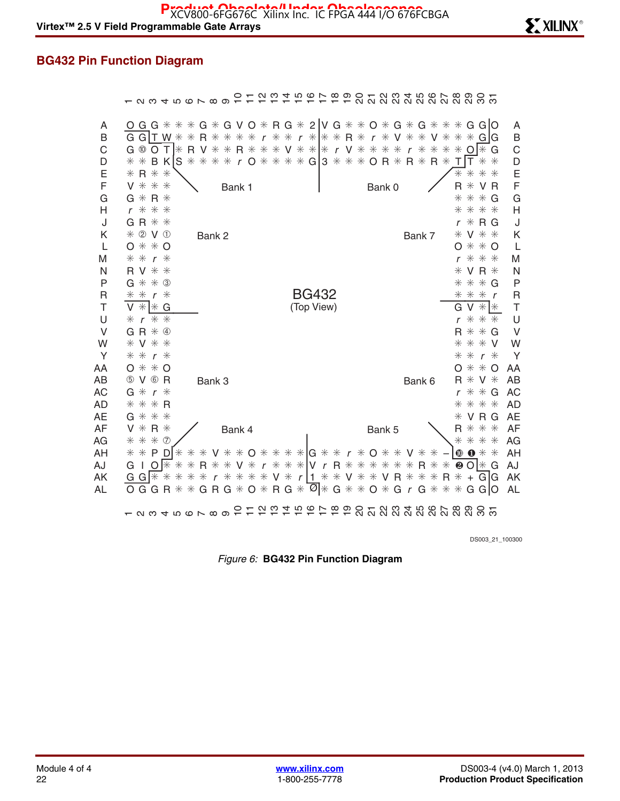# **BG432 Pin Function Diagram**

|                                    | Q W 4 T Q L W Q                                                                                                                                                                                                                  |                               |                                                                                                  |                          | $\overline{a}$ $\overline{a}$ $\overline{a}$ $\overline{a}$ $\overline{a}$ $\overline{a}$ $\overline{a}$ |                  |                                       | $\infty$<br>$\overline{\omega}$ |              |                                                                   |                        |                  |                                               |                                                     | <u>នដុន្ត្រី ដូចទី និង និង</u>                                       |                                                  |
|------------------------------------|----------------------------------------------------------------------------------------------------------------------------------------------------------------------------------------------------------------------------------|-------------------------------|--------------------------------------------------------------------------------------------------|--------------------------|----------------------------------------------------------------------------------------------------------|------------------|---------------------------------------|---------------------------------|--------------|-------------------------------------------------------------------|------------------------|------------------|-----------------------------------------------|-----------------------------------------------------|----------------------------------------------------------------------|--------------------------------------------------|
| Α<br>Β<br>C<br>D<br>E              | G G $\ast$ $\ast$ $\ast$ G $\ast$ G V O $\ast$ R G $\ast$ 2 V G $\ast$ $\ast$ O $\ast$ G $\ast$ G $\ast$ $\ast$ $\ast$ G G O<br>Ő<br>G G $\Gamma$ W $*$<br>G <sup>10</sup><br>$\circ$<br>T<br>l⋇<br>* *<br>B K<br>S<br>$* R * *$ | R<br>$\ast$<br>V<br>R<br>$**$ | $\ast$<br>$\ast$<br>$\ast$<br>$\ast$<br>$*$                                                      | $\ast$<br>$\ast$<br>$R*$ | $\mathsf{r}$<br>$\ast$<br>$*$<br>* r O * * * * G 3 * * * O R *                                           | $\ast$<br>$\ast$ | $r *   * * R *$<br>$V$ * *  * r V * * |                                 | $\mathsf{r}$ | $\ast$<br>V<br>$\ast$<br>$\ast$                                   | $\ast$<br>$\mathsf{r}$ | $\ast$<br>$\ast$ | $\ast$<br>V.<br>$\ast$<br>$\ast$<br>$R * R *$ | $\ast$<br>$\ast$<br>$\ast$<br>O<br>T<br>Τ<br>$\ast$ | GIG<br>G<br>I*<br>$\ast$<br>$\ast$<br>$\ast$<br>$*$<br>$\ast$        | A<br>B<br>$\mathsf C$<br>D<br>E                  |
| F<br>G<br>Н<br>J                   | V * * *<br>$R*$<br>$G *$<br>$* *$<br>$r *$<br>$G R$ $*$ $*$                                                                                                                                                                      |                               |                                                                                                  | Bank 1                   |                                                                                                          |                  |                                       |                                 | Bank 0       |                                                                   |                        |                  |                                               | R<br>$\ast$<br>$\ast$<br>$\ast$<br>r                | V R<br>$\ast$<br>$\ast$<br>G<br>* * *<br>$*$ R G                     | F<br>G<br>$\overline{\mathsf{H}}$<br>J           |
| Κ<br>L<br>M<br>N                   | * 2 V 1<br>$*$ $*$ O<br>O<br>$*$<br>$\ast$<br>⋇<br>$\mathsf{r}$<br><b>RV * *</b>                                                                                                                                                 |                               | Bank 2                                                                                           |                          |                                                                                                          |                  |                                       |                                 |              |                                                                   |                        | Bank 7           |                                               | ⋇<br>O<br>r<br>⋇                                    | V * *<br>$*$ $*$ O<br>* * *<br>V R $*$                               | Κ<br>L<br>M<br>N                                 |
| P<br>$\mathsf{R}$<br>T<br>U        | $\ast$<br>$*$ 3<br>G<br>$\ast$<br>$\ast$<br>$\ast$<br>$\mathsf{r}$<br>$*$ $*$ G<br>V<br>$**$<br>$\mathsf{r}$<br>⋇                                                                                                                |                               |                                                                                                  |                          |                                                                                                          |                  | <b>BG432</b><br>(Top View)            |                                 |              |                                                                   |                        |                  |                                               | $\ast$<br>$\ast$<br>$\ast$<br>G<br>V<br>$\ast$<br>r | $*$<br>$*$ G<br>$\ddot{*}$<br>$\mathsf{r}$<br>$* *$<br>$\ast$<br>$*$ | P<br>$\mathsf{R}$<br>$\top$<br>U                 |
| $\vee$<br>W<br>Y<br>AA             | $G R * ④$<br>V * *<br>$\ast$<br>$* * r *$<br>$\ast$<br>— * О<br>O                                                                                                                                                                |                               |                                                                                                  |                          |                                                                                                          |                  |                                       |                                 |              |                                                                   |                        |                  |                                               | $**$<br>O                                           | $R$ $*$ $*$ $G$<br>* * *<br>- V<br>$r*$<br>$**$<br>O                 | $\vee$<br>W<br>Y<br>AA                           |
| AB<br><b>AC</b><br><b>AD</b><br>AE | 5 V 6 R<br>G $*$<br>$r*$<br>$* *$<br>$*R$<br>$G *$<br>$**$                                                                                                                                                                       |                               | Bank 3                                                                                           |                          |                                                                                                          |                  |                                       |                                 |              |                                                                   |                        | Bank 6           |                                               | R<br>r<br>⋇<br>⋇                                    | $*$ V $*$<br>$* * G$<br>* * *<br>VRG                                 | <b>AB</b><br><b>AC</b><br><b>AD</b><br><b>AE</b> |
| <b>AF</b><br>AG<br>AH<br>AJ        | $*$ R $*$<br>V<br>* * * 0<br>$* *$<br>P<br>D<br>$\ast$<br>∦<br>O<br>$\ast$<br>G<br>J.                                                                                                                                            | $\ast$<br>$\ast$<br>R.<br>⋇   | V * * O * * * *  G * * r * O * *<br>* * <b>V</b> * <b>r</b> * * * <mark>V r R</mark> * * * * * * | Bank 4                   |                                                                                                          |                  |                                       |                                 | Bank 5       |                                                                   |                        | $R*$             | $\ast$                                        | R<br>$\ast$<br>$\mathbf 0$<br>❷                     | * * *<br>* * *<br>$\mathbf{0} *$<br>$*$<br>$O$   $*$<br>G            | <b>AF</b><br>AG<br>AH<br>AJ                      |
| ΑK<br>AL                           | G<br>$G$ $*$<br>$\ast$<br>⋇<br>G G<br>$\ast$<br>O<br>R<br>$Q \cup Q$ $Q \cup Q$ $Q \cup Q$                                                                                                                                       | $\ast$<br>$\ast$<br>$\ast$    | $\mathsf{r}$<br>$G R G * O * R G *$                                                              |                          | * * * * V *                                                                                              |                  | $r \mid 1 \ast$                       |                                 |              | * V * * V R * * *<br>$\overline{\emptyset}$ * G * * O * G r G * * |                        |                  | R                                             | $\ast$<br>$+$<br>$*$                                | G G<br>G GIO<br><u>ភ</u> ្លង់ ដូច ដូច ដូច ដូច ដូច ដូ                 | AK<br><b>AL</b>                                  |

DS003\_21\_100300

*Figure 6:* **BG432 Pin Function Diagram**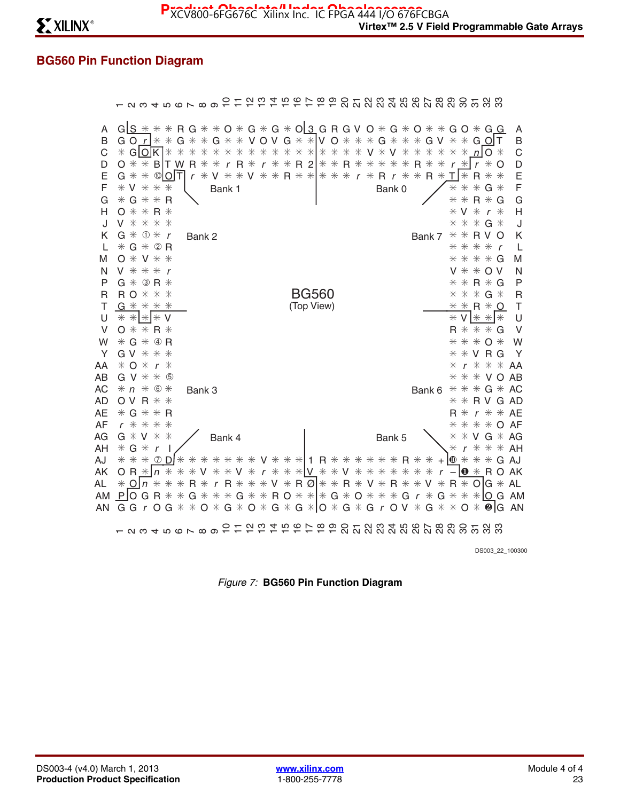# **BG560 Pin Function Diagram**

|                                                                                    | - 8 8 4 5 6 6 7 8 9 -                                                                                                                                                                                                                                                                                                                                                                              |                   |        |        |                       |                  |                                                                                                                                      |     | ດ! ຕ |   |  |                                                     |   |  |   |                                   |             |                                    |                               |                                 |                         |                       |                                     | <b>B B B L B B 4 B &amp; L B B B L B B B</b> B B B B B                                                                                       |                                                                                                                                                                                         |                                                                                   |
|------------------------------------------------------------------------------------|----------------------------------------------------------------------------------------------------------------------------------------------------------------------------------------------------------------------------------------------------------------------------------------------------------------------------------------------------------------------------------------------------|-------------------|--------|--------|-----------------------|------------------|--------------------------------------------------------------------------------------------------------------------------------------|-----|------|---|--|-----------------------------------------------------|---|--|---|-----------------------------------|-------------|------------------------------------|-------------------------------|---------------------------------|-------------------------|-----------------------|-------------------------------------|----------------------------------------------------------------------------------------------------------------------------------------------|-----------------------------------------------------------------------------------------------------------------------------------------------------------------------------------------|-----------------------------------------------------------------------------------|
| Α<br>B<br>C<br>D<br>Ε<br>F<br>G<br>н<br>J<br>κ<br>I.<br>M<br>N<br>P<br>R<br>Τ<br>U | $G$ $S$ $*$ $*$ $*$ $R$ $G$ $*$ $*$ $O$ $*$ $G$ $*$ $G$ $*$ $O$ $S$ $G$ $R$ $G$ $V$ $O$ $*$ $G$ $*$ $O$ $*$<br>G O $r$ $*$ $*$ G $*$<br>$*$ GIOK $**$<br>$0$ $*$ $*$ B T W R $*$<br>G * *<br>$*$ V $*$ $*$<br>$* G * * R$<br>$0$ $*$ $*$ R $*$<br>V * * * *<br>$G * 0 * r$<br>$*G*QR$<br>$O*V**$<br>$V$ $*$ $*$ $*$ $r$<br>$G * 3R *$<br><b>RO * * *</b><br>$G$ $*$ $*$ $*$ $*$<br>$* *   *   * v$ | ®IOIT             | $\ast$ | $*$    | $\ast$<br>r<br>Bank 2 | $\ast$<br>$\ast$ | $G$ * * V O V $G$ * * V O * * * G *<br>* * * * * * * * * * * * * *<br>$*$ $r$ R $*$<br>* V * * V * * R * * * * * r * R r *<br>Bank 1 |     |      |   |  | $r$ * * R 2 * * R * *<br><b>BG560</b><br>(Top View) |   |  | V | $*$<br>$\ast$<br>Bank 0           | V<br>$\ast$ | $\ast$<br>$*$<br>$\ast$            | $*$<br>$\ast$<br>R.<br>$\ast$ | $\ast$<br>$*$<br>$R*$<br>Bank 7 | $\ast$<br>$*$<br>$\ast$ | $\ast$<br>⋇<br>⋇<br>⋇ | $\ast$<br>— *<br>$*$<br>⋇<br>⋇<br>V | $GV * * G$ O T<br>n<br>$\mathbf{r}$<br>R<br>⋇<br>$\ast$<br>R.<br>$\ast$<br>$\ast$<br>$\mathsf{r}$<br>$* * R V$<br>* * * *<br>$V$ $*$ $*$ O V | $G$ O $*$ G G<br>$\Omega$ $*$<br>$\ast$<br>$\Omega$<br>$G *$<br>G<br>$\ast$<br>$* * G *$<br>O<br>$\mathbf{r}$<br>$* * * * G$<br>$* * R * G$<br>$* * * G *$<br>$* * R * O$<br>$*V$ * * * | Α<br>B<br>C<br>D<br>E<br>F<br>Ġ<br>H<br>J<br>Κ<br>L<br>M<br>N<br>P<br>R<br>T<br>U |
| V                                                                                  | $O$ $*$ $*$                                                                                                                                                                                                                                                                                                                                                                                        | $\mathsf{R} \; *$ |        |        |                       |                  |                                                                                                                                      |     |      |   |  |                                                     |   |  |   |                                   |             |                                    |                               |                                 |                         |                       |                                     |                                                                                                                                              | $R$ $*$ $*$ $*$ $G$                                                                                                                                                                     | V                                                                                 |
| W<br>Y                                                                             | $* G * \Phi R$<br>$G V * * * *$                                                                                                                                                                                                                                                                                                                                                                    |                   |        |        |                       |                  |                                                                                                                                      |     |      |   |  |                                                     |   |  |   |                                   |             |                                    |                               |                                 |                         |                       |                                     |                                                                                                                                              | * * * 0 *<br>$*$ $*$ $V$ R G                                                                                                                                                            | W<br>Υ                                                                            |
| AA                                                                                 | $*$ O $*$ r $*$                                                                                                                                                                                                                                                                                                                                                                                    |                   |        |        |                       |                  |                                                                                                                                      |     |      |   |  |                                                     |   |  |   |                                   |             |                                    |                               |                                 |                         |                       |                                     |                                                                                                                                              | $*$ $r$ $*$ $*$ $*$                                                                                                                                                                     | AA                                                                                |
| AB                                                                                 | $G V * * 9$                                                                                                                                                                                                                                                                                                                                                                                        |                   |        |        |                       |                  |                                                                                                                                      |     |      |   |  |                                                     |   |  |   |                                   |             |                                    |                               |                                 |                         |                       |                                     |                                                                                                                                              | * * * V O AB                                                                                                                                                                            |                                                                                   |
| <b>AC</b><br>AD                                                                    | $* n * 6 *$<br>$O V R$ $*$ $*$                                                                                                                                                                                                                                                                                                                                                                     |                   |        |        | Bank 3                |                  |                                                                                                                                      |     |      |   |  |                                                     |   |  |   |                                   |             |                                    |                               | Bank 6                          |                         |                       |                                     |                                                                                                                                              | * * * G * AC<br>$*$ $*$ R V G AD                                                                                                                                                        |                                                                                   |
| AE                                                                                 | $*G**R$                                                                                                                                                                                                                                                                                                                                                                                            |                   |        |        |                       |                  |                                                                                                                                      |     |      |   |  |                                                     |   |  |   |                                   |             |                                    |                               |                                 |                         |                       |                                     |                                                                                                                                              | $R * r * * AE$                                                                                                                                                                          |                                                                                   |
| AF                                                                                 | $r$ * * * *<br>$G * V * *$                                                                                                                                                                                                                                                                                                                                                                         |                   |        |        |                       |                  |                                                                                                                                      |     |      |   |  |                                                     |   |  |   |                                   |             |                                    |                               |                                 |                         | ⋇                     |                                     |                                                                                                                                              | $* * * o$ AF<br>$*V$ G $*AG$                                                                                                                                                            |                                                                                   |
| AG<br>AH                                                                           | $*$ G $*$                                                                                                                                                                                                                                                                                                                                                                                          | $\mathbf{r}$      |        |        |                       |                  | Bank 4                                                                                                                               |     |      |   |  |                                                     |   |  |   | Bank 5                            |             |                                    |                               |                                 |                         | ⋇<br>⋇                | r                                   |                                                                                                                                              | $* * * A$                                                                                                                                                                               |                                                                                   |
| AJ                                                                                 | * * *                                                                                                                                                                                                                                                                                                                                                                                              | (7)               |        |        |                       | Ж                | * * *                                                                                                                                |     | ⋇    |   |  |                                                     |   |  |   |                                   |             | V * * * 1 R * * * * * * R *        |                               | ⋇                               |                         |                       |                                     |                                                                                                                                              | $+10$ $*$ $*$ $*$ G AJ                                                                                                                                                                  |                                                                                   |
| AK                                                                                 | O R $*$ ln                                                                                                                                                                                                                                                                                                                                                                                         |                   | $\ast$ | $\ast$ | Ж                     | v                | $*$                                                                                                                                  | * V | ⋇    |   |  |                                                     |   |  |   |                                   |             | r * * * <u>V</u> * * V * * * * * * |                               | $\ast$                          |                         |                       |                                     |                                                                                                                                              | $-$ 0 $*$ R O AK                                                                                                                                                                        |                                                                                   |
| AL                                                                                 | $*$ OIn $*$                                                                                                                                                                                                                                                                                                                                                                                        |                   | $\ast$ | $\ast$ | $R*$                  |                  | $\mathsf{r}$                                                                                                                         |     |      |   |  |                                                     |   |  |   | $R$ * * * V * R Ø * * R * V * R * |             |                                    | $*$                           | v                               | $\ast$                  |                       |                                     |                                                                                                                                              | $R * O G * AL$                                                                                                                                                                          |                                                                                   |
| AM                                                                                 | $P$  OGR $*$                                                                                                                                                                                                                                                                                                                                                                                       |                   |        | $\ast$ |                       |                  | $G$ * * * $G$ * * $R$ O * * * * $G$ * O * * * * $G$ r *                                                                              |     |      |   |  |                                                     |   |  |   |                                   |             |                                    |                               |                                 |                         |                       |                                     |                                                                                                                                              | $G$ $*$ $*$ $*$ $O$ $G$ AM                                                                                                                                                              |                                                                                   |
| AN                                                                                 | G G r O G * * O * G * O * G * G * IO * G * G r O V * G * * O * @ IG AN                                                                                                                                                                                                                                                                                                                             |                   |        |        |                       |                  |                                                                                                                                      |     |      |   |  |                                                     |   |  |   |                                   |             |                                    |                               |                                 |                         |                       |                                     |                                                                                                                                              |                                                                                                                                                                                         |                                                                                   |
|                                                                                    | $ \alpha$ $\alpha$ $+$ $\alpha$ $\alpha$ $\alpha$ $\alpha$ $\alpha$ $\alpha$ $\alpha$                                                                                                                                                                                                                                                                                                              |                   |        |        |                       |                  |                                                                                                                                      |     |      | ⊻ |  | 5959                                                | တ |  |   |                                   |             |                                    |                               |                                 |                         |                       |                                     |                                                                                                                                              |                                                                                                                                                                                         |                                                                                   |

DS003\_22\_100300

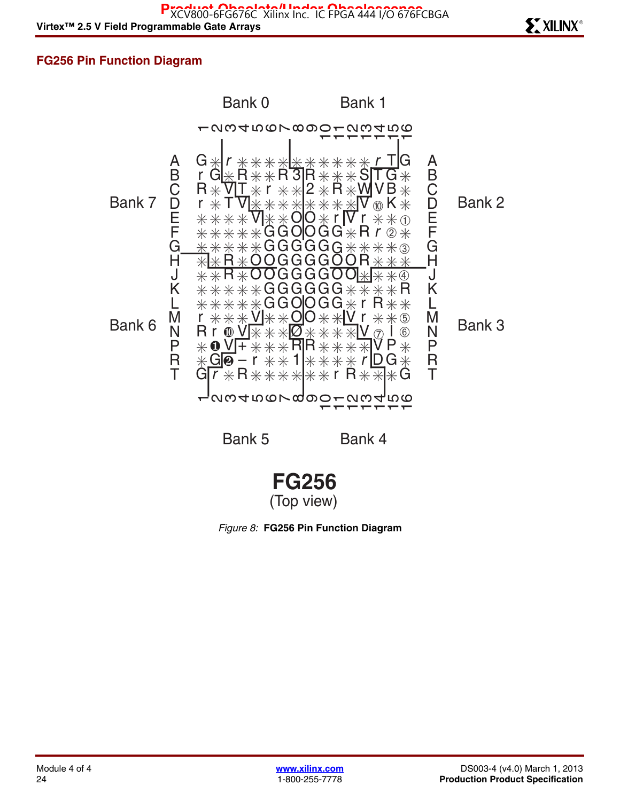Virtex™ 2.5 V Field Programmable Gate Arrays Research Control of Control of Control of Control of Control of Control of Control of Control of Control of Control of Control of Control of Control of Control of Control of Co Pxcduct Obsolete." Index Obsolescence<br>XCV800-6FG676C Xilinx Inc. IC FPGA 444 I/O 676FCBGA

## **FG256 Pin Function Diagram**



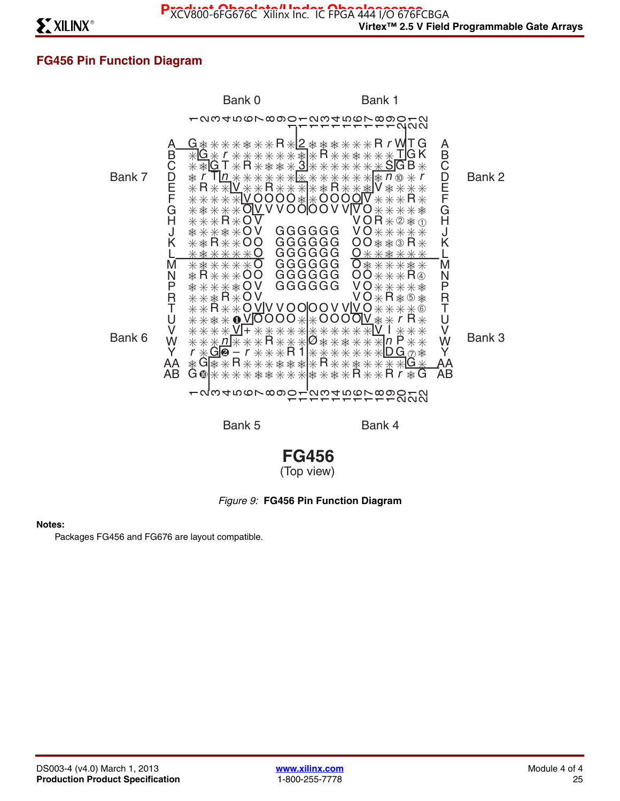## **FG456 Pin Function Diagram**





### *Figure 9:* **FG456 Pin Function Diagram**

#### **Notes:**

Packages FG456 and FG676 are layout compatible.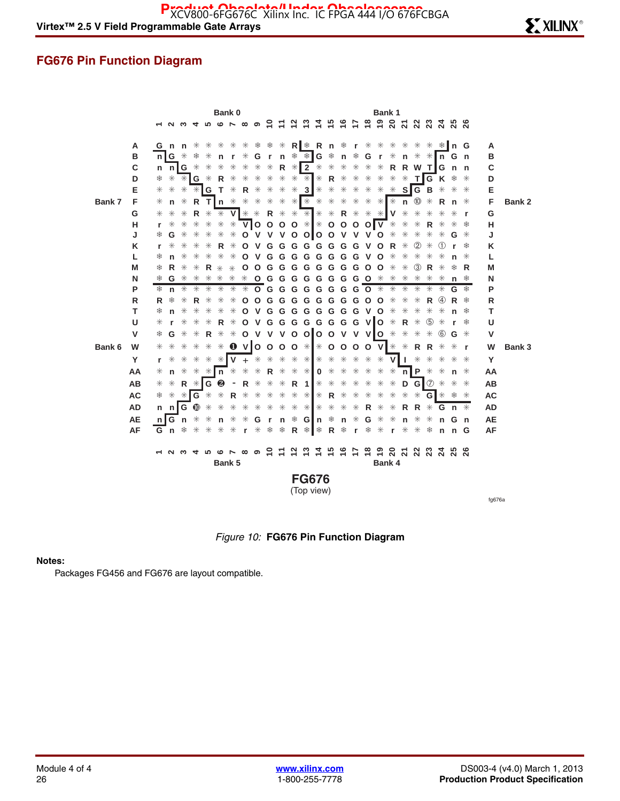### **FG676 Pin Function Diagram**



*Figure 10:* **FG676 Pin Function Diagram**

#### **Notes:**

Packages FG456 and FG676 are layout compatible.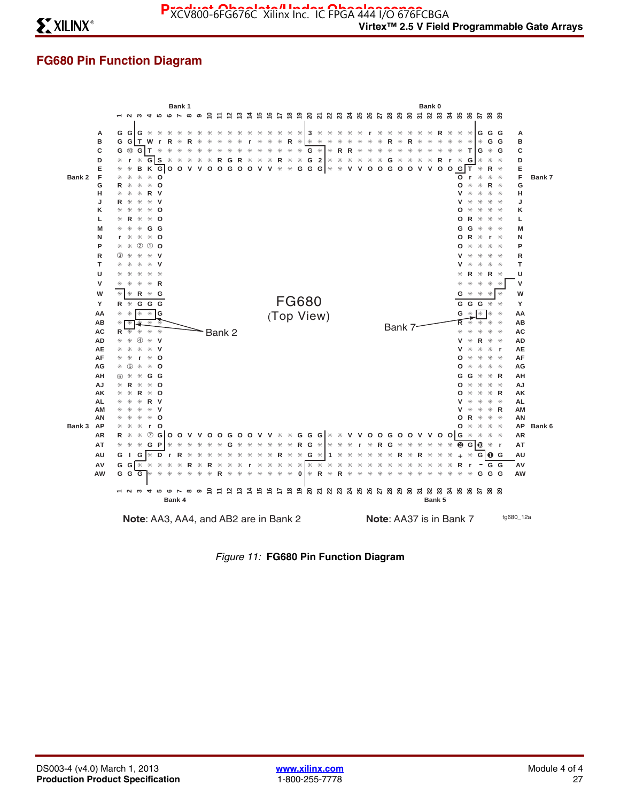## **FG680 Pin Function Diagram**



*Figure 11:* **FG680 Pin Function Diagram**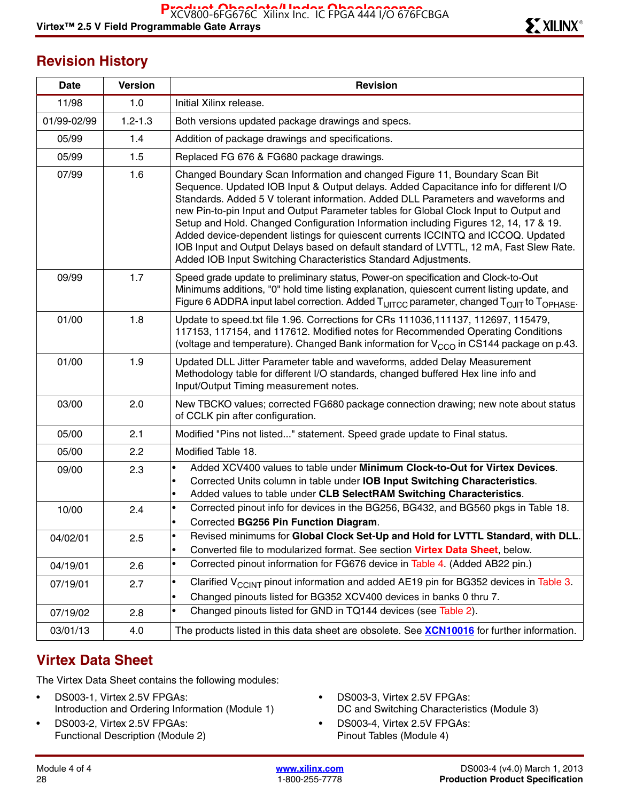## **Revision History**

| <b>Date</b> | <b>Version</b> | <b>Revision</b>                                                                                                                                                                                                                                                                                                                                                                                                                                                                                                                                                                                                                                                                             |
|-------------|----------------|---------------------------------------------------------------------------------------------------------------------------------------------------------------------------------------------------------------------------------------------------------------------------------------------------------------------------------------------------------------------------------------------------------------------------------------------------------------------------------------------------------------------------------------------------------------------------------------------------------------------------------------------------------------------------------------------|
| 11/98       | 1.0            | Initial Xilinx release.                                                                                                                                                                                                                                                                                                                                                                                                                                                                                                                                                                                                                                                                     |
| 01/99-02/99 | $1.2 - 1.3$    | Both versions updated package drawings and specs.                                                                                                                                                                                                                                                                                                                                                                                                                                                                                                                                                                                                                                           |
| 05/99       | 1.4            | Addition of package drawings and specifications.                                                                                                                                                                                                                                                                                                                                                                                                                                                                                                                                                                                                                                            |
| 05/99       | 1.5            | Replaced FG 676 & FG680 package drawings.                                                                                                                                                                                                                                                                                                                                                                                                                                                                                                                                                                                                                                                   |
| 07/99       | 1.6            | Changed Boundary Scan Information and changed Figure 11, Boundary Scan Bit<br>Sequence. Updated IOB Input & Output delays. Added Capacitance info for different I/O<br>Standards. Added 5 V tolerant information. Added DLL Parameters and waveforms and<br>new Pin-to-pin Input and Output Parameter tables for Global Clock Input to Output and<br>Setup and Hold. Changed Configuration Information including Figures 12, 14, 17 & 19.<br>Added device-dependent listings for quiescent currents ICCINTQ and ICCOQ. Updated<br>IOB Input and Output Delays based on default standard of LVTTL, 12 mA, Fast Slew Rate.<br>Added IOB Input Switching Characteristics Standard Adjustments. |
| 09/99       | 1.7            | Speed grade update to preliminary status, Power-on specification and Clock-to-Out<br>Minimums additions, "0" hold time listing explanation, quiescent current listing update, and<br>Figure 6 ADDRA input label correction. Added T <sub>IJITCC</sub> parameter, changed T <sub>OJIT</sub> to T <sub>OPHASE</sub> .                                                                                                                                                                                                                                                                                                                                                                         |
| 01/00       | 1.8            | Update to speed.txt file 1.96. Corrections for CRs 111036,111137, 112697, 115479,<br>117153, 117154, and 117612. Modified notes for Recommended Operating Conditions<br>(voltage and temperature). Changed Bank information for V <sub>CCO</sub> in CS144 package on p.43.                                                                                                                                                                                                                                                                                                                                                                                                                  |
| 01/00       | 1.9            | Updated DLL Jitter Parameter table and waveforms, added Delay Measurement<br>Methodology table for different I/O standards, changed buffered Hex line info and<br>Input/Output Timing measurement notes.                                                                                                                                                                                                                                                                                                                                                                                                                                                                                    |
| 03/00       | 2.0            | New TBCKO values; corrected FG680 package connection drawing; new note about status<br>of CCLK pin after configuration.                                                                                                                                                                                                                                                                                                                                                                                                                                                                                                                                                                     |
| 05/00       | 2.1            | Modified "Pins not listed" statement. Speed grade update to Final status.                                                                                                                                                                                                                                                                                                                                                                                                                                                                                                                                                                                                                   |
| 05/00       | 2.2            | Modified Table 18.                                                                                                                                                                                                                                                                                                                                                                                                                                                                                                                                                                                                                                                                          |
| 09/00       | 2.3            | Added XCV400 values to table under Minimum Clock-to-Out for Virtex Devices.<br>$\bullet$<br>Corrected Units column in table under IOB Input Switching Characteristics.<br>Added values to table under CLB SelectRAM Switching Characteristics.<br>$\bullet$                                                                                                                                                                                                                                                                                                                                                                                                                                 |
| 10/00       | 2.4            | Corrected pinout info for devices in the BG256, BG432, and BG560 pkgs in Table 18.<br>$\bullet$<br>Corrected BG256 Pin Function Diagram.                                                                                                                                                                                                                                                                                                                                                                                                                                                                                                                                                    |
| 04/02/01    | 2.5            | Revised minimums for Global Clock Set-Up and Hold for LVTTL Standard, with DLL.<br>$\bullet$<br>Converted file to modularized format. See section Virtex Data Sheet, below.                                                                                                                                                                                                                                                                                                                                                                                                                                                                                                                 |
| 04/19/01    | 2.6            | Corrected pinout information for FG676 device in Table 4. (Added AB22 pin.)<br>$\bullet$                                                                                                                                                                                                                                                                                                                                                                                                                                                                                                                                                                                                    |
| 07/19/01    | 2.7            | Clarified $V_{CClNT}$ pinout information and added AE19 pin for BG352 devices in Table 3.<br>$\bullet$<br>Changed pinouts listed for BG352 XCV400 devices in banks 0 thru 7.<br>٠                                                                                                                                                                                                                                                                                                                                                                                                                                                                                                           |
| 07/19/02    | 2.8            | Changed pinouts listed for GND in TQ144 devices (see Table 2).<br>٠                                                                                                                                                                                                                                                                                                                                                                                                                                                                                                                                                                                                                         |
| 03/01/13    | 4.0            | The products listed in this data sheet are obsolete. See XCN10016 for further information.                                                                                                                                                                                                                                                                                                                                                                                                                                                                                                                                                                                                  |

## **Virtex Data Sheet**

The Virtex Data Sheet contains the following modules:

- DS003-1, Virtex 2.5V FPGAs: Introduction and Ordering Information (Module 1)
- DS003-2, Virtex 2.5V FPGAs: Functional Description (Module 2)
- DS003-3, Virtex 2.5V FPGAs: DC and Switching Characteristics (Module 3)
- DS003-4, Virtex 2.5V FPGAs: Pinout Tables (Module 4)